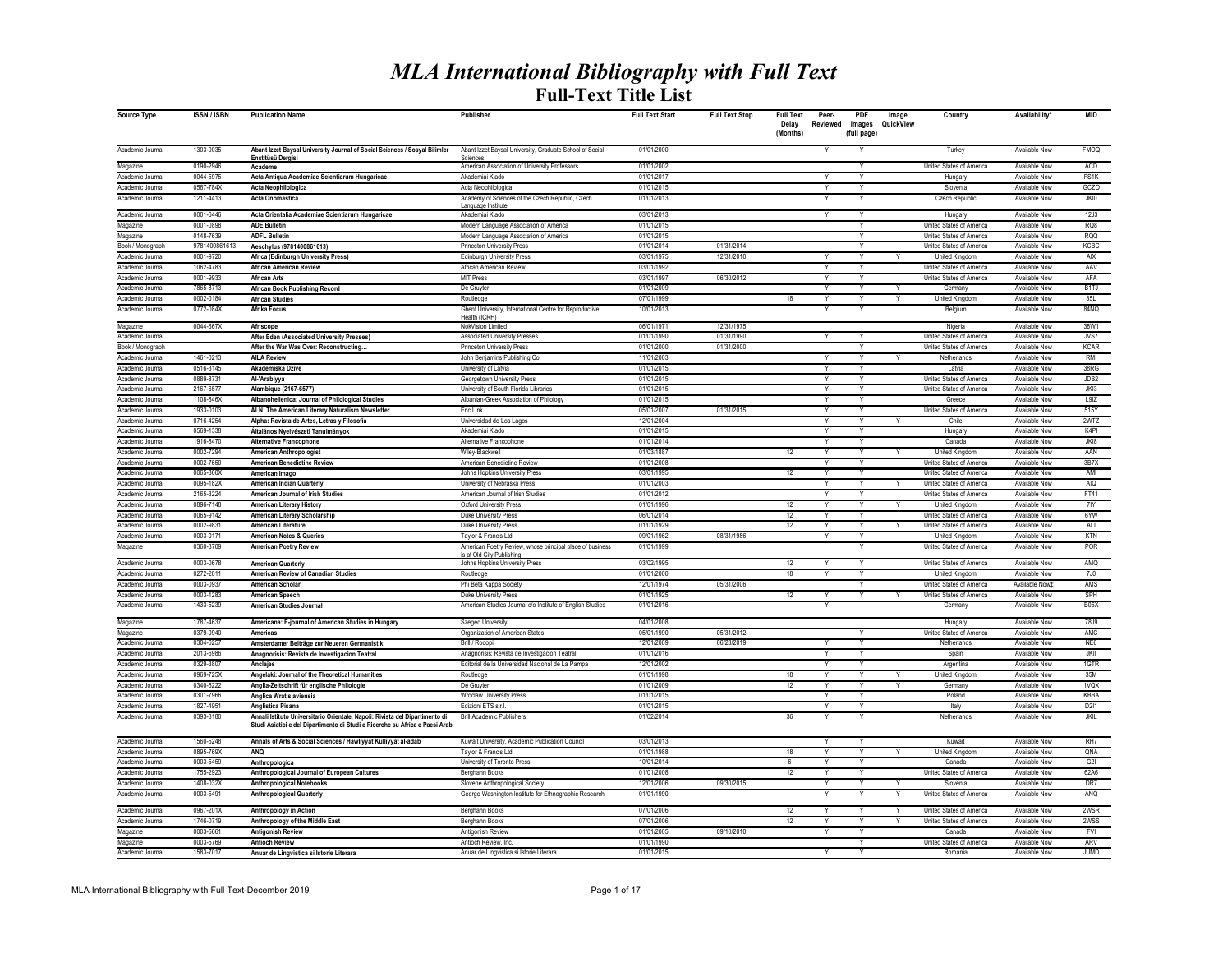## *MLA International Bibliography with Full Text* **Full-Text Title List**

| Source Type                          | <b>ISSN/ISBN</b>       | <b>Publication Name</b>                                                                                                                                       | Publisher                                                                          | <b>Full Text Start</b>   | <b>Full Text Stop</b> | <b>Full Text</b><br>Delay<br>(Months) | Peer-<br>Reviewed       | PDF<br>Images<br>(full page) | Image<br>QuickView | Country                                              | Availability                          | <b>MID</b>               |
|--------------------------------------|------------------------|---------------------------------------------------------------------------------------------------------------------------------------------------------------|------------------------------------------------------------------------------------|--------------------------|-----------------------|---------------------------------------|-------------------------|------------------------------|--------------------|------------------------------------------------------|---------------------------------------|--------------------------|
| Academic Journal                     | 1303-0035              | Abant Izzet Baysal University Journal of Social Sciences / Sosyal Bilimler<br>Enstitüsü Dergisi                                                               | Abant Izzet Baysal University, Graduate School of Social<br>Sciences               | 01/01/2000               |                       |                                       |                         |                              |                    | Turkey                                               | Available Now                         | <b>FMOQ</b>              |
| Magazine                             | 0190-2946              | Academe                                                                                                                                                       | American Association of University Professors                                      | 01/01/2002               |                       |                                       |                         | Y                            |                    | United States of America                             | Available Now                         | ACD                      |
| Academic Journal                     | 0044-5975              | Acta Antiqua Academiae Scientiarum Hungaricae                                                                                                                 | Akademiai Kiado                                                                    | 01/01/2017               |                       |                                       |                         |                              |                    | Hungary                                              | Available Now                         | FS <sub>1</sub> K        |
| Academic Journal                     | 0567-784X              | <b>Acta Neophilologica</b>                                                                                                                                    | Acta Neophilologica                                                                | 01/01/2015               |                       |                                       |                         | Υ                            |                    | Slovenia                                             | Available Now                         | GCZO                     |
| Academic Journal                     | 1211-4413              | <b>Acta Onomastica</b>                                                                                                                                        | Academy of Sciences of the Czech Republic, Czech<br>Language Institute             | 01/01/2013               |                       |                                       |                         | Υ                            |                    | Czech Republic                                       | <b>Available Now</b>                  | JKIO                     |
| Academic Journal                     | 0001-6446              | Acta Orientalia Academiae Scientiarum Hungaricae                                                                                                              | Akademiai Kiado                                                                    | 03/01/2013               |                       |                                       | $\overline{\mathsf{Y}}$ | $\overline{Y}$               |                    | Hungary                                              | Available Now                         | 12J3                     |
| Magazine                             | 0001-0898              | <b>ADE Bulletin</b>                                                                                                                                           | Modern Language Association of America                                             | 01/01/2015               |                       |                                       |                         | $\overline{\mathsf{v}}$      |                    | United States of America                             | Available Now                         | RQ8                      |
| Magazine                             | 0148-7639              | <b>ADFL Bulletin</b>                                                                                                                                          | Modern Language Association of America                                             | 01/01/2015               |                       |                                       |                         | $\overline{\mathsf{v}}$      |                    | <b>United States of America</b>                      | Available Now                         | <b>RQQ</b>               |
| Book / Monograph                     | 9781400861613          | Aeschylus (9781400861613)                                                                                                                                     | <b>Princeton University Press</b>                                                  | 01/01/2014               | 01/31/2014            |                                       |                         | Y                            |                    | United States of America                             | Available Now                         | KCBC                     |
| Academic Journal                     | 0001-9720              | Africa (Edinburgh University Press)                                                                                                                           | <b>Edinburgh University Press</b>                                                  | 03/01/1975               | 12/31/2010            |                                       |                         | Y                            |                    | <b>United Kingdom</b>                                | Available Now                         | <b>AIX</b>               |
| Academic Journal                     | 1062-4783              | <b>African American Review</b>                                                                                                                                | African American Review                                                            | 03/01/1992               |                       |                                       |                         | Y                            |                    | United States of America                             | Available Now                         | AAV                      |
| Academic Journal                     | 0001-9933              | <b>African Arts</b>                                                                                                                                           | <b>MIT Press</b>                                                                   | 03/01/1997               | 06/30/2012            |                                       |                         | Y                            |                    | United States of America                             | Available Now                         | AFA                      |
| Academic Journal                     | 7865-8713              | African Book Publishing Record                                                                                                                                | De Gruyter                                                                         | 01/01/2009               |                       |                                       |                         | Υ                            |                    | Germany                                              | Available Now                         | B <sub>1</sub>           |
| Academic Journal                     | 0002-0184<br>0772-084X | <b>African Studies</b>                                                                                                                                        | Routledge                                                                          | 07/01/1999<br>10/01/2013 |                       | 18                                    | Y                       | $\mathsf{v}$                 | Y                  | United Kingdom                                       | Available Now<br>Available Now        | 35L<br>84NO              |
| Academic Journal                     |                        | Afrika Focus                                                                                                                                                  | Ghent University, International Centre for Reproductive<br>Health (ICRH)           |                          |                       |                                       |                         |                              |                    | Belgium                                              |                                       |                          |
| Magazine                             | 0044-667X              | Afriscope                                                                                                                                                     | NokVision Limited                                                                  | 06/01/1971               | 12/31/1975            |                                       |                         |                              |                    | Nigeria                                              | Available Now                         | 38W1                     |
| Academic Journal                     |                        | After Eden (Associated University Presses)                                                                                                                    | <b>Associated University Presses</b>                                               | 01/01/1990               | 01/31/1990            |                                       |                         | v                            |                    | United States of America                             | Available Now                         | NST                      |
| Book / Monograph                     |                        | After the War Was Over: Reconstructing.                                                                                                                       | Princeton University Press                                                         | 01/01/2000               | 01/31/2000            |                                       |                         | Y                            |                    | United States of America                             | Available Now                         | <b>KCAR</b>              |
| Academic Journa                      | 1461-0213              | <b>AILA Review</b>                                                                                                                                            | John Beniamins Publishing Co.                                                      | 11/01/2003               |                       |                                       |                         |                              |                    | Netherlands                                          | Available Now                         | <b>RM</b>                |
| Academic Journa                      | 0516-3145              | Akademiska Dzive                                                                                                                                              | University of Latvia                                                               | 01/01/2015               |                       |                                       |                         |                              |                    | I atvia                                              | Available Now                         | 38RG                     |
| Academic Journal<br>Academic Journal | 0889-8731<br>2167-6577 | Al-'Arabiyya<br>Alambique (2167-6577)                                                                                                                         | Georgetown University Press<br>University of South Florida Libraries               | 01/01/2015<br>01/01/2015 |                       |                                       |                         | Y<br>Y                       |                    | United States of America<br>United States of America | Available Now<br>Available Now        | JDB <sub>2</sub><br>JKI3 |
| Academic Journal                     | 1108-846X              | Albanohellenica: Journal of Philological Studies                                                                                                              | Albanian-Greek Association of Philology                                            | 01/01/2015               |                       |                                       |                         | Y                            |                    | Greece                                               | Available Now                         | L9IZ                     |
| Academic Journal                     | 1933-0103              | ALN: The American Literary Naturalism Newsletter                                                                                                              | Eric Link                                                                          | 05/01/2007               | 01/31/2015            |                                       | $\checkmark$            | Y                            |                    | United States of America                             | Available Now                         | 515Y                     |
| Academic Journa                      | 0716-4254              | Alpha: Revista de Artes, Letras y Filosofía                                                                                                                   | Universidad de Los Lagos                                                           | 12/01/2004               |                       |                                       |                         | Y                            |                    | Chile                                                | Available Now                         | 2WTZ                     |
| Academic Journal                     | 0569-1338              | Általános Nyelvészeti Tanulmányok                                                                                                                             | Akademiai Kiado                                                                    | 01/01/2015               |                       |                                       |                         |                              |                    | Hungary                                              | <b>Available Now</b>                  | K4PI                     |
| Academic Journal                     | 1916-8470              | <b>Alternative Francophone</b>                                                                                                                                | Alternative Franconhone                                                            | 01/01/2014               |                       |                                       | Y                       | Y                            |                    | Canada                                               | Available Now                         | JK18                     |
| Academic Journal                     | 0002-7294              | <b>American Anthropologist</b>                                                                                                                                | Wiley-Blackwell                                                                    | 01/03/1887               |                       | 12                                    |                         | Y                            | v                  | United Kingdom                                       | <b>Available Now</b>                  | AAN                      |
| Academic Journal                     | 0002-7650              | <b>American Benedictine Review</b>                                                                                                                            | American Benedictine Review                                                        | 01/01/2008               |                       |                                       |                         | Y                            |                    | United States of America                             | Available Now                         | 3B7X                     |
| Academic Journa                      | 0065-860X              | American Imago                                                                                                                                                | Johns Hopkins University Press                                                     | 03/01/1995               |                       | 12                                    |                         |                              |                    | United States of America                             | <b>Available Now</b>                  | AMI                      |
| Academic Journal                     | 0095-182X              | American Indian Quarterly                                                                                                                                     | University of Nebraska Press                                                       | 01/01/2003               |                       |                                       |                         |                              |                    | United States of America                             | Available Now                         | AIQ                      |
| Academic Journal                     | 2165-3224              | American Journal of Irish Studies                                                                                                                             | American Journal of Irish Studies                                                  | 01/01/2012               |                       |                                       | Y                       | Y                            |                    | United States of America                             | Available Now                         | FT41                     |
| Academic Journal                     | 0896-7148              | <b>American Literary History</b>                                                                                                                              | Oxford University Press                                                            | 01/01/1996               |                       | 12                                    |                         | Y                            | Y                  | United Kingdom                                       | Available Now                         | 7IY                      |
| Academic Journal<br>Academic Journal | 0065-9142<br>0002-9831 | American Literary Scholarship<br>American Literature                                                                                                          | Duke University Press<br>Duke University Press                                     | 06/01/2014<br>01/01/1929 |                       | 12<br>12                              | $\vee$                  | Y<br>Y                       | Y                  | United States of America<br>United States of America | Available Now<br>Available Now        | 6YW<br>ALI               |
| Academic Journal                     | 0003-017               | <b>American Notes &amp; Queries</b>                                                                                                                           | Taylor & Francis Ltd                                                               | 09/01/1962               | 08/31/1986            |                                       |                         | Y                            |                    | United Kingdom                                       | Available Now                         | KTN                      |
| Magazine                             | 0360-3709              | <b>American Poetry Review</b>                                                                                                                                 | American Poetry Review, whose principal place of business                          | 01/01/1999               |                       |                                       |                         |                              |                    | United States of America                             | Available Now                         | POR                      |
|                                      |                        |                                                                                                                                                               | is at Old City Publishing                                                          |                          |                       |                                       |                         |                              |                    |                                                      |                                       |                          |
| Academic Journa                      | 0003-0678              | <b>American Quarterly</b>                                                                                                                                     | Johns Hopkins University Press                                                     | 03/02/1995               |                       | 12                                    |                         | Y                            |                    | United States of America                             | <b>Available Now</b>                  | AMQ                      |
| Academic Journa                      | $0272 - 201$           | <b>American Review of Canadian Studies</b>                                                                                                                    | Routledge                                                                          | 01/01/2000               |                       | 18                                    |                         | Y                            |                    | United Kingdom                                       | Available Now                         | 7J0                      |
| Academic Journal                     | 0003-0937              | <b>American Scholar</b>                                                                                                                                       | Phi Beta Kappa Society                                                             | 12/01/1974<br>01/01/1925 | 05/31/2006            |                                       |                         | Y                            |                    | United States of America                             | Available Now‡                        | AMS                      |
| Academic Journal<br>Academic Journal | 0003-1283<br>1433-5239 | American Speech<br><b>American Studies Journal</b>                                                                                                            | Duke University Press<br>American Studies Journal c/o Institute of English Studies | 01/01/2016               |                       | 12                                    | Y                       | Y                            |                    | United States of America<br>Germany                  | Available Now<br>Available Now        | SPH<br><b>B05X</b>       |
|                                      |                        |                                                                                                                                                               |                                                                                    |                          |                       |                                       |                         |                              |                    |                                                      |                                       |                          |
| Magazine                             | 1787-4637              | Americana: E-journal of American Studies in Hungary                                                                                                           | <b>Szeged University</b>                                                           | 04/01/2008               |                       |                                       |                         |                              |                    | Hungary                                              | Available Now                         | 78J9                     |
| Magazine                             | 0379-0940              | Americas                                                                                                                                                      | Organization of American States                                                    | 05/01/1990               | 05/31/2012            |                                       |                         | v                            |                    | <b>United States of America</b>                      | Available Now                         | AMC                      |
| Academic Journal                     | 0304-6257              | Amsterdamer Beiträge zur Neueren Germanistik                                                                                                                  | Brill / Rodopi                                                                     | 12/01/2009               | 06/28/2019            |                                       |                         | v                            |                    | Netherlands                                          | Available Now                         | NE6                      |
| Academic Journa                      | 2013-6986              | Anagnorisis: Revista de Investigacion Teatral                                                                                                                 | Anagnorisis: Revista de Investigacion Teatra                                       | 01/01/2016               |                       |                                       |                         | Y                            |                    | Spair                                                | <b>Available Now</b>                  | <b>JKII</b>              |
| Academic Journal<br>Academic Journal | 0329-380<br>0969-725X  | Anclajes<br>Angelaki: Journal of the Theoretical Humanities                                                                                                   | Editorial de la Universidad Nacional de La Pampa<br>Routledge                      | 12/01/2002<br>01/01/1998 |                       | 18                                    |                         | Y                            |                    | Argentina<br><b>United Kingdom</b>                   | <b>Available Now</b><br>Available Now | 1GTR<br>35M              |
| Academic Journal                     | 0340-5222              | Anglia-Zeitschrift für englische Philologie                                                                                                                   | De Gruvter                                                                         | 01/01/2009               |                       | 12                                    |                         | Y                            | Υ                  | Germany                                              | Available Now                         | 1VQX                     |
| Academic Journal                     | 0301-7966              | Anglica Wratislaviensia                                                                                                                                       | Wroclaw University Press                                                           | 01/01/2015               |                       |                                       |                         | Y                            |                    | Poland                                               | Available Now                         | <b>KBBA</b>              |
| Academic Journal                     | 1827-4951              | Anglistica Pisana                                                                                                                                             | Edizioni ETS s.r.l.                                                                | 01/01/2015               |                       |                                       | $\vee$                  | Y                            |                    | Italy                                                | Available Now                         | D211                     |
| Academic Journa                      | 0393-3180              | Annali Istituto Universitario Orientale, Napoli: Rivista del Dipartimento di<br>Studi Asiatici e del Dipartimento di Studi e Ricerche su Africa e Paesi Arabi | <b>Brill Academic Publishers</b>                                                   | 01/02/2014               |                       | 36                                    |                         |                              |                    | Netherlands                                          | Available Now                         | JKIL                     |
| Academic Journal                     | 1560-5248              | Annals of Arts & Social Sciences / Hawliyyat Kulliyyat al-adab                                                                                                | Kuwait University, Academic Publication Council                                    | 03/01/2013               |                       |                                       |                         | $\checkmark$                 |                    | Kuwait                                               | Available Now                         | RH7                      |
| Academic Journa                      | 0895-769X              | ANQ                                                                                                                                                           | Taylor & Francis Ltd                                                               | 01/01/1988               |                       | 18                                    |                         | Y                            |                    | <b>United Kingdom</b>                                | <b>Available Now</b>                  | QNA                      |
| Academic Journal                     | 0003-5459              | Anthropologica                                                                                                                                                | University of Toronto Press                                                        | 10/01/2014               |                       | 6                                     |                         | $\overline{\mathsf{v}}$      |                    | Canada                                               | <b>Available Now</b>                  | G2I                      |
| Academic Journal                     | 1755-2923              | Anthropological Journal of European Cultures                                                                                                                  | <b>Berghahn Books</b>                                                              | 01/01/2008               |                       | 12                                    |                         | Y                            |                    | United States of America                             | <b>Available Now</b>                  | 62A6                     |
| Academic Journal                     | 1408-0323              | <b>Anthropological Notebooks</b>                                                                                                                              | Slovene Anthropological Society                                                    | 12/01/2006               | 09/30/2015            |                                       |                         | $\overline{\mathsf{v}}$      | v                  | Slovenia                                             | Available Now                         | DR7                      |
| Academic Journal                     | 0003-5491              | <b>Anthropological Quarterly</b>                                                                                                                              | George Washington Institute for Ethnographic Research                              | 01/01/1990               |                       |                                       |                         | Υ                            |                    | United States of America                             | Available Now                         | ANQ                      |
| Academic Journal                     | 0967-201X              | Anthropology in Action                                                                                                                                        | Berghahn Books                                                                     | 07/01/2006               |                       | 12                                    |                         | Y                            | Υ                  | <b>United States of America</b>                      | Available Now                         | 2WSR                     |
| Academic Journal                     | 1746-0719              | Anthropology of the Middle East                                                                                                                               | Berghahn Books                                                                     | 07/01/2006               |                       | 12                                    |                         | Y                            | Y                  | <b>United States of America</b>                      | Available Now                         | 2WSS                     |
| Magazine                             | 0003-5661              | <b>Antigonish Review</b>                                                                                                                                      | Antigonish Review                                                                  | 01/01/2005               | 09/10/2010            |                                       | Y                       | Y                            |                    | Canada                                               | Available Now                         | <b>FVI</b>               |
| Magazine                             | 0003-5769              | <b>Antioch Review</b>                                                                                                                                         | Antioch Review, Inc.                                                               | 01/01/1990               |                       |                                       |                         | v                            |                    | United States of America                             | Available Now                         | ARV                      |
| Academic Journal                     | 1583-7017              | Anuar de Lingvistica si Istorie Literara                                                                                                                      | Anuar de Lingvistica si Istorie Literara                                           | 01/01/2015               |                       |                                       |                         | $\overline{\mathsf{v}}$      |                    | Romania                                              | <b>Available Now</b>                  | <b>OMUL.</b>             |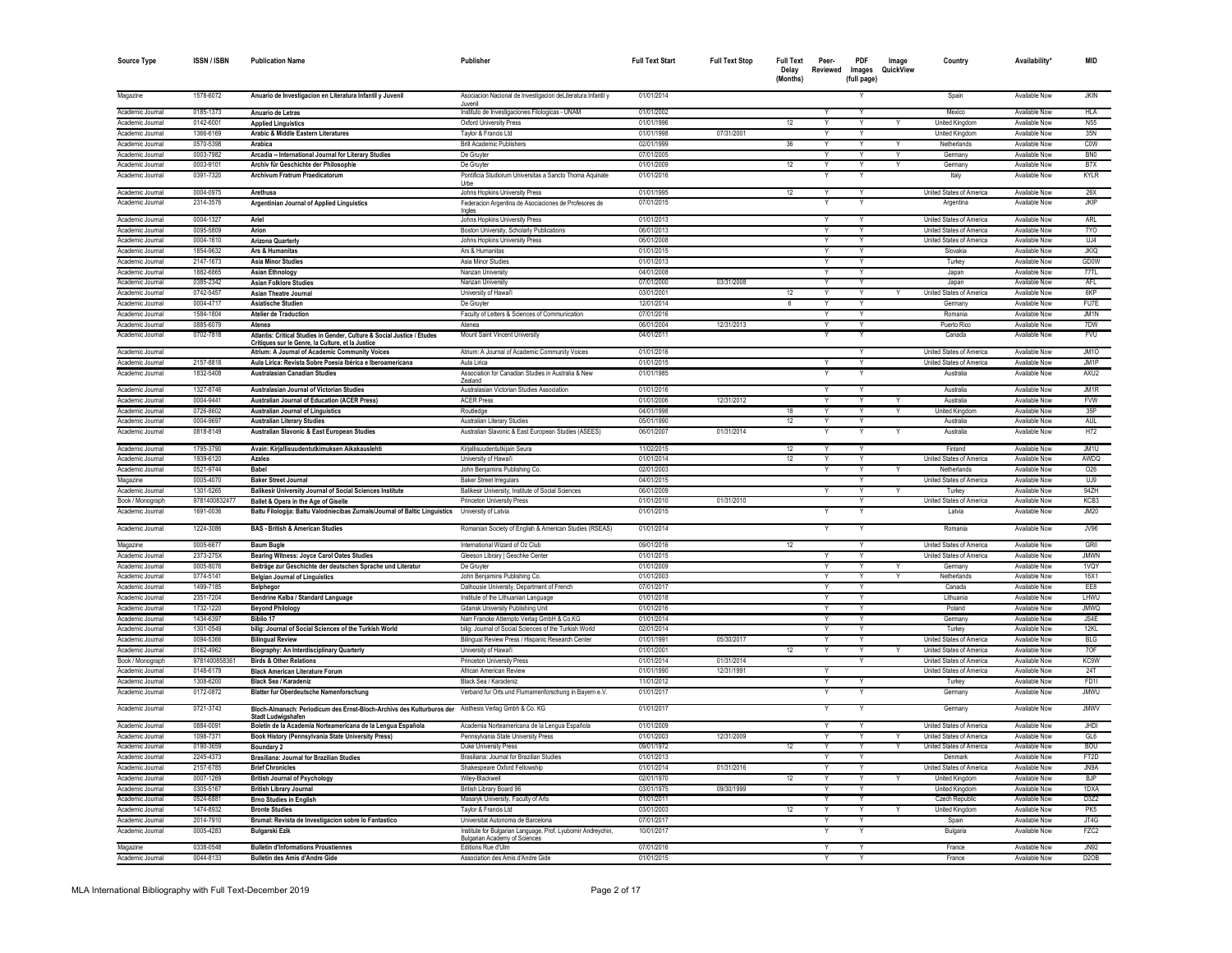| <b>Source Type</b>                   | <b>ISSN/ISBN</b>       | <b>Publication Name</b>                                                                                                      | Publisher                                                                  | <b>Full Text Start</b>   | <b>Full Text Stop</b> | <b>Full Text</b><br>Delay<br>(Months) | Peer-<br>Reviewed       | PDF<br>Images<br>(full page) | Image<br>QuickView | Country                                                     | Availability'                  | <b>MID</b>               |
|--------------------------------------|------------------------|------------------------------------------------------------------------------------------------------------------------------|----------------------------------------------------------------------------|--------------------------|-----------------------|---------------------------------------|-------------------------|------------------------------|--------------------|-------------------------------------------------------------|--------------------------------|--------------------------|
| Magazine                             | 1578-6072              | Anuario de Investigacion en Literatura Infantil y Juvenil                                                                    | Asociacion Nacional de Investigacion deLiteratura Infantil y               | 01/01/2014               |                       |                                       |                         |                              |                    | Spain                                                       | Available Now                  | <b>JKIN</b>              |
|                                      | 0185-1373              |                                                                                                                              | Juvenil                                                                    |                          |                       |                                       |                         |                              |                    | Mexico                                                      |                                | <b>HLA</b>               |
| Academic Journal<br>Academic Journal | 0142-6001              | Anuario de Letras<br><b>Applied Linguistics</b>                                                                              | Instituto de Investigaciones Filologicas - UNAM<br>Oxford University Press | 01/01/2002<br>01/01/1996 |                       | 12                                    | Y                       | Y                            |                    |                                                             | Available Now<br>Available Now | <b>N55</b>               |
| Academic Journal                     | 1366-6169              | Arabic & Middle Eastern Literatures                                                                                          | Taylor & Francis Ltd                                                       | 01/01/1998               | 07/31/2001            |                                       |                         |                              |                    | <b>United Kingdom</b><br><b>United Kingdom</b>              | Available Now                  | 35N                      |
| Academic Journal                     | 0570-5398              | Arabica                                                                                                                      | <b>Brill Academic Publishers</b>                                           | 02/01/1999               |                       | 36                                    |                         |                              |                    | Netherlands                                                 | Available Nov                  | COW                      |
| Academic Journal                     | 0003-7982              | Arcadia -- International Journal for Literary Studies                                                                        | De Gruyter                                                                 | 07/01/2005               |                       |                                       | Y                       | Y                            |                    | Germany                                                     | Available Now                  | BN <sub>0</sub>          |
| Academic Journal                     | 0003-9101              | Archiv für Geschichte der Philosophie                                                                                        | De Gruvte                                                                  | 01/01/2009               |                       | 12                                    | Y                       | Y                            |                    | Germany                                                     | Available Now                  | B7X                      |
| Academic Journal                     | 0391-7320              | Archivum Fratrum Praedicatorum                                                                                               | Pontificia Studiorum Universitas a Sancto Thoma Aquinate                   | 01/01/2016               |                       |                                       |                         | $\checkmark$                 |                    | Italy                                                       | Available Now                  | KYLR                     |
|                                      |                        |                                                                                                                              | Urbe                                                                       |                          |                       |                                       |                         |                              |                    |                                                             |                                |                          |
| Academic Journal                     | 0004-0975              | Arethusa                                                                                                                     | Johns Hopkins University Press                                             | 01/01/1995               |                       | 12                                    | Ÿ                       |                              |                    | United States of America                                    | <b>Available Now</b>           | 26X                      |
| Academic Journal                     | 2314-3576              | Argentinian Journal of Applied Linguistics                                                                                   | Federacion Argentina de Asociaciones de Profesores de                      | 07/01/2015               |                       |                                       | Ÿ                       | $\overline{Y}$               |                    | Argentina                                                   | Available Now                  | <b>JKIP</b>              |
|                                      |                        |                                                                                                                              | Ingles                                                                     |                          |                       |                                       |                         |                              |                    |                                                             |                                |                          |
| Academic Journal                     | 0004-1327              | Ariel                                                                                                                        | Johns Hopkins University Press                                             | 01/01/2013               |                       |                                       | $\overline{Y}$          | $\overline{Y}$               |                    | United States of America                                    | Available Now<br>Available Nov | ARL                      |
| Academic Journal                     | 0095-5809              | Arion                                                                                                                        | Boston University, Scholarly Publications                                  | 06/01/2013<br>06/01/2008 |                       |                                       | Ÿ                       | Y                            |                    | United States of America<br><b>United States of America</b> | Available Nov                  | 7YO<br>U.A               |
| Academic Journal                     | 0004-1610<br>1854-9632 | <b>Arizona Quarterly</b>                                                                                                     | Johns Hopkins University Press                                             |                          |                       |                                       | Y                       | Y                            |                    |                                                             |                                | <b>JKIQ</b>              |
| Academic Journal                     |                        | Ars & Humanitas                                                                                                              | Ars & Humanitas                                                            | 01/01/2015               |                       |                                       | Y                       | $\checkmark$                 |                    | Slovakia                                                    | Available Now                  |                          |
| Academic Journal                     | 2147-1673              | <b>Asia Minor Studies</b>                                                                                                    | Asia Minor Studies                                                         | 01/01/2013               |                       |                                       | $\vee$                  | v                            |                    | Turkey                                                      | Available Now                  | <b>GD0W</b>              |
| Academic Journal                     | 1882-6865              | <b>Asian Ethnology</b>                                                                                                       | Nanzan University                                                          | 04/01/2008               |                       |                                       |                         | Y                            |                    | Japan                                                       | Available Now                  | 77TL                     |
| Academic Journal                     | 0385-2342<br>0742-5457 | <b>Asian Folklore Studies</b>                                                                                                | Nanzan University                                                          | 07/01/2000               | 03/31/2008            |                                       | Y<br>Y                  | Y                            |                    | Japan                                                       | Available Now<br>Available Now | <b>AFL</b><br><b>6KP</b> |
| Academic Journal                     | 0004-4717              | Asian Theatre Journal                                                                                                        | University of Hawai'i                                                      | 03/01/2001<br>12/01/2014 |                       | 12                                    |                         |                              |                    | United States of America                                    |                                | FU7F                     |
| Academic Journal                     | 1584-1804              | <b>Asiatische Studien</b>                                                                                                    | De Gruyter                                                                 | 07/01/2016               |                       | 6                                     | Y                       | Υ                            |                    | Germany                                                     | Available Now                  | JM1N                     |
| Academic Journal                     | 0885-6079              | <b>Atelier de Traduction</b>                                                                                                 | Faculty of Letters & Sciences of Communication<br>Atenea                   | 06/01/2004               | 12/31/2013            |                                       | Υ                       | Υ<br>Y                       |                    | Romania<br>Puerto Rico                                      | Available Now<br>Available Now | 7DW                      |
| Academic Journal                     |                        | Atenea                                                                                                                       |                                                                            |                          |                       |                                       | Y                       |                              |                    |                                                             |                                |                          |
| Academic Journal                     | 0702-7818              | Atlantis: Critical Studies in Gender, Culture & Social Justice / Études<br>Critiques sur le Genre, la Culture, et la Justice | Mount Saint Vincent University                                             | 04/01/2011               |                       |                                       |                         |                              |                    | Canada                                                      | Available Now                  | <b>FVU</b>               |
| Academic Journal                     |                        | Atrium: A Journal of Academic Community Voices                                                                               | Atrium: A Journal of Academic Community Voices                             | 01/01/2016               |                       |                                       |                         |                              |                    | United States of America                                    | Available Now                  | JM10                     |
| Academic Journal                     | 2157-8818              | Aula Lírica: Revista Sobre Poesía Ibérica e Iberoamericana                                                                   | Aula Lirica                                                                | 01/01/2015               |                       |                                       | Y                       | Υ                            |                    | United States of America                                    | Available Now                  | JM1P                     |
| Academic Journal                     | 1832-5408              | <b>Australasian Canadian Studies</b>                                                                                         | Association for Canadian Studies in Australia & New                        | 01/01/1985               |                       |                                       |                         |                              |                    | Australia                                                   | <b>Available Now</b>           | AXU2                     |
|                                      |                        |                                                                                                                              | <b>Zealand</b>                                                             |                          |                       |                                       |                         |                              |                    |                                                             |                                |                          |
| Academic Journal                     | 1327-8746              | Australasian Journal of Victorian Studies                                                                                    | Australasian Victorian Studies Association                                 | 01/01/2016               |                       |                                       | Y                       | Υ                            |                    | Australia                                                   | Available Now                  | JM1R                     |
| Academic Journal                     | 0004-9441              | Australian Journal of Education (ACER Press)                                                                                 | <b>ACER Press</b>                                                          | 01/01/2006               | 12/31/2012            |                                       | Y                       | Y                            |                    | Australia                                                   | Available Now                  | <b>FVW</b>               |
| Academic Journal                     | 0726-8602              | <b>Australian Journal of Linguistics</b>                                                                                     | Routledge                                                                  | 04/01/1998               |                       | 18                                    | Y                       | Y                            | Y                  | <b>United Kingdom</b>                                       | Available Now                  | 35P                      |
| Academic Journal                     | 0004-9697              | <b>Australian Literary Studies</b>                                                                                           | Australian Literary Studies                                                | 05/01/1990               |                       | 12                                    |                         | Y                            |                    | Australia                                                   | Available Now                  | <b>AUL</b>               |
| Academic Journal                     | 0818-8149              | Australian Slavonic & East European Studies                                                                                  | Australian Slavonic & East European Studies (ASEES)                        | 06/01/2007               | 01/31/2014            |                                       |                         |                              |                    | Australia                                                   | Available Now                  | H72                      |
| Academic Journal                     | 1795-3790              | Avain: Kirjallisuudentutkimuksen Aikakauslehti                                                                               | Kirjallisuudentutkijain Seura                                              | 11/02/2015               |                       | 12                                    | Y                       | Υ                            |                    | Finland                                                     | Available Now                  | JM1U                     |
| Academic Journal                     | 1939-6120              | Azalea                                                                                                                       | University of Hawai'i                                                      | 01/01/2014               |                       | 12                                    | Υ                       | Υ                            |                    | United States of America                                    | Available Now                  | AWDQ                     |
| Academic Journal                     | 0521-9744              | Babel                                                                                                                        | John Benjamins Publishing Co.                                              | 02/01/2003               |                       |                                       |                         | Y                            |                    | Netherlands                                                 | Available Now                  | 026                      |
| Magazine                             | 0005-4070              | <b>Baker Street Journal</b>                                                                                                  | <b>Baker Street Irregulars</b>                                             | 04/01/2015               |                       |                                       |                         |                              |                    | United States of America                                    | Available Now                  | UJ9                      |
| Academic Journa                      | 1301-5265              | Balikesir University Journal of Social Sciences Institute                                                                    | Balikesir University, Institute of Social Sciences                         | 06/01/2009               |                       |                                       |                         |                              |                    | Turkey                                                      | Available Now                  | 94ZH                     |
| Book / Monograph                     | 978140083247           | Ballet & Opera in the Age of Giselle                                                                                         | <b>Princeton University Press</b>                                          | 01/01/2010               | 01/31/2010            |                                       |                         | $\checkmark$                 |                    | United States of America                                    | Available Now                  | KCB <sub>3</sub>         |
| Academic Journal                     | 1691-0036              | Baltu Filologija: Baltu Valodniecibas Zurnals/Journal of Baltic Linguistics University of Latvia                             |                                                                            | 01/01/2015               |                       |                                       |                         |                              |                    | Latvia                                                      | Available Now                  | JM20                     |
| Academic Journal                     | 1224-3086              | <b>BAS - British &amp; American Studies</b>                                                                                  | Romanian Society of English & American Studies (RSEAS)                     | 01/01/2014               |                       |                                       |                         |                              |                    | Romania                                                     | Available Now                  | JV96                     |
| Magazine                             | 0005-6677              | <b>Baum Bugle</b>                                                                                                            | International Wizard of Oz Club                                            | 09/01/2016               |                       | 12                                    |                         | Υ                            |                    | United States of America                                    | Available Now                  | GRII                     |
| Academic Journal                     | 2373-275X              | Bearing Witness: Joyce Carol Oates Studies                                                                                   | Gleeson Library   Geschke Center                                           | 01/01/2015               |                       |                                       |                         |                              |                    | United States of America                                    | Available Now                  | .IMWN                    |
| Academic Journal                     | 0005-8076              | Beiträge zur Geschichte der deutschen Sprache und Literatur                                                                  | De Gruyte                                                                  | 01/01/2009               |                       |                                       |                         |                              |                    | Germany                                                     | <b>Available Now</b>           | 1VQY                     |
| Academic Journa                      | 0774-5141              | <b>Belgian Journal of Linguistics</b>                                                                                        | John Benjamins Publishing Co.                                              | 01/01/2003               |                       |                                       |                         |                              |                    | Netherlands                                                 | Available Now                  | 16X1                     |
| Academic Journal                     | 1499-7185              | Belphegor                                                                                                                    | Dalhousie University, Department of French                                 | 07/01/2017               |                       |                                       |                         |                              |                    | Canada                                                      | Available Now                  | FF <sub>8</sub>          |
| Academic Journal                     | 2351-7204              | Bendrine Kalba / Standard Language                                                                                           | Institute of the Lithuanian Language                                       | 01/01/2018               |                       |                                       |                         | Y                            |                    | Lithuania                                                   | Available Now                  | LHWU                     |
| Academic Journal                     | 1732-1220              | <b>Beyond Philology</b>                                                                                                      | <b>Gdansk University Publishing Unit</b>                                   | 01/01/2016               |                       |                                       |                         |                              |                    | Poland                                                      | Available Now                  | OWMI.                    |
| Academic Journal                     | 1434-6397              | <b>Biblio 17</b>                                                                                                             | Narr Francke Attempto Verlag GmbH & Co.KG                                  | 01/01/2014               |                       |                                       |                         |                              |                    | Germany                                                     | Available Now                  | LSAF                     |
| Academic Journal                     | 1301-0549              | bilig: Journal of Social Sciences of the Turkish World                                                                       | bilig: Journal of Social Sciences of the Turkish World                     | 02/01/2014               |                       |                                       |                         | Y                            |                    | Turkey                                                      | Available Now                  | 12KL                     |
| Academic Journal                     | 0094-5366              | <b>Bilingual Review</b>                                                                                                      | Bilingual Review Press / Hispanic Research Center                          | 01/01/1991               | 05/30/2017            |                                       | $\overline{\mathsf{Y}}$ | $\overline{\mathsf{Y}}$      |                    | <b>United States of America</b>                             | <b>Available Now</b>           | <b>BLG</b>               |
| Academic Journal                     | 0162-4962              | <b>Biography: An Interdisciplinary Quarterly</b>                                                                             | University of Hawai'i                                                      | 01/01/2001               |                       | 12                                    |                         |                              |                    | United States of America                                    | Available Now                  | 70F                      |
| Book / Monograph                     | 978140085836           | <b>Birds &amp; Other Relations</b>                                                                                           | Princeton University Press                                                 | 01/01/2014               | 01/31/2014            |                                       |                         | $\overline{\mathsf{Y}}$      |                    | United States of America                                    | Available Nov                  | KC9W                     |
| Academic Journal                     | 0148-6179              | <b>Black American Literature Forum</b>                                                                                       | African American Review                                                    | 01/01/1990               | 12/31/1991            |                                       | $\mathsf{v}$            |                              |                    | United States of America                                    | Available Now                  | 24T                      |
| Academic Journal                     | 1308-6200              | <b>Black Sea / Karadeniz</b>                                                                                                 | Black Sea / Karadeniz                                                      | 11/01/2012               |                       |                                       | Y                       | $\checkmark$                 |                    | Turkey                                                      | Available Now                  | FD1I                     |
| Academic Journal                     | 0172-0872              | <b>Blatter fur Oberdeutsche Namenforschung</b>                                                                               | Verband fur Orts und Flurnamenforschung in Bayern e.V.                     | 01/01/2017               |                       |                                       |                         |                              |                    | Germany                                                     | Available Now                  | <b>JMWLI</b>             |
| Academic Journal                     | 0721-3743              | Bloch-Almanach: Periodicum des Ernst-Bloch-Archivs des Kulturburos der Aisthesis Verlag Gmbh & Co. KG<br>Stadt Ludwigshafer  |                                                                            | 01/01/2017               |                       |                                       |                         |                              |                    | Germany                                                     | Available Now                  | <b>JMWV</b>              |
| Academic Journal                     | 0884-0091              | Boletín de la Academia Norteamericana de la Lengua Española                                                                  | Academia Norteamericana de la Lengua Española                              | 01/01/2009               |                       |                                       |                         |                              |                    | United States of America                                    | Available Now                  | JHDI                     |
| Academic Journal                     | 1098-737               | Book History (Pennsylvania State University Press)                                                                           | Pennsylvania State University Press                                        | 01/01/2003               | 12/31/2009            |                                       |                         |                              |                    | United States of America                                    | Available Nov                  | GI6                      |
| Academic Journal                     | 0190-3659              | Boundary                                                                                                                     | Duke University Press                                                      | 09/01/1972               |                       | 12                                    |                         | $\overline{\mathsf{v}}$      |                    | United States of America                                    | Available Nov                  | <b>BOU</b>               |
| Academic Journal                     | 2245-4373              | Brasiliana: Journal for Brazilian Studies                                                                                    | Brasiliana: Journal for Brazilian Studies                                  | 01/01/2013               |                       |                                       | Y                       | Y                            |                    | Denmark                                                     | Available Now                  | FT2D                     |
| Academic Journal                     | 2157-6785              | <b>Brief Chronicles</b>                                                                                                      | Shakespeare Oxford Fellowship                                              | 01/01/2014               | 01/31/2016            |                                       | v                       | $\checkmark$                 |                    | United States of America                                    | Available Now                  | JN9A                     |
| Academic Journal                     | 0007-1269              | <b>British Journal of Psychology</b>                                                                                         | Wiley-Blackwell                                                            | 02/01/1970               |                       | 12                                    | Y                       | Y                            |                    | United Kingdom                                              | Available Now                  | <b>B.IP</b>              |
| Academic Journal                     | 0305-5167              | <b>British Library Journal</b>                                                                                               | British Library Board 96                                                   | 03/01/1975               | 09/30/1999            |                                       | Y                       | Y                            |                    | <b>United Kingdom</b>                                       | Available Now                  | 1DXA                     |
| Academic Journal                     | 0524-6881              | <b>Brno Studies in English</b>                                                                                               | Masaryk University, Faculty of Arts                                        | 01/01/2011               |                       |                                       | Y                       | Y                            |                    | Czech Republic                                              | Available Now                  | D3Z2                     |
| Academic Journal                     | 1474-8932              | <b>Bronte Studies</b>                                                                                                        | Taylor & Francis Ltd                                                       | 03/01/2003               |                       | 12                                    | Y                       | Υ                            | Y                  | United Kingdom                                              | Available Now                  | PK <sub>5</sub>          |
| Academic Journal                     | 2014-7910              | Brumal: Revista de Investigacion sobre lo Fantastico                                                                         | Universitat Autonoma de Barcelona                                          | 07/01/2017               |                       |                                       | Y                       | Y                            |                    | Snain                                                       | Available Now                  | JTAG                     |
| Academic Journal                     | 0005-4283              | <b>Bulgarski Ezik</b>                                                                                                        | Institute for Bulgarian Language, Prof. Lyubomir Andreychin,               | 10/01/2017               |                       |                                       |                         |                              |                    | Bulgaria                                                    | Available Now                  | FZC <sub>2</sub>         |
| Magazine                             | 0338-0548              | <b>Bulletin d'Informations Proustiennes</b>                                                                                  | <b>Bulgarian Academy of Sciences</b><br>Editions Rue d'Ulm                 | 07/01/2016               |                       |                                       | Y                       |                              |                    | France                                                      | Available Now                  | <b>JN92</b>              |
| Academic Journal                     | 0044-8133              | Bulletin des Amis d'Andre Gide                                                                                               | Association des Amis d'Andre Gide                                          | 01/01/2015               |                       |                                       |                         |                              |                    | France                                                      | Available Now                  | D2OR                     |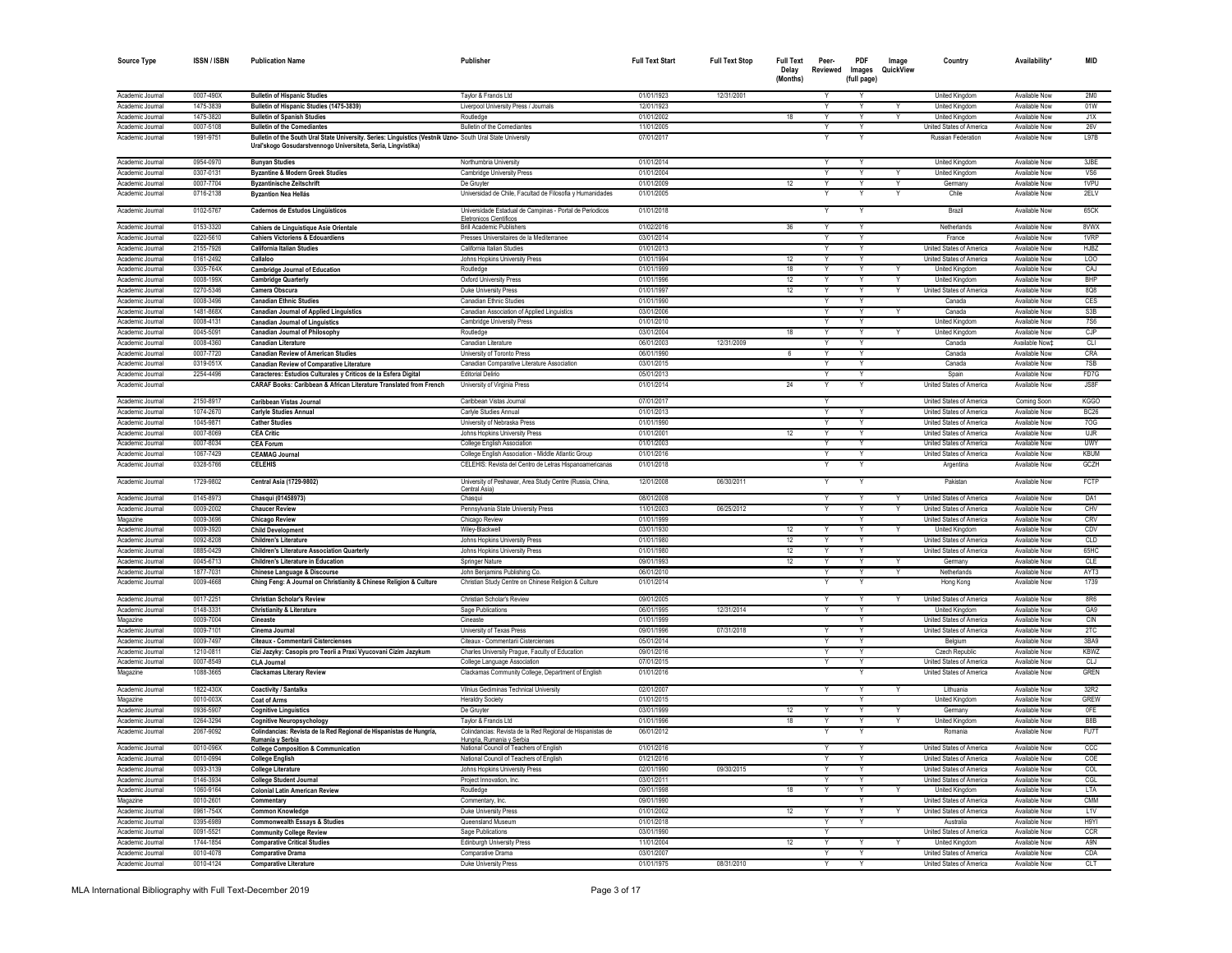| <b>Source Type</b>                   | <b>ISSN / ISBN</b>     | <b>Publication Name</b>                                                                                                                                                     | Publisher                                                                                                             | <b>Full Text Start</b>   | <b>Full Text Stop</b> | <b>Full Text</b><br>Delay<br>(Months) | Peer-<br>Reviewed       | PDF<br>Images<br>(full page) | Image<br>QuickView | Country                                              | Availability                   | <b>MID</b>      |
|--------------------------------------|------------------------|-----------------------------------------------------------------------------------------------------------------------------------------------------------------------------|-----------------------------------------------------------------------------------------------------------------------|--------------------------|-----------------------|---------------------------------------|-------------------------|------------------------------|--------------------|------------------------------------------------------|--------------------------------|-----------------|
| Academic Journal                     | 0007-490X              | <b>Bulletin of Hispanic Studies</b>                                                                                                                                         | Taylor & Francis Ltd                                                                                                  | 01/01/1923               | 12/31/2001            |                                       | Y                       |                              |                    | <b>United Kingdom</b>                                | Available Now                  | 2M <sub>0</sub> |
| Academic Journal                     | 1475-3839              | Bulletin of Hispanic Studies (1475-3839)                                                                                                                                    | Liverpool University Press / Journals                                                                                 | 12/01/1923               |                       |                                       | Y                       | Y                            |                    | United Kingdom                                       | Available Now                  | 01W             |
| Academic Journal                     | 1475-3820              | <b>Bulletin of Spanish Studies</b>                                                                                                                                          | Routledge                                                                                                             | 01/01/2002               |                       | 18                                    | Y                       | Y                            | Y                  | <b>United Kingdom</b>                                | Available Now                  | J1X             |
| Academic Journal                     | 0007-5108              | <b>Bulletin of the Comediantes</b>                                                                                                                                          | Bulletin of the Comediantes                                                                                           | 11/01/2005               |                       |                                       | Υ                       | Y                            |                    | United States of America                             | Available Now                  | <b>26V</b>      |
| Academic Journal                     | 1991-9751              | Bulletin of the South Ural State University. Series: Linguistics (Vestnik Uzno-South Ural State University<br>Ural'skogo Gosudarstvennogo Universiteta, Seria, Lingvistika) |                                                                                                                       | 07/01/2017               |                       |                                       |                         |                              |                    | Russian Federation                                   | Available Now                  | <b>197B</b>     |
| Academic Journal                     | 0954-0970              | <b>Bunyan Studies</b>                                                                                                                                                       | Northumbria University                                                                                                | 01/01/2014               |                       |                                       |                         |                              |                    | United Kingdom                                       | Available Now                  | 3JBE            |
| Academic Journa                      | 0307-013               | <b>Byzantine &amp; Modern Greek Studies</b>                                                                                                                                 | Cambridge University Press                                                                                            | 01/01/2004               |                       |                                       |                         |                              |                    | <b>United Kingdon</b>                                | Available Nov                  | VS6             |
| Academic Journal                     | 0007-7704              | <b>Byzantinische Zeitschrift</b>                                                                                                                                            | De Gruvter                                                                                                            | 01/01/2009               |                       | 12                                    |                         |                              |                    | Germany                                              | Available Now                  | 1VPU            |
| Academic Journal<br>Academic Journal | 0716-2138<br>0102-5767 | <b>Byzantion Nea Hellás</b><br>Cadernos de Estudos Lingüísticos                                                                                                             | Universidad de Chile, Facultad de Filosofia y Humanidades<br>Universidade Estadual de Campinas - Portal de Periodicos | 01/01/2005<br>01/01/2018 |                       |                                       |                         |                              |                    | Chile<br>Brazil                                      | Available Now<br>Available Now | 2ELV<br>65CK    |
|                                      |                        |                                                                                                                                                                             | Eletronicos Científicos                                                                                               |                          |                       |                                       |                         |                              |                    |                                                      |                                |                 |
| Academic Journal<br>Academic Journal | 0153-3320<br>0220-5610 | Cahiers de Linguistique Asie Orientale<br><b>Cahiers Victoriens &amp; Edouardiens</b>                                                                                       | <b>Brill Academic Publishers</b><br>Presses Universitaires de la Mediterranee                                         | 01/02/2016<br>03/01/2014 |                       | 36                                    | Y                       |                              |                    | Netherlands<br>France                                | Available Now<br>Available Nov | 8VWX<br>1VRP    |
| Academic Journal                     | 2155-7926              | <b>California Italian Studies</b>                                                                                                                                           | California Italian Studies                                                                                            | 01/01/2013               |                       |                                       |                         | Ÿ                            |                    | United States of America                             | Available Nov                  | <b>HJBZ</b>     |
| Academic Journal                     | 0161-2492              | Callaloo                                                                                                                                                                    | Johns Hopkins University Press                                                                                        | 01/01/1994               |                       | 12                                    |                         | Y                            |                    | United States of America                             | Available Nov                  | <b>LOO</b>      |
| Academic Journal                     | 0305-764X              | <b>Cambridge Journal of Education</b>                                                                                                                                       | Routledge                                                                                                             | 01/01/1999               |                       | 18                                    | v                       | $\vee$                       |                    | United Kingdom                                       | Available Now                  | CAJ             |
| Academic Journal                     | 0008-199X              | <b>Cambridge Quarterly</b>                                                                                                                                                  | Oxford University Press                                                                                               | 01/01/1996               |                       | 12                                    | Y                       | Y                            | Y                  | United Kingdom                                       | Available Now                  | <b>BHP</b>      |
| Academic Journal                     | 0270-5346              | Camera Obscura                                                                                                                                                              | Duke University Press                                                                                                 | 01/01/1997               |                       | 12                                    | v                       | Y                            | Y                  | United States of America                             | Available Now                  | 8Q8             |
| Academic Journal                     | 0008-3496              | <b>Canadian Ethnic Studies</b>                                                                                                                                              | Canadian Ethnic Studies                                                                                               | 01/01/1990               |                       |                                       | Y                       | Y                            |                    | Canada                                               | Available Now                  | CES             |
| Academic Journal                     | 1481-868X              | <b>Canadian Journal of Applied Linguistics</b>                                                                                                                              | Canadian Association of Applied Linguistics                                                                           | 03/01/2006               |                       |                                       | Υ                       | Y                            |                    | Canada                                               | Available Now                  | S3B             |
| Academic Journal                     | 0008-4131              | <b>Canadian Journal of Linguistics</b>                                                                                                                                      | Cambridge University Press                                                                                            | 01/01/2010               |                       |                                       |                         |                              |                    | <b>United Kingdom</b>                                | Available Now                  | <b>7S6</b>      |
| Academic Journal                     | 0045-509               | <b>Canadian Journal of Philosophy</b>                                                                                                                                       | Routledge                                                                                                             | 03/01/2004               |                       | 18                                    |                         |                              |                    | <b>United Kingdom</b>                                | Available Now                  | CJP             |
| Academic Journa<br>Academic Journa   | 0008-4360              | <b>Canadian Literature</b>                                                                                                                                                  | Canadian Literatur                                                                                                    | 06/01/2003<br>06/01/1990 | 12/31/2009            | 6                                     |                         |                              |                    | Canada<br>Canada                                     | Available Now1                 | CLI             |
| Academic Journal                     | 0007-7720<br>0319-051> | <b>Canadian Review of American Studies</b><br><b>Canadian Review of Comparative Literature</b>                                                                              | University of Toronto Pres<br>Canadian Comparative Literature Association                                             | 03/01/2015               |                       |                                       |                         |                              |                    | Canada                                               | Available Now<br>Available Now | CRA<br>7SB      |
| Academic Journal                     | 2254-4496              | Caracteres: Estudios Culturales y Criticos de la Esfera Digital                                                                                                             | <b>Editorial Delirio</b>                                                                                              | 05/01/2013               |                       |                                       |                         |                              |                    | Spain                                                | Available Now                  | FD7G            |
| Academic Journal                     |                        | CARAF Books: Caribbean & African Literature Translated from French                                                                                                          | University of Virginia Press                                                                                          | 01/01/2014               |                       | 24                                    |                         |                              |                    | United States of America                             | Available Now                  | JSSF            |
| Academic Journal                     | 2150-8917              | <b>Caribbean Vistas Journal</b>                                                                                                                                             | Caribbean Vistas Journal                                                                                              | 07/01/2017               |                       |                                       | Y                       |                              |                    | United States of America                             | Coming Soon                    | <b>KGGO</b>     |
| Academic Journal                     | 1074-2670              | <b>Carlyle Studies Annual</b>                                                                                                                                               | Carlyle Studies Annua                                                                                                 | 01/01/2013               |                       |                                       |                         |                              |                    | <b>United States of America</b>                      | Available Now                  | BC26            |
| Academic Journal                     | 1045-987               | <b>Cather Studies</b>                                                                                                                                                       | University of Nebraska Press                                                                                          | 01/01/1990               |                       |                                       | Y                       |                              |                    | <b>United States of America</b>                      | <b>Available Now</b>           | 70G             |
| Academic Journal                     | 0007-8069              | <b>CEA Critic</b>                                                                                                                                                           | Johns Hopkins University Press                                                                                        | 01/01/2001               |                       | 12                                    | Ÿ                       |                              |                    | United States of America                             | Available Nov                  | <b>UJR</b>      |
| Academic Journal                     | 0007-8034              | <b>CEA Forum</b>                                                                                                                                                            | College English Association                                                                                           | 01/01/2003               |                       |                                       |                         |                              |                    | United States of America                             | Available Nov                  | <b>UWY</b>      |
| Academic Journal                     | 1067-7429              | <b>CEAMAG Journal</b>                                                                                                                                                       | College English Association - Middle Atlantic Group                                                                   | 01/01/2016               |                       |                                       | Y                       | Ÿ                            |                    | United States of America                             | Available Now                  | <b>KBUM</b>     |
| Academic Journal<br>Academic Journal | 0328-5766<br>1729-9802 | <b>CELEHIS</b><br>Central Asia (1729-9802)                                                                                                                                  | CELEHIS: Revista del Centro de Letras Hispanoamericanas<br>University of Peshawar, Area Study Centre (Russia, China,  | 01/01/2018<br>12/01/2008 | 06/30/2011            |                                       |                         |                              |                    | Argentina<br>Pakistan                                | Available Now<br>Available Now | GCZH<br>FCTP    |
| Academic Journal                     | 0145-8973              | Chasqui (01458973)                                                                                                                                                          | Central Asia<br>Chasqui                                                                                               | 08/01/2008               |                       |                                       | Y                       |                              |                    | United States of America                             | Available Now                  | DA1             |
| Academic Journal                     | 0009-2002              | <b>Chaucer Reviev</b>                                                                                                                                                       | Pennsylvania State University Press                                                                                   | 11/01/2003               | 06/25/2012            |                                       |                         |                              |                    | United States of America                             | Available Nov                  | CHV             |
| Magazine                             | 0009-3696              | <b>Chicago Review</b>                                                                                                                                                       | Chicago Review                                                                                                        | 01/01/1999               |                       |                                       |                         | Y                            |                    | United States of America                             | Available Nov                  | CRV             |
| Academic Journal                     | 0009-3920              | <b>Child Developmen</b>                                                                                                                                                     | Wiley-Blackwell                                                                                                       | 03/01/1930               |                       | 12                                    |                         | Y                            |                    | <b>United Kingdom</b>                                | Available Nov                  | CDV             |
| Academic Journal                     | 0092-8208              | <b>Children's Literature</b>                                                                                                                                                | Johns Hopkins University Press                                                                                        | 01/01/1980               |                       | 12                                    | Y                       | Y                            |                    | United States of America                             | Available Now                  | CLD             |
| Academic Journal                     | 0885-0429              | <b>Children's Literature Association Quarterly</b>                                                                                                                          | Johns Hopkins University Press                                                                                        | 01/01/1980               |                       | 12                                    | Y                       | Y                            |                    | United States of America                             | Available Now                  | 65HC            |
| Academic Journal                     | 0045-6713<br>1877-703  | Children's Literature in Education                                                                                                                                          | Springer Nature                                                                                                       | 09/01/1993<br>06/01/2010 |                       | 12                                    | Y                       | Y                            |                    | Germany                                              | Available Now                  | CLE<br>AYT3     |
| Academic Journal<br>Academic Journal | 0009-4668              | Chinese Language & Discourse<br>Ching Feng: A Journal on Christianity & Chinese Religion & Culture                                                                          | John Benjamins Publishing Co.<br>Christian Study Centre on Chinese Religion & Culture                                 | 01/01/2014               |                       |                                       | Y                       | Υ                            | Y                  | Netherlands<br>Hong Kong                             | Available Now<br>Available Now | 1739            |
| Academic Journal                     | 0017-2251              | Christian Scholar's Review                                                                                                                                                  | Christian Scholar's Review                                                                                            | 09/01/2005               |                       |                                       |                         | Y                            |                    | United States of America                             | Available Now                  | 8R6             |
| Academic Journal                     | 0148-3331              | <b>Christianity &amp; Literature</b>                                                                                                                                        | Sage Publications                                                                                                     | 06/01/1995               | 12/31/2014            |                                       |                         |                              |                    | <b>United Kingdom</b>                                | Available Now                  | GA9             |
| Magazine                             | 0009-7004              | Cineaste                                                                                                                                                                    | Cineaste                                                                                                              | 01/01/1999               |                       |                                       |                         |                              |                    | United States of America                             | Available Now                  | CIN             |
| Academic Journal                     | 0009-710               | Cinema Journal                                                                                                                                                              | University of Texas Press                                                                                             | 09/01/1996               | 07/31/2018            |                                       |                         |                              |                    | United States of America                             | Available Now                  | 2TC             |
| Academic Journa                      | 0009-7497              | Citeaux - Commentarii Cistercienses                                                                                                                                         | Citeaux - Commentarii Cistercienses                                                                                   | 05/01/2014               |                       |                                       |                         |                              |                    | Belaiur                                              | Available Now                  | 3BA9            |
| Academic Journ                       | 1210-081               | Cizí Jazyky: Casopis pro Teorii a Praxi Vyucovani Cizim Jazykum                                                                                                             | Charles University Prague, Faculty of Education                                                                       | 09/01/2016               |                       |                                       |                         |                              |                    | Czech Republi                                        | Available Nov                  | KBWZ            |
| Academic Journal<br>Magazine         | 0007-8549<br>1088-3665 | <b>CLA Journal</b><br><b>Clackamas Literary Review</b>                                                                                                                      | College Language Association<br>Clackamas Community College, Department of English                                    | 07/01/2015<br>01/01/2016 |                       |                                       |                         | Y                            |                    | United States of America<br>United States of America | Available Now<br>Available Now | CLJ<br>GREN     |
| Academic Journal                     | 1822-430X              | <b>Coactivity / Santalka</b>                                                                                                                                                | Vilnius Gediminas Technical University                                                                                | 02/01/2007               |                       |                                       |                         |                              |                    | Lithuania                                            | Available Now                  | 32R2            |
| Magazine                             | 0010-003X              | Coat of Arms                                                                                                                                                                | <b>Heraldry Society</b>                                                                                               | 01/01/2015               |                       |                                       |                         |                              |                    | United Kingdom                                       | Available Now                  | GREW            |
| Academic Journal                     | 0936-5907              | <b>Cognitive Linguistics</b>                                                                                                                                                | De Gruvte                                                                                                             | 03/01/1999               |                       | 12                                    |                         |                              |                    | German                                               | Available Nov                  | <b>OFE</b>      |
| Academic Journal                     | 0264-3294              | <b>Cognitive Neuropsycholog</b>                                                                                                                                             | Taylor & Francis Ltd                                                                                                  | 01/01/1996               |                       | 18                                    | Υ                       |                              |                    | <b>United Kingdom</b>                                | Available Now                  | B8B             |
| Academic Journal                     | 2067-9092              | Colindancias: Revista de la Red Regional de Hispanistas de Hungría,                                                                                                         | Colindancias: Revista de la Red Regional de Hispanistas de                                                            | 06/01/2012               |                       |                                       |                         |                              |                    | Romania                                              | <b>Available Now</b>           | FU7T            |
| Academic Journal                     | 0010-096X              | Rumanía y Serbia<br><b>College Composition &amp; Communication</b>                                                                                                          | Hungria, Rumania y Serbia<br>National Council of Teachers of English                                                  | 01/01/2016               |                       |                                       |                         | Y                            |                    | United States of America                             | Available Now                  | ccc             |
| Academic Journal                     | 0010-0994              | <b>College English</b>                                                                                                                                                      | National Council of Teachers of English                                                                               | 01/21/2016               |                       |                                       |                         | Y                            |                    | <b>United States of America</b>                      | Available Now                  | COF             |
| Academic Journal                     | 0093-3139              | <b>College Literature</b>                                                                                                                                                   | Johns Hopkins University Press                                                                                        | 02/01/1990               | 09/30/2015            |                                       | $\overline{\mathsf{v}}$ |                              |                    | United States of America                             | Available Nov                  | COL             |
| Academic Journal                     | 0146-3934              | <b>College Student Journal</b>                                                                                                                                              | Project Innovation, Inc.                                                                                              | 03/01/2011               |                       |                                       |                         |                              |                    | United States of America                             | Available Now                  | CGL             |
| Academic Journal                     | 1060-9164              | <b>Colonial Latin American Review</b>                                                                                                                                       | Routledge                                                                                                             | 09/01/1998               |                       | 18                                    | Y                       | Y                            | Y                  | <b>United Kingdom</b>                                | Available Now                  | LTA             |
| Magazine                             | 0010-260               | Commentary                                                                                                                                                                  | Commentary, Inc.                                                                                                      | 09/01/1990               |                       |                                       |                         |                              |                    | United States of America                             | Available Now                  | CMM             |
| Academic Journal                     | 0961-754X              | <b>Common Knowledge</b>                                                                                                                                                     | Duke University Press                                                                                                 | 01/01/2002               |                       | 12                                    | v                       | Y                            | Y                  | United States of America                             | Available Now                  | L1V             |
| Academic Journal                     | 0395-6989              | <b>Commonwealth Essays &amp; Studies</b>                                                                                                                                    | Queensland Museum                                                                                                     | 01/01/2018               |                       |                                       | Y                       | Y                            |                    | Australia                                            | Available Now                  | H9YI            |
| Academic Journal                     | 0091-5521              | <b>Community College Review</b>                                                                                                                                             | Sage Publications                                                                                                     | 03/01/1990               |                       |                                       | Y                       |                              |                    | United States of America                             | Available Now                  | CCR             |
| Academic Journal                     | 1744-1854              | <b>Comparative Critical Studies</b>                                                                                                                                         | <b>Edinburgh University Press</b>                                                                                     | 11/01/2004<br>03/01/2007 |                       | 12                                    | Y                       | Y                            | Y                  | United Kingdom                                       | Available Now                  | A9N             |
| Academic Journal<br>Academic Journal | 0010-4078              | <b>Comparative Drama</b>                                                                                                                                                    | Comparative Drama                                                                                                     |                          |                       |                                       |                         | Y                            |                    | United States of America                             | Available Now<br>Available Now | CDA             |
|                                      | 0010-4124              | <b>Comparative Literature</b>                                                                                                                                               | Duke University Press                                                                                                 | 01/01/1975               | 08/31/2010            |                                       |                         |                              |                    | United States of America                             |                                | CLT             |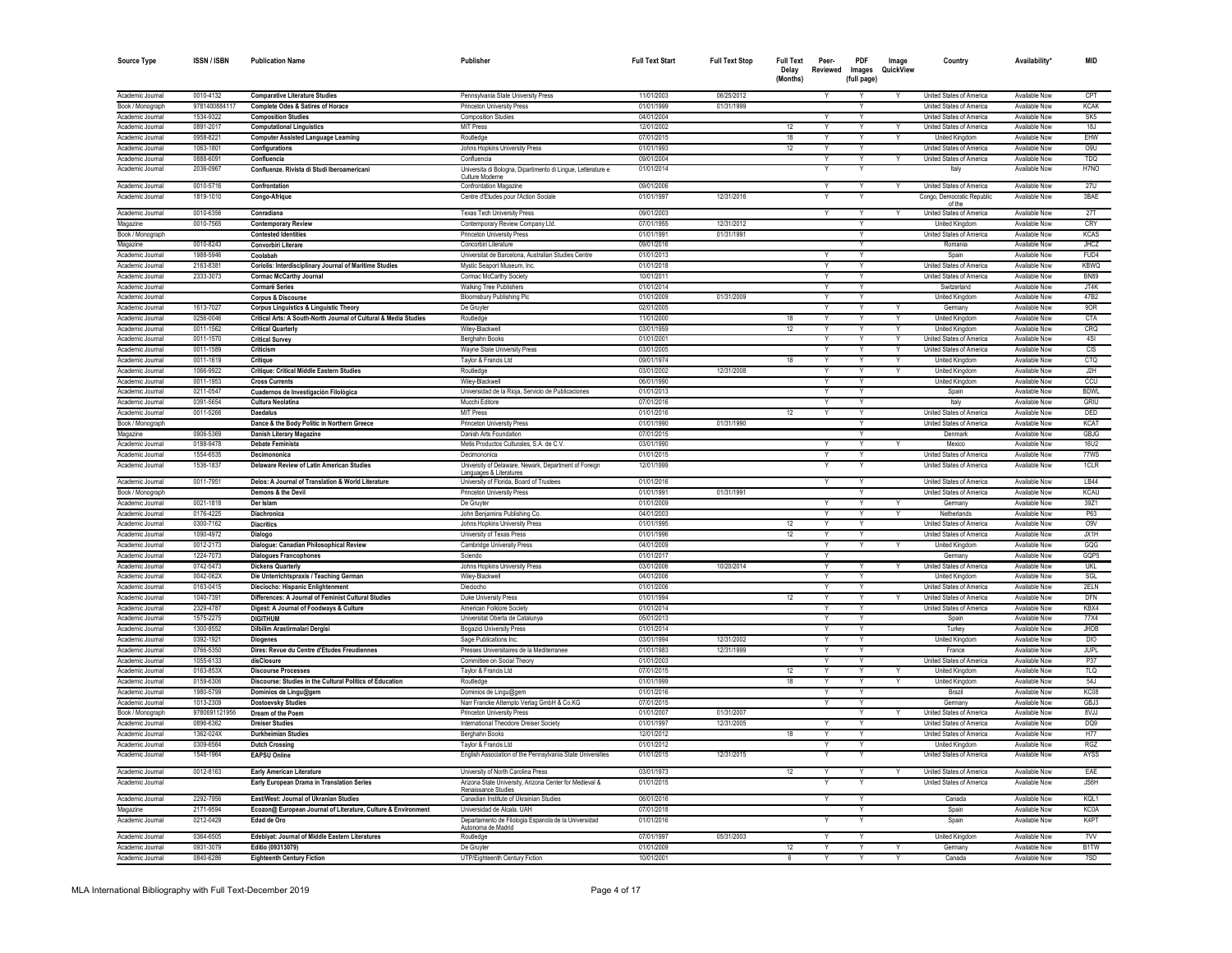| <b>Source Type</b>                   | <b>ISSN/ISBN</b>       | <b>Publication Name</b>                                                                         | Publisher                                                                                                                    | <b>Full Text Start</b>   | <b>Full Text Stop</b> | <b>Full Text</b><br>Delay<br>(Months) | Peer-<br>Reviewed       | PDF<br>Images<br>(full page) | Image<br>QuickView | Country                                              | Availability*                  | <b>MID</b>               |
|--------------------------------------|------------------------|-------------------------------------------------------------------------------------------------|------------------------------------------------------------------------------------------------------------------------------|--------------------------|-----------------------|---------------------------------------|-------------------------|------------------------------|--------------------|------------------------------------------------------|--------------------------------|--------------------------|
| Academic Journal                     | 0010-4132              | <b>Comparative Literature Studies</b>                                                           | Pennsylvania State University Press                                                                                          | 11/01/2003               | 06/25/2012            |                                       | Y                       | Υ                            |                    | United States of America                             | Available Now                  | CPT                      |
| Book / Monograph                     | 9781400884117          | Complete Odes & Satires of Horace                                                               | Princeton University Press                                                                                                   | 01/01/1999               | 01/31/1999            |                                       |                         | Υ                            |                    | United States of America                             | Available Now                  | <b>KCAK</b>              |
| Academic Journal                     | 1534-9322              | <b>Composition Studies</b>                                                                      | <b>Composition Studies</b>                                                                                                   | 04/01/2004               |                       |                                       |                         | Υ                            |                    | United States of America                             | Available Now                  | SK <sub>5</sub>          |
| Academic Journal                     | 0891-2017              | <b>Computational Linguistics</b>                                                                | <b>MIT Press</b>                                                                                                             | 12/01/2002               |                       | 12                                    |                         |                              |                    | United States of America                             | Available Now                  | 18J                      |
| Academic Journa                      | 0958-8221              | <b>Computer Assisted Language Learning</b>                                                      | Routledge                                                                                                                    | 07/01/2015               |                       | 18                                    |                         |                              |                    | <b>United Kingdom</b>                                | Available Now                  | EHW                      |
| Academic Journal                     | 1063-1801              | Configurations                                                                                  | Johns Hopkins University Press                                                                                               | 01/01/1993               |                       | 12                                    |                         |                              |                    | United States of America                             | Available Now                  | O <sub>9</sub> U         |
| Academic Journal                     | 0888-6091              | Confluencia                                                                                     | Confluencia                                                                                                                  | 09/01/2004               |                       |                                       |                         |                              |                    | United States of America                             | Available Now                  | TDQ                      |
| Academic Journal                     | 2036-0967              | Confluenze, Rivista di Studi Iberoamerican                                                      | Universita di Bologna, Dipartimento di Lingue, Letterature e                                                                 | 01/01/2014               |                       |                                       |                         |                              |                    | Italy                                                | Available Now                  | H7NO                     |
|                                      |                        |                                                                                                 | Culture Moderne                                                                                                              |                          |                       |                                       |                         |                              |                    |                                                      |                                |                          |
| Academic Journal                     | 0010-5716              | Confrontation                                                                                   | Confrontation Magazine                                                                                                       | 09/01/2006               |                       |                                       | Y                       | Y                            |                    | United States of America                             | Available Now                  | 27U                      |
| Academic Journal                     | 1819-1010              | Congo-Afrique                                                                                   | Centre d'Etudes pour l'Action Sociale                                                                                        | 01/01/1997               | 12/31/2016            |                                       |                         |                              |                    | Congo, Democratic Republic<br>of the                 | Available Now                  | 3BAE                     |
| Academic Journal                     | 0010-6356              | Conradiana                                                                                      | <b>Texas Tech University Press</b>                                                                                           | 09/01/2003               |                       |                                       | Υ                       | Y                            |                    | United States of America                             | Available Now                  | 27T                      |
| Magazine                             | 0010-7565              | <b>Contemporary Review</b>                                                                      | Contemporary Review Company Ltd.                                                                                             | 07/01/1955               | 12/31/2012            |                                       |                         | Y                            |                    | United Kingdom                                       | Available Now                  | CRY                      |
| Book / Monograph                     |                        | <b>Contested Identities</b>                                                                     | Princeton University Press                                                                                                   | 01/01/1991               | 01/31/1991            |                                       |                         | Y                            |                    | United States of America                             | Available Now                  | <b>KCAS</b>              |
| Magazine                             | 0010-8243              | Convorbiri Literare                                                                             | Concorbiri Literature                                                                                                        | 09/01/2016               |                       |                                       |                         |                              |                    | Romania                                              | Available Now                  | <b>JHCZ</b>              |
| Academic Journal                     | 1988-5946              | Coolahah                                                                                        | Universitat de Barcelona, Australian Studies Centre                                                                          | 01/01/2013               |                       |                                       |                         | $\checkmark$                 |                    | Spair                                                | Available Now                  | FUD4                     |
| Academic Journal                     | 2163-8381              | Coriolis: Interdisciplinary Journal of Maritime Studies                                         | Mystic Seaport Museum, Inc.                                                                                                  | 01/01/2018               |                       |                                       |                         | Υ                            |                    | United States of America                             | Available Now                  | <b>KBWQ</b>              |
| Academic Journal                     | 2333-3073              | <b>Cormac McCarthy Journal</b>                                                                  | Cormac McCarthy Society                                                                                                      | 10/01/2011               |                       |                                       |                         |                              |                    | United States of America                             | Available Now                  | <b>BN89</b>              |
| Academic Journal                     |                        | <b>Cormarë Series</b>                                                                           | <b>Walking Tree Publishers</b>                                                                                               | 01/01/2014               |                       |                                       |                         |                              |                    | Switzerland                                          | Available Now                  | JT4K                     |
| Academic Journal                     |                        | <b>Corpus &amp; Discourse</b>                                                                   | <b>Bloomsbury Publishing Plc</b>                                                                                             | 01/01/2009               | 01/31/2009            |                                       |                         | Y                            |                    | United Kingdom                                       | Available Now                  | 47 <sub>R2</sub>         |
| Academic Journal                     | 1613-7027              | <b>Corpus Linguistics &amp; Linguistic Theory</b>                                               | De Gruyter                                                                                                                   | 02/01/2005               |                       |                                       | $\overline{\mathsf{Y}}$ | $\overline{\mathsf{v}}$      |                    | Germany                                              | Available Now                  | 90R                      |
| Academic Journal                     | 0256-0046              | Critical Arts: A South-North Journal of Cultural & Media Studies                                | Routledge                                                                                                                    | 11/01/2000               |                       | 18                                    |                         | $\overline{Y}$               |                    | <b>United Kingdom</b>                                | Available Now                  | <b>CTA</b>               |
| Academic Journal                     | 0011-1562              | <b>Critical Quarterly</b>                                                                       | Wiley-Blackwell                                                                                                              | 03/01/1959               |                       | 12                                    |                         |                              |                    | <b>United Kingdom</b>                                | <b>Available Now</b>           | CRQ                      |
|                                      |                        |                                                                                                 |                                                                                                                              | 01/01/200                |                       |                                       |                         | Ÿ                            |                    |                                                      | <b>Available Now</b>           | 4SI                      |
| Academic Journal                     | 0011-1570<br>0011-1589 | <b>Critical Survey</b>                                                                          | Berghahn Books                                                                                                               |                          |                       |                                       | Y                       | Y                            | Y                  | United States of America                             |                                | CIS                      |
| Academic Journal<br>Academic Journal | 0011-1619              | Criticism<br>Critique                                                                           | Wayne State University Press<br>Taylor & Francis Ltd                                                                         | 03/01/2005<br>09/01/1974 |                       | 18                                    |                         | v                            |                    | United States of America<br><b>United Kingdom</b>    | Available Now<br>Available Now | <b>CTQ</b>               |
|                                      |                        |                                                                                                 |                                                                                                                              |                          |                       |                                       | $\vee$                  | $\vee$                       | $\vee$             |                                                      |                                |                          |
| Academic Journal                     | 1066-9922              | <b>Critique: Critical Middle Eastern Studies</b>                                                | Routledge                                                                                                                    | 03/01/2002               | 12/31/2008            |                                       |                         |                              |                    | United Kingdom                                       | Available Now                  | J2H                      |
| Academic Journal                     | 0011-1953              | <b>Cross Currents</b>                                                                           | Wilev-Blackwell                                                                                                              | 06/01/1990               |                       |                                       | Y                       | Y                            |                    | United Kingdom                                       | Available Now                  | ccu                      |
| Academic Journal                     | 0211-0547              | Cuadernos de Investigación Filológica                                                           | Universidad de la Rioja, Servicio de Publicaciones                                                                           | 01/01/2013               |                       |                                       | Y                       | Y                            |                    | Spain                                                | Available Now                  | <b>BDWL</b>              |
| Academic Journal                     | 0391-5654              | Cultura Neolatina                                                                               | Mucchi Editore                                                                                                               | 07/01/2016               |                       |                                       | Y                       | Y                            |                    | Italy                                                | Available Now                  | GRIU                     |
| Academic Journal                     | 0011-5266              | <b>Daedalus</b>                                                                                 | <b>MIT Press</b>                                                                                                             | 01/01/2016               |                       | 12                                    |                         | Υ                            |                    | United States of America                             | Available Now                  | DED                      |
| Book / Monograph                     |                        | Dance & the Body Politic in Northern Greece                                                     | Princeton University Press                                                                                                   | 01/01/1990               | 01/31/1990            |                                       |                         | Y                            |                    | United States of America                             | Available Now                  | <b>KCAT</b>              |
| Magazine                             | 0906-5369              | <b>Danish Literary Magazine</b>                                                                 | Danish Arts Foundation                                                                                                       | 07/01/2015               |                       |                                       |                         | Υ                            |                    | Denmark                                              | Available Now                  | <b>GBJG</b>              |
| Academic Journal                     | 0188-9478              | <b>Debate Feminista</b>                                                                         | Metis Productos Culturales, S.A. de C.V.                                                                                     | 03/01/1990               |                       |                                       |                         | Y                            |                    | Mexico                                               | Available Now                  | <b>16U2</b>              |
| Academic Journal                     | 1554-6535              | Decimononica                                                                                    | Decimononica                                                                                                                 | 01/01/2015               |                       |                                       |                         |                              |                    | United States of America                             | Available Now                  | 77WS                     |
| Academic Journal<br>Academic Journal | 1536-1837<br>0011-7951 | Delaware Review of Latin American Studies<br>Delos: A Journal of Translation & World Literature | University of Delaware, Newark, Department of Foreign<br>Languages & Literatures<br>University of Florida, Board of Trustees | 12/01/1999<br>01/01/2016 |                       |                                       |                         |                              |                    | United States of America<br>United States of America | Available Now<br>Available Now | 1CLR<br><b>LB44</b>      |
| Book / Monograph                     |                        | Demons & the Devil                                                                              | Princeton University Press                                                                                                   | 01/01/1991               | 01/31/1991            |                                       |                         |                              |                    | United States of America                             | Available Now                  | <b>KCAU</b>              |
| Academic Journal                     | 0021-1818              |                                                                                                 | De Gruvter                                                                                                                   | 01/01/2009               |                       |                                       |                         |                              |                    | Germany                                              | Available Now                  | 39Z1                     |
|                                      |                        | Der Islam                                                                                       |                                                                                                                              |                          |                       |                                       |                         | Y                            |                    |                                                      |                                |                          |
| Academic Journal<br>Academic Journal | 0176-4225              | Diachronica                                                                                     | John Benjamins Publishing Co                                                                                                 | 04/01/2003<br>01/01/1995 |                       | 12                                    |                         |                              |                    | Netherlands<br>United States of America              | Available Now<br>Available Now | P63                      |
| Academic Journal                     | 0300-7162<br>1090-4972 | <b>Diacritics</b>                                                                               | Johns Hopkins University Press<br>University of Texas Press                                                                  | 01/01/1996               |                       | 12                                    |                         | Υ                            |                    | United States of America                             | Available Now                  | O <sub>9</sub> V<br>JX1H |
| Academic Journal                     | 0012-2173              | Dialogo                                                                                         |                                                                                                                              | 04/01/2009               |                       |                                       |                         |                              |                    |                                                      | Available Now                  | GQG                      |
| Academic Journal                     | 1224-7073              | Dialogue: Canadian Philosophical Review                                                         | <b>Cambridge University Press</b><br>Sciendo                                                                                 | 01/01/2017               |                       |                                       |                         |                              |                    | <b>United Kingdom</b><br>Germany                     | Available Now                  | GQP5                     |
| Academic Journal                     | 0742-5473              | <b>Dialogues Francophones</b>                                                                   |                                                                                                                              | 03/01/2006               | 10/20/2014            |                                       |                         |                              |                    | <b>United States of America</b>                      | Available Now                  | <b>UKL</b>               |
|                                      |                        | <b>Dickens Quarterly</b>                                                                        | Johns Hopkins University Press                                                                                               |                          |                       |                                       | Y                       | Υ                            | Y                  |                                                      |                                |                          |
| Academic Journal                     | 0042-062X              | Die Unterrichtspraxis / Teaching German                                                         | Wiley-Blackwel                                                                                                               | 04/01/2006               |                       |                                       |                         | Y                            |                    | <b>United Kingdom</b>                                | Available Now                  | SGL                      |
| Academic Journal                     | 0163-0415              | Dieciocho: Hispanic Enlightenment                                                               | Dieciocho                                                                                                                    | 01/01/2006               |                       |                                       |                         | Ÿ                            |                    | United States of America                             | Available Now                  | 2ELN                     |
| Academic Journal                     | 1040-7391              | Differences: A Journal of Feminist Cultural Studies                                             | Duke University Press                                                                                                        | 01/01/1994               |                       | 12                                    |                         |                              |                    | United States of America                             | Available Now                  | DFN                      |
| Academic Journal                     | 2329-4787              | Digest: A Journal of Foodways & Culture                                                         | American Folklore Societ                                                                                                     | 01/01/2014               |                       |                                       |                         |                              |                    | United States of America                             | Available Nov                  | KBX4                     |
| Academic Journal                     | 1575-2275              | <b>DIGITHUM</b>                                                                                 | Universitat Oberta de Catalunya                                                                                              | 05/01/2013               |                       |                                       |                         | Y                            |                    | Spain                                                | Available Now                  | 77X4                     |
| Academic Journal                     | 1300-8552              | Dilbilim Arastirmalari Dergisi                                                                  | <b>Bogazici University Press</b>                                                                                             | 01/01/2014               |                       |                                       |                         | Y                            |                    | Turkey                                               | Available Now                  | JHDB                     |
| Academic Journal                     | 0392-1921              | <b>Diogenes</b>                                                                                 | Sage Publications Inc.                                                                                                       | 03/01/1994               | 12/31/2002            |                                       |                         | Y                            |                    | United Kingdom                                       | Available Now                  | <b>DIO</b>               |
| Academic Journal                     | 0766-5350              | Dires: Revue du Centre d'Etudes Freudiennes                                                     | Presses Universitaires de la Mediterranee                                                                                    | 01/01/1983               | 12/31/1999            |                                       | Y                       | Y                            |                    | France                                               | Available Now                  | JUPI.                    |
| Academic Journal                     | 1055-6133              | disClosure                                                                                      | Committee on Social Theory                                                                                                   | 01/01/2003               |                       |                                       | Y                       | Y                            |                    | United States of America                             | Available Now                  | P37                      |
| Academic Journal                     | 0163-853X              | <b>Discourse Processes</b>                                                                      | Taylor & Francis Ltd                                                                                                         | 07/01/2015               |                       | 12                                    |                         | Y                            |                    | United Kingdom                                       | Available Now                  | 7LQ                      |
| Academic Journal                     | 0159-6306              | Discourse: Studies in the Cultural Politics of Education                                        | Routledge                                                                                                                    | 01/01/1999               |                       | 18                                    | Y                       | Y                            | Y                  | United Kingdom                                       | Available Now                  | 54.1                     |
| Academic Journal                     | 1980-5799              | Dominios de Lingu@gem                                                                           | Dominios de Lingu@gem                                                                                                        | 01/01/2016               |                       |                                       |                         | Y                            |                    | Brazil                                               | Available Now                  | KC08                     |
| Academic Journal                     | 1013-2309              | <b>Dostoevsky Studies</b>                                                                       | Narr Francke Attempto Verlag GmbH & Co.KG                                                                                    | 07/01/2015               |                       |                                       | Y                       | Y                            |                    | Germany                                              | Available Now                  | GBJ3                     |
| Book / Monograph                     | 9780691121956          | Dream of the Poem                                                                               | Princeton University Press                                                                                                   | 01/01/2007               | 01/31/2007            |                                       |                         | Υ                            |                    | United States of America                             | Available Now                  | 8VJJ                     |
| Academic Journal                     | 0896-6362              | <b>Dreiser Studies</b>                                                                          | International Theodore Dreiser Society                                                                                       | 01/01/1997               | 12/31/2005            |                                       |                         | Y                            |                    | United States of America                             | Available Now                  | DQ9                      |
| Academic Journa                      | 1362-024X              | <b>Durkheimian Studies</b>                                                                      | Berghahn Books                                                                                                               | 12/01/2012               |                       | 18                                    |                         | Y                            |                    | United States of America                             | Available Now                  | H77                      |
| Academic Journal                     | 0309-6564              | <b>Dutch Crossing</b>                                                                           | Taylor & Francis Ltd                                                                                                         | 01/01/2012               |                       |                                       |                         |                              |                    | <b>United Kingdom</b>                                | Available Now                  | <b>RGZ</b>               |
| Academic Journal                     | 1548-1964              | <b>EAPSU Online</b>                                                                             | English Association of the Pennsylvania State Universities                                                                   | 01/01/2015               | 12/31/2015            |                                       |                         |                              |                    | United States of America                             | Available Now                  | AYSS                     |
| Academic Journal                     | 0012-8163              | <b>Early American Literature</b>                                                                | University of North Carolina Press                                                                                           | 03/01/1973               |                       | 12                                    |                         |                              |                    | United States of America                             | Available Now                  | EAE                      |
| Academic Journal                     |                        | Early European Drama in Translation Series                                                      | Arizona State University, Arizona Center for Medieval &<br>Renaissance Studies                                               | 01/01/2015               |                       |                                       |                         |                              |                    | United States of America                             | Available Now                  | JS6H                     |
| Academic Journal                     | 2292-7956              | East/West: Journal of Ukranian Studies                                                          | Canadian Institute of Ukrainian Studies                                                                                      | 06/01/2016               |                       |                                       | Y                       | Y                            |                    | Canada                                               | Available Now                  | KQL1                     |
| Magazine                             | 2171-9594              | Ecozon@ European Journal of Literature, Culture & Environment                                   | Universidad de Alcala. UAH                                                                                                   | 07/01/2018               |                       |                                       |                         | Y                            |                    | Spain                                                | Available Now                  | <b>KC0A</b>              |
| Academic Journal                     | 0212-0429              | Edad de Oro                                                                                     | Departamento de Filologia Espanola de la Universidad<br>Autonoma de Madrid                                                   | 01/01/2016               |                       |                                       |                         |                              |                    | Spain                                                | Available Now                  | K4PT                     |
| Academic Journal                     | 0364-6505              | Edebiyat: Journal of Middle Eastern Literatures                                                 | Routledge                                                                                                                    | 07/01/1997               | 05/31/2003            |                                       | Υ                       | Υ                            |                    | United Kingdom                                       | Available Now                  | 7W                       |
| Academic Journal                     | 0931-3079              | Editio (09313079)                                                                               | De Gruvter                                                                                                                   | 01/01/2009               |                       | 12                                    | Y                       | Y                            | Y                  | Germany                                              | Available Now                  | B1TW                     |
| Academic Journal                     | 0840-6286              | <b>Eighteenth Century Fiction</b>                                                               | UTP/Eighteenth Century Fiction                                                                                               | 10/01/2001               |                       | 6                                     |                         |                              |                    | Canada                                               | Available Now                  | 7SD                      |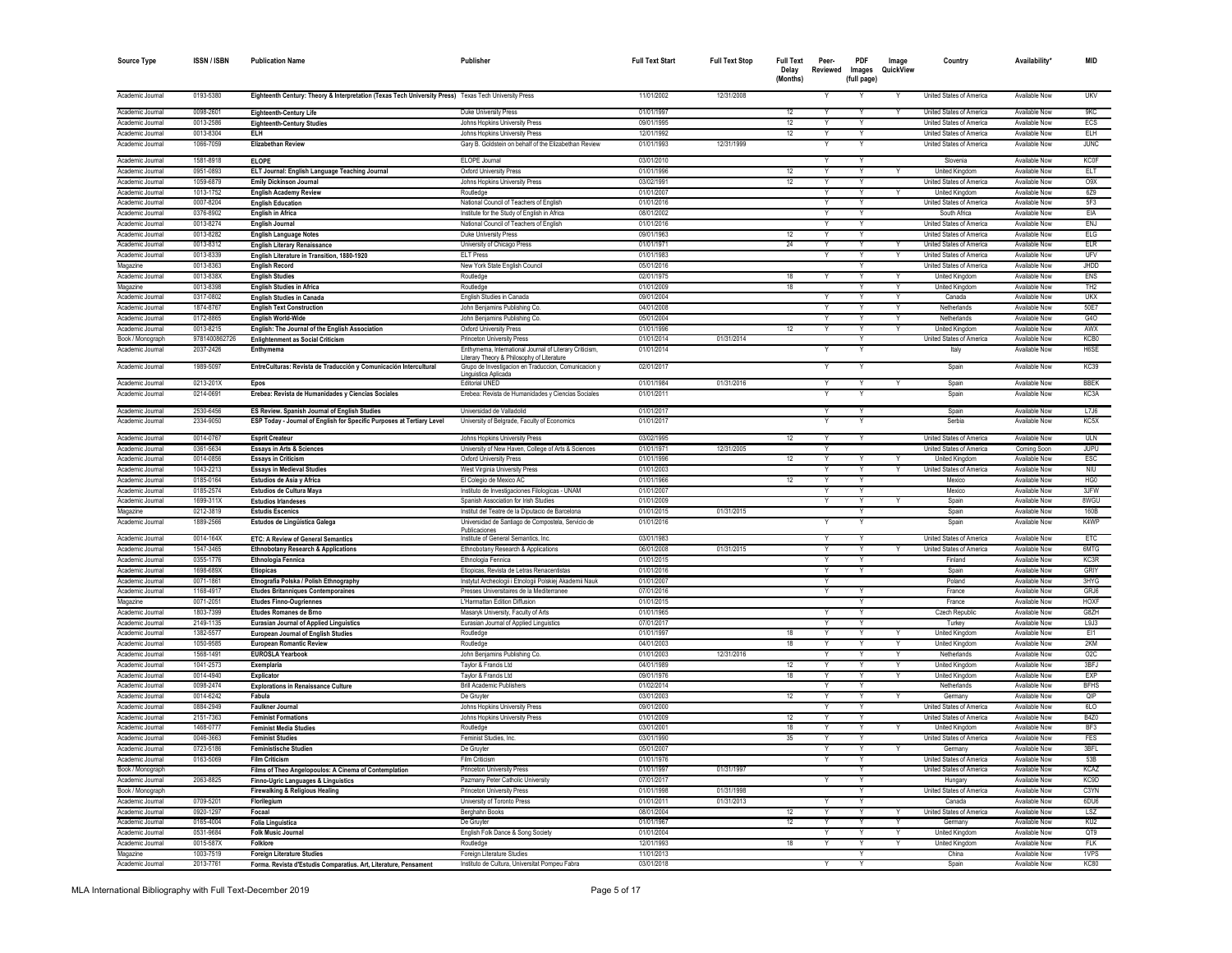| <b>Source Type</b>                   | <b>ISSN / ISBN</b>     | <b>Publication Name</b>                                                                               | Publisher                                                                                            | <b>Full Text Start</b>   | <b>Full Text Stop</b>    | <b>Full Text</b><br>Delav<br>(Months) | Peer-<br>Reviewed       | PDF<br>Images<br>(full page) | Image<br>QuickView | Country                                    | Availability*                         | MID                      |
|--------------------------------------|------------------------|-------------------------------------------------------------------------------------------------------|------------------------------------------------------------------------------------------------------|--------------------------|--------------------------|---------------------------------------|-------------------------|------------------------------|--------------------|--------------------------------------------|---------------------------------------|--------------------------|
| Academic Journal                     | 0193-5380              | Eighteenth Century: Theory & Interpretation (Texas Tech University Press) Texas Tech University Press |                                                                                                      | 11/01/2002               | 12/31/2008               |                                       |                         |                              |                    | United States of America                   | Available Now                         | <b>UKV</b>               |
| Academic Journal                     | 0098-2601              | Eighteenth-Century Life                                                                               | Duke University Press                                                                                | 01/01/1997               |                          | 12                                    |                         |                              |                    | United States of America                   | Available Now                         | <b>GKC</b>               |
| Academic Journal                     | 0013-2586              | <b>Eighteenth-Century Studies</b>                                                                     | Johns Hopkins University Press                                                                       | 09/01/1995               |                          | 12                                    | Y                       | Y                            |                    | United States of America                   | Available Now                         | ECS                      |
| Academic Journal                     | 0013-8304              | <b>ELH</b>                                                                                            | Johns Hopkins University Press                                                                       | 12/01/1992               |                          | 12                                    | Y                       | Y                            |                    | United States of America                   | Available Now                         | <b>ELH</b>               |
| Academic Journal                     | 1066-7059              | <b>Elizabethan Review</b>                                                                             | Gary B. Goldstein on behalf of the Elizabethan Review                                                | 01/01/1993               | 12/31/1999               |                                       |                         |                              |                    | United States of America                   | Available Now                         | <b>JUNC</b>              |
| Academic Journal                     | 1581-8918              | <b>ELOPE</b>                                                                                          | ELOPE Journal                                                                                        | 03/01/2010               |                          |                                       | Y                       | Y                            |                    | Slovenia                                   | Available Now                         | KC0F                     |
| Academic Journal                     | 0951-0893              | ELT Journal: English Language Teaching Journal                                                        | <b>Oxford University Press</b>                                                                       | 01/01/1996               |                          | 12                                    | Y                       | Y                            | Y                  | United Kingdom                             | Available Now                         | <b>ELT</b>               |
| Academic Journal                     | 1059-6879              | <b>Emily Dickinson Journal</b>                                                                        | Johns Hopkins University Press                                                                       | 03/02/1991               |                          | 12                                    | Y                       | Y                            |                    | <b>United States of America</b>            | Available Now                         | 0.9X                     |
| Academic Journal                     | 1013-1752              | <b>English Academy Review</b>                                                                         | Routledge                                                                                            | 01/01/2007               |                          |                                       | Y                       | Y                            | Y                  | <b>United Kingdom</b>                      | <b>Available Now</b>                  | 6Z9                      |
| Academic Journal                     | 0007-8204<br>0376-8902 | <b>English Education</b>                                                                              | National Council of Teachers of English                                                              | 01/01/2016<br>08/01/2002 |                          |                                       |                         | Y                            |                    | United States of America<br>South Africa   | <b>Available Now</b>                  | 5F3                      |
| Academic Journal<br>Academic Journal | 0013-8274              | <b>English in Africa</b>                                                                              | Institute for the Study of English in Africa<br>National Council of Teachers of English              | 01/01/2016               |                          |                                       |                         | Y                            |                    | United States of America                   | <b>Available Now</b><br>Available Now | EIA<br><b>ENJ</b>        |
| Academic Journal                     | 0013-8282              | English Journal<br><b>English Language Notes</b>                                                      | Duke University Press                                                                                | 09/01/1963               |                          | 12                                    |                         |                              |                    | United States of America                   | <b>Available Now</b>                  | ELG                      |
| Academic Journal                     | 0013-8312              | <b>English Literary Renaissance</b>                                                                   | University of Chicago Press                                                                          | 01/01/1971               |                          | 24                                    |                         | Y                            |                    | United States of America                   | Available Now                         | <b>ELR</b>               |
| Academic Journal                     | 0013-8339              | English Literature in Transition, 1880-1920                                                           | <b>ELT Press</b>                                                                                     | 01/01/1983               |                          |                                       |                         |                              |                    | United States of America                   | <b>Available Now</b>                  | UFV                      |
| Magazine                             | 0013-8363              | <b>English Record</b>                                                                                 | New York State English Council                                                                       | 05/01/2016               |                          |                                       |                         | Y                            |                    | <b>United States of America</b>            | Available Now                         | <b>JHDD</b>              |
| Academic Journal                     | 0013-838X              | <b>English Studies</b>                                                                                | Routledge                                                                                            | 02/01/1975               |                          | 18                                    | $\overline{\mathsf{Y}}$ | Y                            | Y                  | <b>United Kingdom</b>                      | Available Now                         | <b>ENS</b>               |
| Magazine                             | 0013-8398              | <b>English Studies in Africa</b>                                                                      | Routledge                                                                                            | 01/01/2009               |                          | 18                                    |                         | $\overline{\mathsf{v}}$      |                    | <b>United Kingdom</b>                      | <b>Available Now</b>                  | TH <sub>2</sub>          |
| Academic Journal                     | 0317-0802              | <b>English Studies in Canada</b>                                                                      | English Studies in Canada                                                                            | 09/01/2004               |                          |                                       | $\overline{Y}$          | Y                            |                    | Canada                                     | <b>Available Now</b>                  | <b>UKX</b>               |
| Academic Journal                     | 1874-8767              | <b>English Text Construction</b>                                                                      | John Benjamins Publishing Co.                                                                        | 04/01/2008               |                          |                                       | Y                       | $\checkmark$                 |                    | Netherlands                                | Available Now                         | 50E7                     |
| Academic Journal                     | 0172-8865              | <b>English World-Wide</b>                                                                             | John Benjamins Publishing Co.                                                                        | 05/01/2004               |                          |                                       | $\vee$                  | $\vee$                       |                    | Netherlands                                | Available Now                         | G4O                      |
| Academic Journal                     | 0013-8215              | English: The Journal of the English Association                                                       | Oxford University Press                                                                              | 01/01/1996               |                          | 12                                    | Y                       | Y                            | Y                  | United Kingdom                             | Available Now                         | AWX                      |
| Book / Monograph                     | 9781400862726          | <b>Enlightenment as Social Criticism</b>                                                              | Princeton University Press                                                                           | 01/01/2014               | 01/31/2014               |                                       |                         | Y                            |                    | United States of America                   | Available Now                         | KCB0                     |
| Academic Journal<br>Academic Journal | 2037-2426              | Enthymema                                                                                             | Enthymema, International Journal of Literary Criticism<br>Literary Theory & Philosophy of Literature | 01/01/2014<br>02/01/2017 |                          |                                       | Y                       | Υ<br>Y                       |                    | Italy                                      | Available Nov<br>Available Now        | H6SF                     |
|                                      | 1989-5097              | EntreCulturas: Revista de Traducción y Comunicación Intercultural                                     | Grupo de Investigacion en Traduccion, Comunicacion y<br>Linguistica Aplicada                         |                          |                          |                                       |                         |                              |                    | Spain                                      |                                       | <b>KC39</b>              |
| Academic Journal                     | 0213-201X              | Epos                                                                                                  | Editorial UNED                                                                                       | 01/01/1984               | 01/31/2016               |                                       | Y                       | Y                            |                    | Spain                                      | Available Now                         | <b>BBFK</b>              |
| Academic Journal                     | 0214-0691              | Erebea: Revista de Humanidades y Ciencias Sociales                                                    | Erebea: Revista de Humanidades y Ciencias Sociales                                                   | 01/01/2011               |                          |                                       | Y                       |                              |                    | Spain                                      | Available Now                         | KC3A                     |
| Academic Journal                     | 2530-6456              | ES Review. Spanish Journal of English Studies                                                         | Universidad de Valladolid                                                                            | 01/01/2017               |                          |                                       | $\checkmark$            |                              |                    | Spain                                      | Available Now                         | L7J6                     |
| Academic Journal                     | 2334-9050              | ESP Today - Journal of English for Specific Purposes at Tertiary Level                                | University of Belgrade, Faculty of Economics                                                         | 01/01/2017               |                          |                                       |                         |                              |                    | Serbia                                     | Available Now                         | KC5X                     |
| Academic Journal                     | 0014-0767              | <b>Esprit Createur</b>                                                                                | Johns Hopkins University Press                                                                       | 03/02/1995               |                          | 12                                    | Y                       |                              |                    | United States of America                   | <b>Available Now</b>                  | <b>ULN</b>               |
| Academic Journal                     | 0361-5634              | <b>Essays in Arts &amp; Sciences</b>                                                                  | University of New Haven, College of Arts & Sciences                                                  | 01/01/1971               | 12/31/2005               |                                       | $\checkmark$            |                              |                    | United States of America                   | Coming Soon                           | <b>JUPU</b>              |
| Academic Journal<br>Academic Journal | 0014-0856              | <b>Essays in Criticism</b>                                                                            | Oxford University Press                                                                              | 01/01/1996<br>01/01/2003 |                          | 12                                    | Y                       | Y                            |                    | United Kingdom<br>United States of America | Available Now                         | <b>ESC</b><br><b>NIU</b> |
| Academic Journal                     | 1043-2213<br>0185-0164 | <b>Essays in Medieval Studies</b><br>Estudios de Asia y Africa                                        | West Virginia University Press                                                                       | 01/01/1966               |                          | 12                                    | Y<br>Y                  | Y<br>Y                       | Y                  | Mexico                                     | Available Now<br>Available Now        | HG0                      |
| Academic Journal                     | 0185-2574              | Estudios de Cultura Maya                                                                              | El Colegio de Mexico AC<br>Instituto de Investigaciones Filologicas - UNAM                           | 01/01/2007               |                          |                                       | Y                       | Y                            |                    | Mexico                                     | <b>Available Now</b>                  | 3JFW                     |
| Academic Journal                     | 1699-311X              | <b>Estudios Irlandeses</b>                                                                            | Spanish Association for Irish Studies                                                                | 01/01/2009               |                          |                                       | Y                       | Υ                            | Y                  | Spain                                      | <b>Available Now</b>                  | 8WGU                     |
| Magazine                             | 0212-3819              | <b>Estudis Escenics</b>                                                                               | Institut del Teatre de la Diputacio de Barcelona                                                     | 01/01/2015               | 01/31/2015               |                                       |                         | Y                            |                    | Spain                                      | <b>Available Now</b>                  | 160B                     |
| Academic Journal                     | 1889-2566              | Estudos de Lingüística Galega                                                                         | Universidad de Santiago de Compostela, Servicio de<br>Publicaciones                                  | 01/01/2016               |                          |                                       |                         |                              |                    | Spain                                      | Available Now                         | K4WP                     |
| Academic Journal                     | 0014-164X              | ETC: A Review of General Semantics                                                                    | Institute of General Semantics, Inc.                                                                 | 03/01/1983               |                          |                                       |                         |                              |                    | United States of America                   | <b>Available Now</b>                  | ETC                      |
| Academic Journal                     | 1547-3465              | <b>Ethnobotany Research &amp; Applications</b>                                                        | Ethnobotany Research & Applications                                                                  | 06/01/2008               | 01/31/2015               |                                       |                         | Y                            |                    | United States of America                   | <b>Available Now</b>                  | 6MTG                     |
| Academic Journal                     | 0355-1776              | Ethnologia Fennica                                                                                    | Ethnologia Fennica                                                                                   | 01/01/2015               |                          |                                       |                         |                              |                    | Finland                                    | Available Now                         | KC3R                     |
| Academic Journal                     | 1698-689X              | <b>Etiopicas</b>                                                                                      | Etiopicas, Revista de Letras Renacentistas                                                           | 01/01/2016               |                          |                                       | Y                       | Y                            |                    | Spain                                      | Available Now                         | GRIY                     |
| Academic Journal                     | 0071-1861              | Etnografia Polska / Polish Ethnography                                                                | Instytut Archeologii i Etnologii Polskiej Akademii Nauk                                              | 01/01/2007               |                          |                                       |                         |                              |                    | Poland                                     | Available Now                         | 3HYG                     |
| Academic Journal                     | 1168-4917              | <b>Etudes Britanniques Contemporaines</b>                                                             | Presses Universitaires de la Mediterranee                                                            | 07/01/2016               |                          |                                       | $\overline{\mathsf{Y}}$ | Y                            |                    | France                                     | Available Now                         | GRJ6                     |
| Magazine                             | 0071-2051              | <b>Etudes Finno-Ougriennes</b>                                                                        | I 'Harmattan Edition Diffusion                                                                       | 01/01/2015               |                          |                                       |                         | $\overline{\mathsf{v}}$      |                    | France                                     | Available Now                         | <b>HOXF</b>              |
| Academic Journal                     | 1803-7399              | Etudes Romanes de Brno                                                                                | Masaryk University, Faculty of Arts                                                                  | 01/01/1965               |                          |                                       |                         | $\overline{Y}$               |                    | <b>Czech Republic</b>                      | Available Nov                         | G8ZH                     |
| Academic Journal                     | 2149-1135              | <b>Eurasian Journal of Applied Linguistics</b>                                                        | Eurasian Journal of Applied Linguistics                                                              | 07/01/2017               |                          |                                       | $\overline{\mathsf{Y}}$ | $\overline{\mathsf{v}}$      |                    | Turkey                                     | <b>Available Nov</b>                  | 19.13                    |
| Academic Journal                     | 1382-5577              | <b>European Journal of English Studies</b>                                                            | Routledge                                                                                            | 01/01/1997               |                          | 18                                    | $\overline{Y}$          | Y<br>$\vee$                  |                    | <b>United Kingdom</b>                      | <b>Available Now</b>                  | EI1                      |
| Academic Journal                     | 1050-9585<br>1568-1491 | <b>European Romantic Review</b>                                                                       | Routledge                                                                                            | 04/01/2003<br>01/01/2003 | 12/31/2016               | 18                                    | Y<br>Y                  | Y                            |                    | <b>United Kingdom</b><br>Netherlands       | Available Now<br>Available Now        | 2KM                      |
| Academic Journal<br>Academic Journal | 1041-2573              | <b>EUROSLA Yearbook</b><br>Exemplaria                                                                 | John Benjamins Publishing Co.<br>Taylor & Francis Ltd                                                | 04/01/1989               |                          | 12                                    | Y                       | Y                            | Y                  | United Kingdom                             | Available Now                         | O2C<br>3BFJ              |
| Academic Journal                     | 0014-4940              | Explicator                                                                                            | Taylor & Francis Ltd                                                                                 | 09/01/1976               |                          | 18                                    | Υ                       | Y                            | Y                  | United Kingdom                             | Available Now                         | <b>FXP</b>               |
| Academic Journal                     | 0098-2474              | <b>Explorations in Renaissance Culture</b>                                                            | <b>Brill Academic Publishers</b>                                                                     | 01/02/2014               |                          |                                       |                         | Υ                            |                    | Netherlands                                | Available Now                         | <b>BFHS</b>              |
| Academic Journal                     | 0014-6242              | Fabula                                                                                                | De Gruyter                                                                                           | 03/01/2003               |                          | 12                                    | Υ                       | Y                            | Y                  | Germany                                    | Available Now                         | QIP                      |
| Academic Journal                     | 0884-2949              | Faulkner Journal                                                                                      | Johns Hopkins University Press                                                                       | 09/01/2000               |                          |                                       |                         | Y                            |                    | United States of America                   | Available Now                         | 6LO                      |
| Academic Journal                     | 2151-7363              | <b>Feminist Formations</b>                                                                            | Johns Hopkins University Press                                                                       | 01/01/2009               |                          | 12                                    |                         | $\overline{Y}$               |                    | United States of America                   | <b>Available Now</b>                  | <b>B4Z0</b>              |
| Academic Journal                     | 1468-0777              | <b>Feminist Media Studies</b>                                                                         | Routledge                                                                                            | 03/01/2001               |                          | 18                                    |                         |                              |                    | United Kingdom                             | Available Now                         | BF3                      |
| Academic Journal                     | 0046-3663              | <b>Feminist Studies</b>                                                                               | Feminist Studies, Inc.                                                                               | 03/01/1990               |                          | 35                                    | Υ                       | Y                            |                    | United States of America                   | Available Now                         | FES                      |
| Academic Journal                     | 0723-5186              | <b>Feministische Studien</b>                                                                          | De Gruyter                                                                                           | 05/01/2007               |                          |                                       |                         |                              |                    | Germany                                    | <b>Available Now</b>                  | 3BFL                     |
| Academic Journal                     | 0163-5069              | <b>Film Criticism</b>                                                                                 | Film Criticism                                                                                       | 01/01/1976               |                          |                                       | Y                       | Y                            |                    | United States of America                   | Available Now                         | 53B                      |
| Book / Monograph                     |                        | Films of Theo Angelopoulos: A Cinema of Contemplation                                                 | Princeton University Press                                                                           | 01/01/1997               | 01/31/1997               |                                       |                         | Y                            |                    | United States of America                   | Available Now                         | <b>KCAZ</b>              |
| Academic Journal                     | 2063-8825              | Finno-Ugric Languages & Linguistics                                                                   | Pazmany Peter Catholic University                                                                    | 07/01/2017               |                          |                                       |                         | $\overline{Y}$<br>Y          |                    | Hungar                                     | Available Now                         | KC9D                     |
| Book / Monograph<br>Academic Journal | 0709-5201              | <b>Firewalking &amp; Religious Healing</b>                                                            | Princeton University Press                                                                           | 01/01/1998<br>01/01/2011 | 01/31/1998<br>01/31/2013 |                                       | Y                       | Y                            |                    | United States of America<br>Canada         | Available Nov<br>Available Now        | C3YN<br>6DU6             |
| Academic Journal                     | 0920-1297              | Florilegium<br>Focaal                                                                                 | University of Toronto Press<br>Berghahn Books                                                        | 08/01/2004               |                          | 12                                    | Y                       | Y                            |                    | United States of America                   | Available Now                         | <b>LSZ</b>               |
| Academic Journal                     | 0165-4004              | <b>Folia Linguistica</b>                                                                              | De Gruyter                                                                                           | 01/01/1967               |                          | 12                                    | Y                       | Y                            | Y                  | Germany                                    | Available Now                         | KU2                      |
| Academic Journal                     | 0531-9684              | <b>Folk Music Journal</b>                                                                             | English Folk Dance & Song Society                                                                    | 01/01/2004               |                          |                                       | Y                       | Y                            | Y                  | <b>United Kinadon</b>                      | Available Now                         | OT9                      |
| Academic Journal                     | 0015-587X              | Folklore                                                                                              | Routledge                                                                                            | 12/01/1993               |                          | 18                                    | Y                       | Υ                            | Y                  | <b>United Kinadon</b>                      | Available Now                         | <b>FLK</b>               |
| Magazine                             | 1003-7519              | <b>Foreign Literature Studies</b>                                                                     | Foreign Literature Studies                                                                           | 11/01/2013               |                          |                                       |                         | Υ                            |                    | China                                      | <b>Available Now</b>                  | 1VPS                     |
| Academic Journal                     | 2013-7761              | Forma. Revista d'Estudis Comparatius. Art, Literature, Pensament                                      | Instituto de Cultura, Universitat Pompeu Fabra                                                       | 03/01/2018               |                          |                                       |                         |                              |                    | Spain                                      | <b>Available Now</b>                  | <b>KC80</b>              |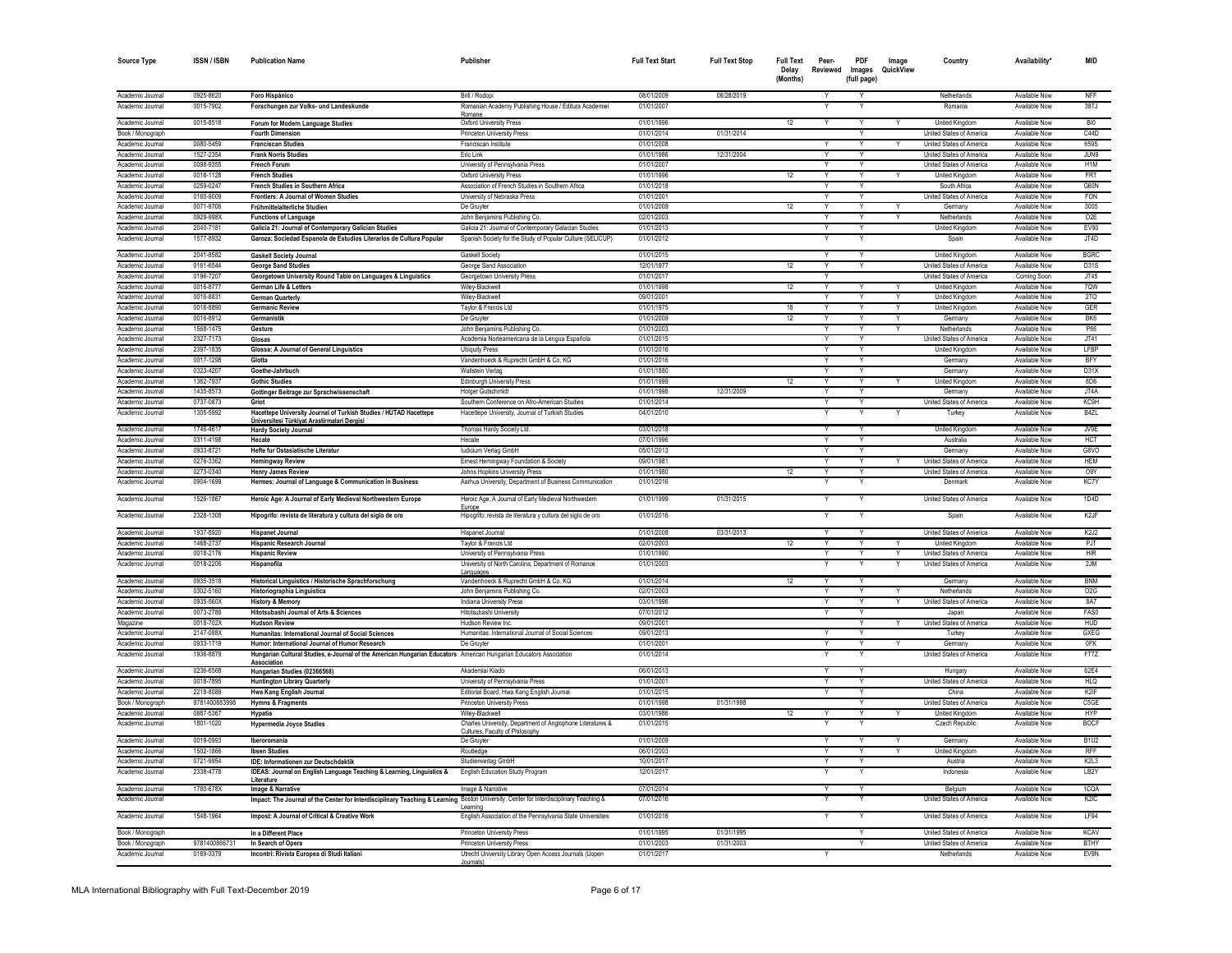| <b>Source Type</b>                   | <b>ISSN/ISBN</b>       | <b>Publication Name</b>                                                                                                                | Publisher                                                                                     | <b>Full Text Start</b>   | <b>Full Text Stop</b>    | <b>Full Text</b><br>Delay<br>(Months) | Peer-<br>Reviewed | <b>PDF</b><br>Images<br>(full page) | Image<br>QuickView | Country                                                     | Availability <sup>*</sup>             | <b>MID</b>                            |
|--------------------------------------|------------------------|----------------------------------------------------------------------------------------------------------------------------------------|-----------------------------------------------------------------------------------------------|--------------------------|--------------------------|---------------------------------------|-------------------|-------------------------------------|--------------------|-------------------------------------------------------------|---------------------------------------|---------------------------------------|
|                                      | 0925-8620              |                                                                                                                                        |                                                                                               | 08/01/2009               |                          |                                       |                   |                                     |                    |                                                             |                                       | <b>NFF</b>                            |
| Academic Journal<br>Academic Journal | 0015-7902              | Foro Hispánico<br>Forschungen zur Volks- und Landeskunde                                                                               | Brill / Rodoni<br>Romanian Academy Publishing House / Editura Academiei                       | 01/01/2007               | 06/28/2019               |                                       |                   |                                     |                    | Netherlands<br>Romania                                      | Available Now<br>Available Now        | 38TJ                                  |
|                                      |                        |                                                                                                                                        | Romane                                                                                        |                          |                          |                                       |                   |                                     |                    |                                                             |                                       |                                       |
| Academic Journal                     | 0015-8518              | Forum for Modern Language Studies                                                                                                      | Oxford University Press                                                                       | 01/01/1996               |                          | 12                                    | $\vee$            | v                                   |                    | <b>United Kingdom</b>                                       | Available Now                         | <b>RIO</b>                            |
| Book / Monograph                     |                        | <b>Fourth Dimension</b>                                                                                                                | <b>Princeton University Press</b>                                                             | 01/01/2014               | 01/31/2014               |                                       |                   |                                     |                    | United States of America                                    | Available Now                         | C44D                                  |
| Academic Journal<br>Academic Journal | 0080-5459<br>1527-2354 | <b>Franciscan Studies</b><br><b>Frank Norris Studies</b>                                                                               | Franciscan Institute<br>Eric Link                                                             | 01/01/2008<br>01/01/1986 | 12/31/2004               |                                       |                   | Y<br>Y                              |                    | <b>United States of America</b><br>United States of America | Available Now<br>Available Now        | 659S<br>JUN9                          |
| Academic Journal                     | 0098-9355              | <b>French Forun</b>                                                                                                                    | University of Pennsylvania Press                                                              | 01/01/2007               |                          |                                       |                   |                                     |                    | United States of America                                    | Available Nov                         | H <sub>1</sub> M                      |
| Academic Journal                     | 0016-1128              | <b>French Studies</b>                                                                                                                  | Oxford University Press                                                                       | 01/01/1996               |                          | 12                                    |                   | Y                                   |                    | United Kingdon                                              | Available Nov                         | <b>FRT</b>                            |
| Academic Journal                     | 0259-0247              | French Studies in Southern Africa                                                                                                      | Association of French Studies in Southern Africa                                              | 01/01/2018               |                          |                                       |                   | Y                                   |                    | South Africa                                                | Available Now                         | G60N                                  |
| Academic Journal                     | 0160-9009              | Frontiers: A Journal of Women Studies                                                                                                  | University of Nebraska Press                                                                  | 01/01/2001               |                          |                                       | Y                 | Y                                   |                    | United States of America                                    | Available Now                         | <b>FON</b>                            |
| Academic Journal                     | 0071-9706              | Frühmittelalterliche Studien                                                                                                           | De Gruyter                                                                                    | 01/01/2009               |                          | 12                                    | Y                 | Y                                   | Y                  | Germany                                                     | Available Now                         | 3005                                  |
| Academic Journal                     | 0929-998X              | <b>Functions of Language</b>                                                                                                           | John Benjamins Publishing Co.                                                                 | 02/01/2003               |                          |                                       |                   | Y                                   | Y                  | Netherlands                                                 | Available Now                         | O <sub>2</sub> E                      |
| Academic Journal                     | 2040-7181              | Galicia 21: Journal of Contemporary Galician Studies                                                                                   | Galicia 21: Journal of Contemporary Galacian Studies                                          | 01/01/2013               |                          |                                       | Y                 | Y                                   |                    | United Kingdom                                              | Available Now                         | EV90                                  |
| Academic Journal<br>Academic Journal | 1577-8932<br>2041-8582 | Garoza: Sociedad Espanola de Estudios Literarios de Cultura Popular<br><b>Gaskell Society Journal</b>                                  | Spanish Society for the Study of Popular Culture (SELICUP)<br>Gaskell Society                 | 01/01/2012<br>01/01/2015 |                          |                                       |                   | Y                                   |                    | Spain<br><b>United Kingdom</b>                              | Available Now<br>Available Now        | JT4D<br><b>BGRC</b>                   |
| Academic Journal                     | 0161-6544              | <b>George Sand Studies</b>                                                                                                             | George Sand Association                                                                       | 12/01/1977               |                          | 12                                    | Y                 | Y                                   |                    | <b>United States of America</b>                             | Available Now                         | D31S                                  |
| Academic Journal                     | 0196-7207              | Georgetown University Round Table on Languages & Linguistics                                                                           | Georgetown University Press                                                                   | 01/01/2017               |                          |                                       |                   |                                     |                    | United States of America                                    | Coming Soon                           | JT45                                  |
| Academic Journal                     | 0016-8777              | German Life & Letters                                                                                                                  | Wiley-Blackwell                                                                               | 01/01/1998               |                          | 12                                    |                   |                                     |                    | <b>United Kingdom</b>                                       | Available Now                         | 7QW                                   |
| Academic Journal                     | 0016-883               | <b>German Quarterly</b>                                                                                                                | Wiley-Blackwell                                                                               | 09/01/2001               |                          |                                       |                   |                                     |                    | <b>United Kingdom</b>                                       | Available Now                         | 2TO                                   |
| Academic Journa                      | 0016-8890              | <b>Germanic Review</b>                                                                                                                 | Taylor & Francis Ltd                                                                          | 01/01/1975               |                          | 18                                    |                   |                                     |                    | United Kingdom                                              | Available Now                         | GER                                   |
| Academic Journal                     | 0016-8912              | Germanistik                                                                                                                            | De Gruyter                                                                                    | 01/01/2009               |                          | 12                                    |                   | $\checkmark$                        |                    | Germany                                                     | Available Now                         | BK <sub>6</sub>                       |
| Academic Journal                     | 1568-1475              | Gesture                                                                                                                                | John Benjamins Publishing Co                                                                  | 01/01/2003               |                          |                                       |                   | Υ                                   |                    | Netherlands                                                 | Available Now                         | P66                                   |
| Academic Journal                     | 2327-7173              | Glosse                                                                                                                                 | Academia Norteamericana de la Lengua Española                                                 | 01/01/2015               |                          |                                       |                   | $\checkmark$                        |                    | United States of America                                    | Available Now                         | JT41<br>LFBP                          |
| Academic Journal<br>Academic Journal | 2397-1835<br>0017-1298 | Glossa: A Journal of General Linguistics<br>Glotta                                                                                     | <b>Ubiquity Press</b><br>Vandenhoeck & Ruprecht GmbH & Co. KG                                 | 01/01/2016<br>01/01/2016 |                          |                                       |                   | $\overline{\mathsf{v}}$             |                    | <b>United Kingdom</b><br>Germany                            | Available Now<br>Available Now        | BFY                                   |
| Academic Journal                     | 0323-4207              | Goethe-Jahrbuch                                                                                                                        | <b>Wallstein Verlag</b>                                                                       | 01/01/1880               |                          |                                       |                   |                                     |                    | Germany                                                     | Available Nov                         | D31X                                  |
| Academic Journal                     | 1362-793               | <b>Gothic Studie:</b>                                                                                                                  | <b>Edinburgh University Press</b>                                                             | 01/01/1999               |                          | 12                                    | $\overline{Y}$    | Y                                   |                    | <b>United Kingdom</b>                                       | Available Now                         | 8D6                                   |
| Academic Journal                     | 1435-8573              | Gottinger Beitrage zur Sprachwissenschaft                                                                                              | <b>Holger Gutschmidt</b>                                                                      | 01/01/1998               | 12/31/2009               |                                       | $\checkmark$      | Y                                   |                    | Germany                                                     | Available Now                         | JT4A                                  |
| Academic Journal                     | 0737-0873              | Griot                                                                                                                                  | Southern Conference on Afro-American Studies                                                  | 01/01/2014               |                          |                                       | $\vee$            | Y                                   |                    | United States of America                                    | Available Now                         | KC9H                                  |
| Academic Journal                     | 1305-5992              | Hacettepe University Journal of Turkish Studies / HÜTAD Hacettepe<br>Üniversitesi Türkiyat Arastirmalari Dergisi                       | Hacettepe University, Journal of Turkish Studies                                              | 04/01/2010               |                          |                                       |                   | Υ                                   |                    | Turkey                                                      | Available Now                         | B4ZL                                  |
| Academic Journal                     | 1746-4617              | <b>Hardy Society Journal</b>                                                                                                           | Thomas Hardy Society Ltd.                                                                     | 03/01/2018               |                          |                                       | $\checkmark$      | Y                                   |                    | <b>United Kingdom</b>                                       | Available Now                         | JV9E                                  |
| Academic Journal                     | 0311-4198              | Hecate                                                                                                                                 | Hecate                                                                                        | 07/01/1996               |                          |                                       | $\vee$            | Y                                   |                    | Australia                                                   | Available Now                         | <b>HCT</b>                            |
| Academic Journal<br>Academic Journal | 0933-8721<br>0276-3362 | Hefte fur Ostasiatische Literatur                                                                                                      | ludicium Verlag GmbH<br>Ernest Hemingway Foundation & Society                                 | 05/01/2013<br>09/01/1981 |                          |                                       | Y                 | Y<br>Y                              |                    | Germany<br><b>United States of America</b>                  | Available Now<br>Available Now        | G8VO<br><b>HEM</b>                    |
| Academic Journal                     | 0273-0340              | <b>Hemingway Review</b><br><b>Henry James Review</b>                                                                                   | Johns Hopkins University Press                                                                | 01/01/1980               |                          | 12                                    |                   | Υ                                   |                    | United States of America                                    | Available Now                         | O <sub>9</sub> Y                      |
| Academic Journal                     | 0904-1699              | Hermes: Journal of Language & Communication in Business                                                                                | Aarhus University. Department of Business Communication                                       | 01/01/2016               |                          |                                       |                   |                                     |                    | Denmark                                                     | Available Now                         | KC7Y                                  |
| Academic Journal                     | 1526-1867              | Heroic Age: A Journal of Early Medieval Northwestern Europe                                                                            | Heroic Age: A Journal of Early Medieval Northwestern<br>Furone                                | 01/01/1999               | 01/31/2015               |                                       | Y                 | Y                                   |                    | United States of America                                    | Available Now                         | 1D4D                                  |
| Academic Journal<br>Academic Journal | 2328-1308<br>1937-8920 | Hipogrifo: revista de literatura y cultura del siglo de oro<br><b>Hispanet Journal</b>                                                 | Hipogrifo: revista de literatura y cultura del siglo de oro<br><b>Hispanet Journal</b>        | 01/01/2016<br>01/01/2008 | 03/31/2013               |                                       |                   | v                                   |                    | Spain<br>United States of America                           | Available Now<br>Available Now        | K2.F<br>K <sub>2</sub> J <sub>2</sub> |
| Academic Journal                     | 1468-2737              | Hispanic Research Journal                                                                                                              | Taylor & Francis Ltd                                                                          | 02/01/2003               |                          | 12                                    | $\vee$            | v                                   |                    | United Kingdom                                              | Available Now                         | PJT                                   |
| Academic Journal                     | 0018-2176              | <b>Hispanic Review</b>                                                                                                                 | University of Pennsylvania Press                                                              | 01/01/1990               |                          |                                       | Y                 | Y                                   | Y                  | <b>United States of America</b>                             | Available Now                         | <b>HIR</b>                            |
| Academic Journal                     | 0018-2206              | Hispanofila                                                                                                                            | University of North Carolina, Department of Romance<br>Languag                                | 01/01/2003               |                          |                                       |                   |                                     |                    | United States of America                                    | Available Now                         | 2JM                                   |
| Academic Journal                     | 0935-3518              | Historical Linguistics / Historische Sprachforschung                                                                                   | Vandenhoeck & Ruprecht GmbH & Co. KG                                                          | 01/01/2014               |                          | 12                                    | $\vee$            | $\vee$                              |                    | Germany                                                     | Available Now                         | <b>BNM</b>                            |
| Academic Journal                     | 0302-5160              | Historiographia Linguistica                                                                                                            | John Benjamins Publishing Co.                                                                 | 02/01/2003               |                          |                                       | Y                 | Y                                   | Y                  | Netherlands                                                 | Available Now                         | O2G                                   |
| Academic Journal                     | 0935-560X              | History & Memory                                                                                                                       | Indiana University Press                                                                      | 03/01/1996               |                          |                                       | Y                 | Y                                   | Y                  | United States of America                                    | Available Now                         | 8A7                                   |
| Academic Journal<br>Magazine         | 0073-2788<br>0018-702X | Hitotsubashi Journal of Arts & Sciences<br><b>Hudson Review</b>                                                                        | Hitotsubashi University<br>Hudson Review Inc.                                                 | 07/01/2012<br>09/01/2001 |                          |                                       | Y                 | Y                                   | Y                  | Japan<br>United States of America                           | Available Now<br>Available Now        | FAS0<br><b>HUD</b>                    |
| Academic Journal                     | 2147-088X              | Humanitas: International Journal of Social Sciences                                                                                    | Humanitas: International Journal of Social Sciences                                           | 09/01/2013               |                          |                                       |                   | Y<br>Υ                              |                    | Turkey                                                      | Available Now                         | <b>GXEG</b>                           |
| Academic Journal                     | 0933-1719              | Humor: International Journal of Humor Research                                                                                         | De Gruyter                                                                                    | 01/01/2001               |                          |                                       |                   | Y                                   |                    | Germany                                                     | Available Now                         | 0FK                                   |
| Academic Journal                     | 1936-8879              | Hungarian Cultural Studies, e-Journal of the American Hungarian Educators American Hungarian Educators Association<br>Association      |                                                                                               | 01/01/2014               |                          |                                       |                   |                                     |                    | United States of America                                    | Available Now                         | FT7Z                                  |
| Academic Journal                     | 0236-6568              | Hungarian Studies (02366568)                                                                                                           | Akademiai Kiado                                                                               | 06/01/2013               |                          |                                       |                   |                                     |                    | Hungary                                                     | Available Now                         | 62E4                                  |
| Academic Journal<br>Academic Journal | 0018-7895<br>2218-8088 | <b>Huntington Library Quarterly</b>                                                                                                    | University of Pennsylvania Press                                                              | 01/01/200<br>01/01/2015  |                          |                                       |                   | ٧                                   |                    | United States of America                                    | Available Now<br>Available Now        | <b>HLQ</b><br>K <sub>2</sub> IF       |
| Book / Monograph                     | 9781400883998          | Hwa Kang English Journal                                                                                                               | Editorial Board, Hwa Kang English Journal<br><b>Princeton University Press</b>                | 01/01/1998               | 01/31/1998               |                                       |                   | $\checkmark$                        |                    | China<br>United States of America                           | Available Now                         | C5GE                                  |
| Academic Journal                     | 0887-5367              | <b>Hymns &amp; Fragments</b><br>Hypatia                                                                                                | Wiley-Blackwell                                                                               | 03/01/1986               |                          | 12                                    |                   | Y                                   |                    | <b>United Kingdom</b>                                       | Available Now                         | <b>HYP</b>                            |
| Academic Journal                     | 1801-1020              | <b>Hypermedia Joyce Studies</b>                                                                                                        | Charles University, Department of Anglophone Literatures &<br>Cultures, Faculty of Philosophy | 01/01/2015               |                          |                                       |                   |                                     |                    | Czech Republic                                              | Available Now                         | <b>BOCF</b>                           |
| Academic Journal                     | 0019-0993              | Iberoromania                                                                                                                           | De Gruyter                                                                                    | 01/01/2009               |                          |                                       |                   | v                                   |                    | Germany                                                     | Available Now                         | <b>B1U2</b>                           |
| Academic Journal                     | 1502-1866              | <b>Ibsen Studies</b>                                                                                                                   | Routledge                                                                                     | 06/01/2003               |                          |                                       |                   |                                     |                    | <b>United Kinadon</b>                                       | Available Now                         | <b>RFF</b>                            |
| Academic Journal                     | 0721-9954              | IDE: Informationen zur Deutschdaktik                                                                                                   | Studienverlag GmbH                                                                            | 10/01/2017               |                          |                                       | Y                 | Y                                   |                    | Austria                                                     | Available Now                         | K2L3                                  |
| Academic Journal<br>Academic Journal | 2338-4778<br>1780-678X | IDEAS: Journal on English Language Teaching & Learning, Linguistics &<br>Literature<br>Image & Narrative                               | English Education Study Program<br>Image & Narrative                                          | 12/01/2017<br>07/01/2014 |                          |                                       |                   | Y                                   |                    | Indonesia<br>Belaium                                        | Available Now<br>Available Now        | LB <sub>2</sub> Y<br>1CQA             |
| Academic Journal                     |                        | Impact: The Journal of the Center for Interdisciplinary Teaching & Learning Boston University, Center for Interdisciplinary Teaching & |                                                                                               | 07/01/2016               |                          |                                       |                   |                                     |                    | United States of America                                    | Available Now                         | K <sub>2</sub> I <sub>C</sub>         |
| Academic Journal                     | 1548-1964              | Impost: A Journal of Critical & Creative Work                                                                                          | I eaming<br>English Association of the Pennsylvania State Universities                        | 01/01/2016               |                          |                                       |                   |                                     |                    | United States of America                                    | Available Now                         | LF94                                  |
|                                      |                        |                                                                                                                                        | <b>Princeton University Press</b>                                                             |                          |                          |                                       |                   | Y                                   |                    | United States of America                                    |                                       |                                       |
| Book / Monograph<br>Book / Monograph | 9781400866731          | In a Different Place<br>In Search of Opera                                                                                             | <b>Princeton University Press</b>                                                             | 01/01/1995<br>01/01/2003 | 01/31/1995<br>01/31/2003 |                                       |                   | Y                                   |                    | United States of America                                    | <b>Available Now</b><br>Available Now | <b>KCAV</b><br><b>BTHY</b>            |
| Academic Journal                     | 0169-3379              | Incontri: Rivista Europea di Studi Italiani                                                                                            | Utrecht University Library Open Access Journals (Uopen                                        | 01/01/2017               |                          |                                       |                   |                                     |                    | Netherlands                                                 | Available Now                         | EV9N                                  |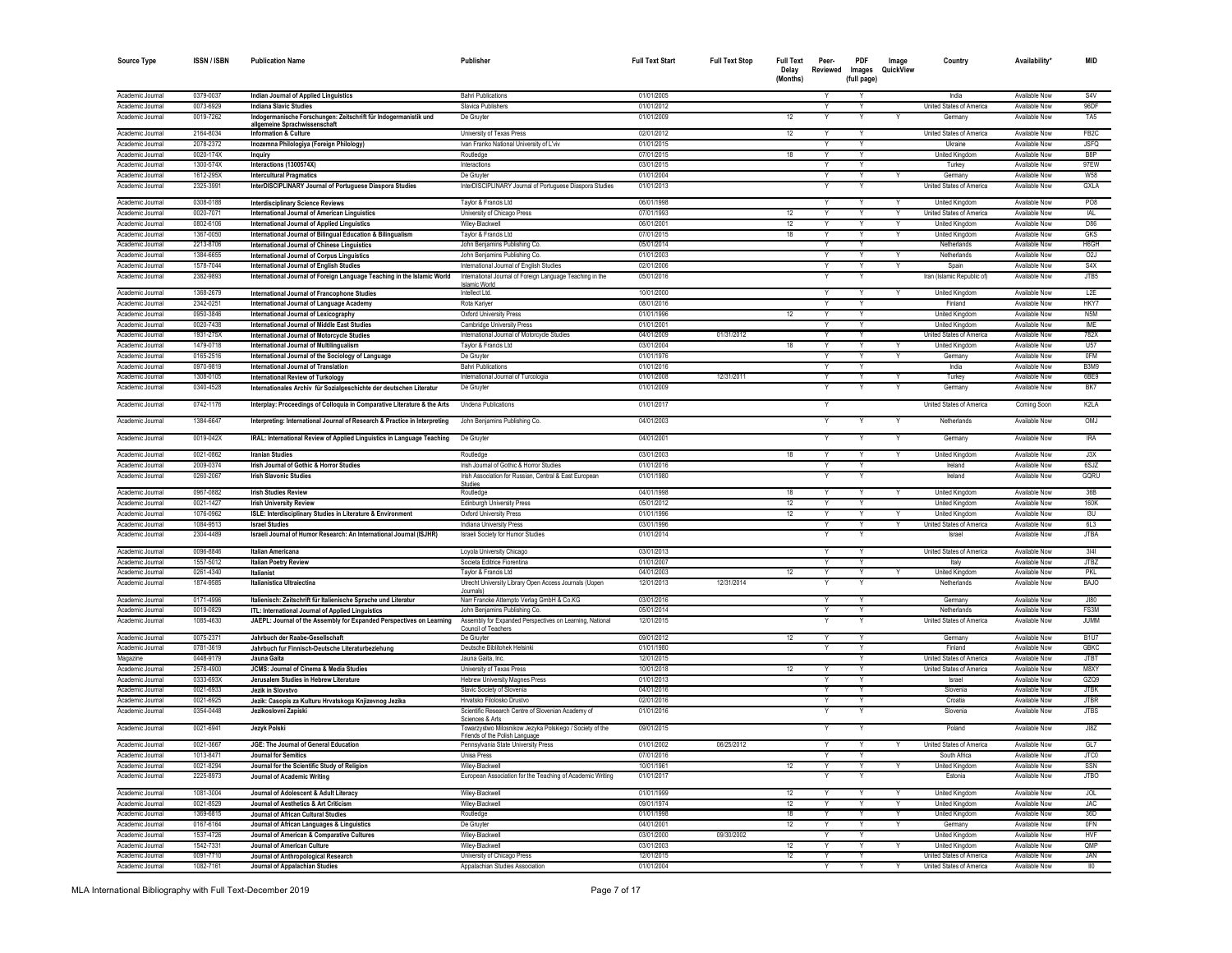| <b>Source Type</b>                   | ISSN / ISBN            | <b>Publication Name</b>                                                                           | Publisher                                                                                                     | <b>Full Text Start</b>   | <b>Full Text Stop</b> | <b>Full Text</b><br>Delay<br>(Months) | Peer-<br>Reviewed | <b>PDF</b><br>Images<br>(full page) | Image<br>QuickView | Country                                                  | Availability'                         | MID                       |
|--------------------------------------|------------------------|---------------------------------------------------------------------------------------------------|---------------------------------------------------------------------------------------------------------------|--------------------------|-----------------------|---------------------------------------|-------------------|-------------------------------------|--------------------|----------------------------------------------------------|---------------------------------------|---------------------------|
| Academic Journal                     | 0379-0037              | Indian Journal of Applied Linguistics                                                             | <b>Bahri Publications</b>                                                                                     | 01/01/2005               |                       |                                       | Y                 |                                     |                    | India                                                    | Available Now                         | S4V                       |
| Academic Journa                      | 0073-6929              | <b>Indiana Slavic Studies</b>                                                                     | Slavica Publishers                                                                                            | 01/01/2012               |                       |                                       |                   |                                     |                    | United States of America                                 | Available Now                         | 96DF                      |
| Academic Journal                     | 0019-7262              | Indogermanische Forschungen: Zeitschrift für Indogermanistik und<br>allgemeine Sprachwissenschaft | De Gruyte                                                                                                     | 01/01/2009               |                       | 12                                    |                   |                                     |                    | Germany                                                  | Available Now                         | TA <sub>5</sub>           |
| Academic Journal                     | 2164-8034              | <b>Information &amp; Culture</b>                                                                  | University of Texas Press                                                                                     | 02/01/2012               |                       | 12                                    |                   |                                     |                    | United States of America                                 | Available Now                         | FB <sub>2</sub> C         |
| Academic Journa                      | 2078-2372              | Inozemna Philologiya (Foreign Philology)                                                          | Ivan Franko National University of L'viv                                                                      | 01/01/2015               |                       |                                       |                   |                                     |                    | Ukraine                                                  | Available Now                         | <b>JSFQ</b>               |
| Academic Journal                     | 0020-174X              | <b>Inquiry</b>                                                                                    | Routledge                                                                                                     | 07/01/2015               |                       | 18                                    |                   |                                     |                    | United Kingdom                                           | Available Now                         | R <sub>8</sub> P          |
| Academic Journal                     | 1300-574>              | Interactions (1300574X)                                                                           | Interactions                                                                                                  | 03/01/2015               |                       |                                       |                   | $\checkmark$                        |                    | Turkey                                                   | Available Now                         | 97EW                      |
| Academic Journal<br>Academic Journal | 1612-295><br>2325-3991 | <b>Intercultural Pragmatics</b><br>InterDISCIPLINARY Journal of Portuguese Diaspora Studies       | De Gruyte<br>InterDISCIPLINARY Journal of Portuguese Diaspora Studies                                         | 01/01/2004<br>01/01/2013 |                       |                                       |                   |                                     |                    | Germany<br>United States of America                      | Available Now<br>Available Now        | <b>W58</b><br>GXLA        |
|                                      |                        |                                                                                                   |                                                                                                               |                          |                       |                                       |                   |                                     |                    |                                                          |                                       |                           |
| Academic Journal                     | 0308-0188              | <b>Interdisciplinary Science Reviews</b>                                                          | Taylor & Francis Ltd                                                                                          | 06/01/1998               |                       |                                       | Y                 | Y                                   |                    | United Kingdom                                           | <b>Available Now</b>                  | PO <sub>8</sub>           |
| Academic Journal<br>Academic Journal | 0020-7071<br>0802-6106 | International Journal of American Linguistics<br>International Journal of Applied Linguistics     | University of Chicago Press<br>Wilev-Blackwel                                                                 | 07/01/1993<br>06/01/2001 |                       | 12<br>12                              | Y                 |                                     |                    | <b>United States of America</b><br><b>United Kinadon</b> | Available Now<br>Available Now        | IAL<br>D86                |
| Academic Journal                     | 1367-0050              | International Journal of Bilingual Education & Bilingualism                                       | Taylor & Francis Ltd                                                                                          | 07/01/2015               |                       | 18                                    |                   | $\overline{\mathsf{v}}$             |                    | <b>United Kingdom</b>                                    | Available Now                         | <b>GKS</b>                |
| Academic Journal                     | 2213-8706              | International Journal of Chinese Linguistics                                                      | John Beniamins Publishing Co                                                                                  | 05/01/2014               |                       |                                       | $\checkmark$      | Y                                   |                    | Netherlands                                              | Available Now                         | H6GH                      |
| Academic Journal                     | 1384-6655              | <b>International Journal of Corpus Linguistics</b>                                                | John Benjamins Publishing Co                                                                                  | 01/01/2003               |                       |                                       |                   | v                                   |                    | Netherlands                                              | Available Now                         | O2J                       |
| Academic Journal                     | 1578-7044              | International Journal of English Studies                                                          | International Journal of English Studies                                                                      | 02/01/2006               |                       |                                       | Y                 | Y                                   | Y                  | Spain                                                    | Available Now                         | S4X                       |
| Academic Journal                     | 2382-9893              | International Journal of Foreign Language Teaching in the Islamic World                           | International Journal of Foreign Language Teaching in the<br>slamic World                                     | 05/01/2016               |                       |                                       |                   |                                     |                    | Iran (Islamic Republic of)                               | Available Now                         | JTB5                      |
| Academic Journal                     | 1368-2679              | International Journal of Francophone Studies                                                      | Intellect Ltd.                                                                                                | 10/01/2000               |                       |                                       | Y                 | Y                                   |                    | United Kingdom                                           | Available Now                         | L <sub>2</sub> E          |
| Academic Journal                     | 2342-0251              | International Journal of Language Academy                                                         | Rota Kariyer                                                                                                  | 08/01/2016               |                       |                                       | Y                 | Y                                   |                    | Finland                                                  | Available Now                         | HKY7                      |
| Academic Journal                     | 0950-3846              | International Journal of Lexicography                                                             | <b>Oxford University Press</b>                                                                                | 01/01/1996               |                       | 12                                    | Y                 | Y                                   |                    | United Kingdom                                           | Available Now                         | N5M                       |
| Academic Journal                     | 0020-7438              | International Journal of Middle East Studies                                                      | Cambridge University Press                                                                                    | 01/01/2001               |                       |                                       | Y                 | Y                                   |                    | <b>United Kingdom</b>                                    | Available Now                         | IME                       |
| Academic Journal                     | 1931-275X<br>1479-0718 | <b>International Journal of Motorcycle Studies</b>                                                | International Journal of Motorcycle Studies                                                                   | 04/01/2009<br>03/01/2004 | 01/31/2012            | 18                                    |                   |                                     |                    | United States of America                                 | <b>Available Now</b><br>Available Now | 782X<br><b>U57</b>        |
| Academic Journa<br>Academic Journal  | 0165-2516              | International Journal of Multilingualism<br>International Journal of the Sociology of Language    | Taylor & Francis Ltd<br>De Gruvter                                                                            | 01/01/1976               |                       |                                       |                   |                                     |                    | United Kingdom<br>Germany                                | Available Now                         | 0FM                       |
| Academic Journal                     | 0970-9819              | International Journal of Translation                                                              | <b>Bahri Publications</b>                                                                                     | 01/01/2016               |                       |                                       |                   | Y                                   |                    | India                                                    | Available Now                         | <b>B3M9</b>               |
| Academic Journal                     | 1308-0105              | International Review of Turkology                                                                 | International Journal of Turcologia                                                                           | 01/01/2008               | 12/31/2011            |                                       |                   | Y                                   |                    | Turkey                                                   | Available Now                         | 6BE9                      |
| Academic Journal                     | 0340-4528              | Internationales Archiv für Sozialgeschichte der deutschen Literatur                               | De Gruyte                                                                                                     | 01/01/2009               |                       |                                       |                   |                                     |                    | Germany                                                  | Available Now                         | BK7                       |
| Academic Journal                     | 0742-1176              | Interplay: Proceedings of Colloquia in Comparative Literature & the Arts                          | <b>Undena Publications</b>                                                                                    | 01/01/2017               |                       |                                       |                   |                                     |                    | United States of America                                 | Coming Soon                           | K2LA                      |
| Academic Journal                     | 1384-6647              | Interpreting: International Journal of Research & Practice in Interpreting                        | John Benjamins Publishing Co                                                                                  | 04/01/2003               |                       |                                       |                   |                                     |                    | Netherlands                                              | Available Now                         | OMJ                       |
| Academic Journal                     | 0019-042X              | IRAL: International Review of Applied Linguistics in Language Teaching                            | De Gruyter                                                                                                    | 04/01/2001               |                       |                                       |                   |                                     |                    | Germany                                                  | Available Now                         | <b>IRA</b>                |
| Academic Journal                     | 0021-0862              | <b>Iranian Studies</b>                                                                            | Routledge                                                                                                     | 03/01/2003               |                       | 18                                    |                   |                                     |                    | <b>United Kingdom</b>                                    | Available Now                         | J3X                       |
| Academic Journa<br>Academic Journal  | 2009-0374<br>0260-2067 | Irish Journal of Gothic & Horror Studies<br><b>Irish Slavonic Studies</b>                         | Irish Journal of Gothic & Horror Studies<br>Irish Association for Russian, Central & East European            | 01/01/2016<br>01/01/1980 |                       |                                       |                   |                                     |                    | Ireland<br>Ireland                                       | Available Now<br>Available Now        | 6SJZ<br>GQRU              |
|                                      |                        |                                                                                                   | <b>Studies</b>                                                                                                |                          |                       |                                       |                   |                                     |                    |                                                          |                                       |                           |
| Academic Journal                     | 0967-0882              | <b>Irish Studies Review</b>                                                                       | Routledge                                                                                                     | 04/01/1998               |                       | 18                                    | Y                 | Ÿ                                   |                    | United Kingdom                                           | Available Now                         | 36B                       |
| Academic Journa<br>Academic Journal  | 0021-1427<br>1076-0962 | <b>Irish University Review</b>                                                                    | <b>Edinburgh University Press</b>                                                                             | 05/01/2012<br>01/01/1996 |                       | 12<br>12                              | Y                 | $\mathsf{v}$                        |                    | United Kingdom<br>United Kingdom                         | Available Now<br>Available Now        | 160K<br>13U               |
| Academic Journal                     | 1084-9513              | ISLE: Interdisciplinary Studies in Literature & Environment<br><b>Israel Studies</b>              | Oxford University Press<br>Indiana University Press                                                           | 03/01/1996               |                       |                                       |                   |                                     |                    | United States of America                                 | Available Now                         | 6L3                       |
| Academic Journal                     | 2304-4489              | Israeli Journal of Humor Research: An International Journal (ISJHR)                               | Israeli Society for Humor Studies                                                                             | 01/01/2014               |                       |                                       |                   |                                     |                    | Israe                                                    | Available Now                         | <b>JTBA</b>               |
| Academic Journal                     | 0096-8846              | <b>Italian Americana</b>                                                                          | Loyola University Chicago                                                                                     | 03/01/2013               |                       |                                       | Y                 | Υ                                   |                    | <b>United States of America</b>                          | Available Now                         | 3 4                       |
| Academic Journal                     | 1557-5012              | <b>Italian Poetry Review</b>                                                                      | Societa Editrice Fiorentina                                                                                   | 01/01/2007               |                       |                                       |                   |                                     |                    | Italy                                                    | Available Now                         | <b>JTBZ</b>               |
| Academic Journal<br>Academic Journal | 0261-4340<br>1874-9585 | <b>Italianist</b><br>Italianistica Ultraiectina                                                   | Taylor & Francis Ltd<br>Utrecht University Library Open Access Journals (Uopen                                | 04/01/2003<br>12/01/2013 | 12/31/2014            | 12                                    | Y                 | Y                                   |                    | <b>United Kingdom</b><br>Netherlands                     | Available Now<br>Available Now        | <b>PKL</b><br><b>BAJO</b> |
| Academic Journal                     | 0171-4996              | Italienisch: Zeitschrift für Italienische Sprache und Literatur                                   | Journals)<br>Narr Francke Attempto Verlag GmbH & Co.KG                                                        | 03/01/2016               |                       |                                       |                   |                                     |                    | Germany                                                  | Available Now                         | <b>JI80</b>               |
| Academic Journal                     | 0019-0829              | ITL: International Journal of Applied Linguistics                                                 | John Benjamins Publishing Co                                                                                  | 05/01/2014               |                       |                                       |                   |                                     |                    | Netherlands                                              | Available Now                         | FS3M                      |
| Academic Journal                     | 1085-4630              | JAEPL: Journal of the Assembly for Expanded Perspectives on Learning                              | Assembly for Expanded Perspectives on Learning, National<br>Council of Teachers                               | 12/01/2015               |                       |                                       |                   |                                     |                    | United States of America                                 | Available Now                         | <b>JUMM</b>               |
| Academic Journal                     | 0075-2371              | Jahrbuch der Raabe-Gesellschaft                                                                   | De Gruvter                                                                                                    | 09/01/2012               |                       | 12                                    | Y                 |                                     |                    | Germany                                                  | Available Now                         | <b>B1U7</b>               |
| Academic Journa                      | 0781-3619              | Jahrbuch fur Finnisch-Deutsche Literaturbeziehung                                                 | Deutsche Biblitohek Helsinki                                                                                  | 01/01/1980               |                       |                                       |                   | Ÿ<br>Y                              |                    | Finland                                                  | Available Now                         | <b>GBKC</b>               |
| Magazine<br>Academic Journal         | 0448-9179<br>2578-4900 | Jauna Gaita<br>JCMS: Journal of Cinema & Media Studies                                            | Jauna Gaita, Inc<br>University of Texas Press                                                                 | 12/01/2015<br>10/01/2018 |                       | 12                                    |                   | Y                                   |                    | United States of America<br>United States of America     | Available Now<br>Available Now        | <b>JTBT</b><br>M8XY       |
| Academic Journal                     | 0333-693X              | Jerusalem Studies in Hebrew Literature                                                            | <b>Hebrew University Magnes Press</b>                                                                         | 01/01/2013               |                       |                                       | Y                 | Y                                   |                    | Israel                                                   | Available Now                         | GZQ9                      |
| Academic Journal                     | 0021-6933              | Jezik in Slovstvo                                                                                 | Slavic Society of Slovenia                                                                                    | 04/01/2016               |                       |                                       |                   | Y                                   |                    | Slovenia                                                 | Available Now                         | <b>JTBK</b>               |
| Academic Journal                     | 0021-6925              | Jezik: Casopis za Kulturu Hrvatskoga Knjizevnog Jezika                                            | Hrvatsko Filolosko Drustvo                                                                                    | 02/01/2016               |                       |                                       |                   | Y                                   |                    | Croatia                                                  | Available Now                         | <b>JTBR</b>               |
| Academic Journal                     | 0354-0448              | Jezikoslovni Zapiski                                                                              | Scientific Research Centre of Slovenian Academy of                                                            | 01/01/2016               |                       |                                       |                   |                                     |                    | Slovenia                                                 | <b>Available Now</b>                  | <b>JTBS</b>               |
| Academic Journal                     | 0021-6941              | Jezyk Polski                                                                                      | Sciences & Arts<br>Towarzystwo Milosnikow Jezyka Polskiego / Society of the<br>Friends of the Polish Language | 09/01/2015               |                       |                                       |                   |                                     |                    | Poland                                                   | <b>Available Now</b>                  | J18Z                      |
| Academic Journal                     | 0021-3667              | JGE: The Journal of General Education                                                             | Pennsylvania State University Press                                                                           | 01/01/2002               | 06/25/2012            |                                       | $\vee$            | Y                                   |                    | United States of America                                 | Available Now                         | GL7                       |
| Academic Journal                     | 1013-8471              | <b>Journal for Semitics</b>                                                                       | <b>Unisa Press</b>                                                                                            | 07/01/2016               |                       |                                       |                   | Υ                                   |                    | South Africa                                             | Available Now                         | JTC0                      |
| Academic Journal                     | 0021-8294              | Journal for the Scientific Study of Religion                                                      | Wilev-Blackwell                                                                                               | 10/01/1961               |                       | 12                                    | Y                 | Ÿ                                   |                    | <b>United Kingdom</b>                                    | Available Now                         | SSN                       |
| Academic Journal                     | 2225-8973              | Journal of Academic Writing                                                                       | European Association for the Teaching of Academic Writing                                                     | 01/01/2017               |                       |                                       |                   |                                     |                    | Estonia                                                  | <b>Available Now</b>                  | <b>JTBO</b>               |
| Academic Journal<br>Academic Journal | 1081-3004<br>0021-8529 | Journal of Adolescent & Adult Literacy<br>Journal of Aesthetics & Art Criticism                   | Wiley-Blackwell<br>Wiley-Blackwell                                                                            | 01/01/1999<br>09/01/1974 |                       | 12<br>12                              |                   |                                     |                    | United Kingdom<br>United Kingdom                         | Available Now<br>Available Now        | <b>JOL</b><br><b>JAC</b>  |
| Academic Journa                      | 1369-6815              | Journal of African Cultural Studies                                                               | Routledge                                                                                                     | 01/01/1998               |                       | 18                                    |                   |                                     |                    | United Kingdom                                           | Available Now                         | 36D                       |
| Academic Journal                     | 0167-6164              | Journal of African Languages & Linguistics                                                        | De Gruyte                                                                                                     | 04/01/2001               |                       | 12                                    |                   |                                     |                    | Germany                                                  | Available Now                         | 0FN                       |
| Academic Journal                     | 1537-4726              | Journal of American & Comparative Cultures                                                        | Wiley-Blackwel                                                                                                | 03/01/2000               | 09/30/2002            |                                       |                   |                                     |                    | <b>United Kingdom</b>                                    | Available Now                         | <b>HVF</b>                |
| Academic Journal                     | 1542-7331              | Journal of American Culture                                                                       | Wiley-Blackwel                                                                                                | 03/01/2003               |                       | 12                                    |                   |                                     |                    | United Kingdom                                           | Available Now                         | <b>OMP</b>                |
| Academic Journal                     | 0091-7710              | Journal of Anthropological Research                                                               | University of Chicago Press                                                                                   | 12/01/2015               |                       | 12                                    |                   |                                     |                    | United States of America                                 | Available Now                         | JAN                       |
| Academic Journal                     | 1082-7161              | Journal of Appalachian Studies                                                                    | Appalachian Studies Association                                                                               | 01/01/2004               |                       |                                       |                   | Y                                   | Y                  | United States of America                                 | <b>Available Now</b>                  | $\overline{110}$          |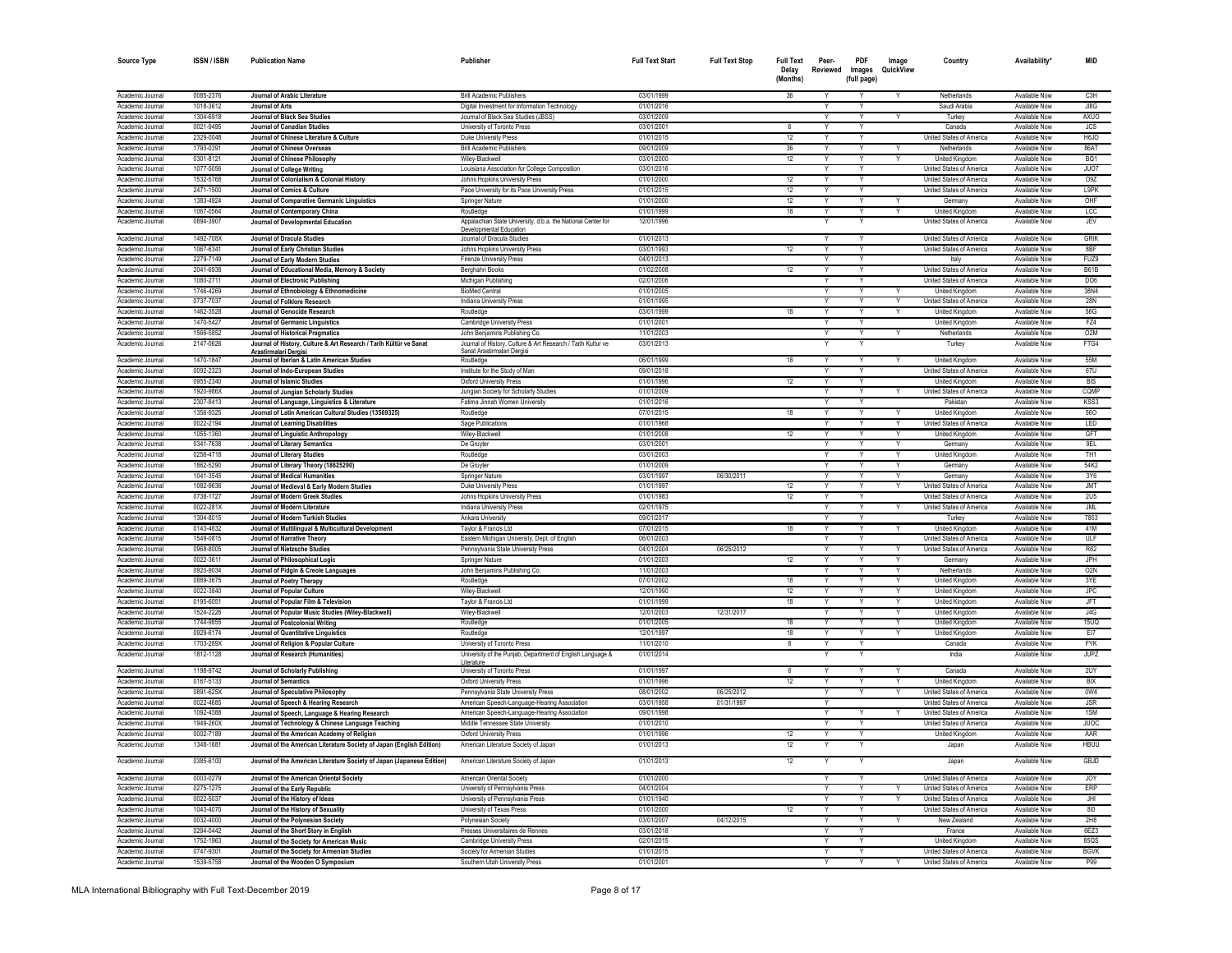| <b>Source Type</b>                   | <b>ISSN/ISBN</b>       | <b>Publication Name</b>                                                                                | Publisher                                                                                     | <b>Full Text Start</b>   | <b>Full Text Stop</b> | <b>Full Text</b><br>Delay<br>(Months) | Peer-<br>Reviewed | PDF<br>Images<br>(full page) | Image<br>QuickView      | Country                                              | Availability <sup>*</sup>      | <b>MID</b>               |
|--------------------------------------|------------------------|--------------------------------------------------------------------------------------------------------|-----------------------------------------------------------------------------------------------|--------------------------|-----------------------|---------------------------------------|-------------------|------------------------------|-------------------------|------------------------------------------------------|--------------------------------|--------------------------|
| Academic Journa                      |                        |                                                                                                        | <b>Brill Academic Publishers</b>                                                              | 03/01/1999               |                       | 36                                    |                   |                              |                         | Netherlands                                          |                                | C <sub>3</sub> H         |
| Academic Journa                      | 0085-2376<br>1018-3612 | Journal of Arabic Literature<br>Journal of Arts                                                        | Digital Investment for Information Technology                                                 | 01/01/2016               |                       |                                       |                   |                              |                         | Saudi Arabia                                         | Available Now<br>Available Now | JI8G                     |
| Academic Journal                     | 1304-6918              | Journal of Black Sea Studies                                                                           | Journal of Black Sea Studies (JBSS)                                                           | 03/01/2009               |                       |                                       |                   | Υ                            |                         | Turkey                                               | Available Now                  | AXUO                     |
| Academic Journal                     | 0021-9495              | Journal of Canadian Studies                                                                            | University of Toronto Press                                                                   | 03/01/2001               |                       | 6                                     |                   |                              |                         | Canada                                               | Available Now                  | <b>JCS</b>               |
| Academic Journal                     | 2329-0048              | Journal of Chinese Literature & Culture                                                                | Duke University Press                                                                         | 01/01/2015               |                       | 12                                    |                   | Y                            |                         | <b>United States of America</b>                      | Available Now                  | <b>H6.IO</b>             |
| Academic Journal                     | 1793-0391              | Journal of Chinese Overseas                                                                            | <b>Brill Academic Publishers</b>                                                              | 09/01/2009               |                       | 36                                    |                   |                              |                         | Netherlands                                          | Available Now                  | 86AT                     |
| Academic Journal                     | $0301 - 812$           | Journal of Chinese Philosophy                                                                          | Wiley-Blackwell                                                                               | 03/01/2000               |                       | 12                                    |                   |                              |                         | United Kingdom                                       | Available Now                  | <b>BO1</b>               |
| Academic Journa                      | 1077-5056              | Journal of College Writing                                                                             | Louisiana Association for College Composition                                                 | 03/01/2016               |                       |                                       |                   | Y<br>Y                       |                         | United States of America                             | Available Nov                  | JUO7                     |
| Academic Journal<br>Academic Journal | 1532-5768<br>2471-1500 | Journal of Colonialism & Colonial History<br>Journal of Comics & Culture                               | Johns Hopkins University Press<br>Pace University for its Pace University Press               | 01/01/2000<br>01/01/2015 |                       | 12<br>12                              | Y                 | Y                            |                         | United States of America<br>United States of America | Available Now<br>Available Now | O <sub>9</sub> Z<br>L9PK |
| Academic Journal                     | 1383-4924              | Journal of Comparative Germanic Linguistics                                                            | Springer Nature                                                                               | 01/01/2000               |                       | 12                                    | Y                 | Y                            | Y                       | Germany                                              | Available Now                  | OHF                      |
| Academic Journal                     | 1067-0564              | Journal of Contemporary China                                                                          | Routledge                                                                                     | 01/01/1999               |                       | 18                                    | Y                 | Y                            | Y                       | <b>United Kinadom</b>                                | Available Now                  | LCC                      |
| Academic Journal                     | 0894-3907              | Journal of Developmental Education                                                                     | Appalachian State University, d.b.a. the National Center for                                  | 12/01/1996               |                       |                                       |                   |                              |                         | United States of America                             | Available Now                  | <b>JEV</b>               |
| Academic Journal                     | 1492-708X              | Journal of Dracula Studies                                                                             | Developmental Education<br>Journal of Dracula Studies                                         | 01/01/2013               |                       |                                       | $\vee$            | Y                            |                         | United States of America                             | Available Now                  | <b>GRIK</b>              |
| Academic Journal                     | 1067-6341              | Journal of Early Christian Studies                                                                     | Johns Hopkins University Press                                                                | 03/01/1993               |                       | 12                                    |                   | Y                            |                         | United States of America                             | Available Now                  | 8 <sub>RF</sub>          |
| Academic Journal                     | 2279-7149              | Journal of Early Modern Studies                                                                        | Firenze University Press                                                                      | 04/01/2013               |                       |                                       |                   | Υ                            |                         | Italy                                                | Available Now                  | FUZ9                     |
| Academic Journal                     | 2041-6938              | Journal of Educational Media, Memory & Society                                                         | Berghahn Books                                                                                | 01/02/2008               |                       | 12                                    |                   | Y                            |                         | United States of America                             | Available Now                  | <b>B61B</b>              |
| Academic Journal                     | 1080-2711              | Journal of Electronic Publishing                                                                       | Michigan Publishing                                                                           | 02/01/2006               |                       |                                       |                   |                              |                         | <b>United States of America</b>                      | Available Now                  | DO <sub>6</sub>          |
| Academic Journa                      | 1746-4269              | Journal of Ethnobiology & Ethnomedicine                                                                | <b>BioMed Centra</b>                                                                          | 01/01/2005               |                       |                                       |                   |                              |                         | United Kingdom                                       | Available Now                  | 38N4                     |
| Academic Journa                      | 0737-7037              | Journal of Folklore Research                                                                           | Indiana University Press                                                                      | 01/01/1995               |                       |                                       |                   |                              |                         | United States of America                             | Available Now                  | <b>28N</b>               |
| Academic Journal                     | 1462-3528              | Journal of Genocide Research                                                                           | Routledge                                                                                     | 03/01/1999               |                       | 18                                    |                   | Y                            | Y                       | United Kingdom                                       | Available Now                  | 56G                      |
| Academic Journal                     | 1470-5427              | Journal of Germanic Linguistics                                                                        | Cambridge University Press                                                                    | 01/01/2001               |                       |                                       |                   | ٧                            |                         | United Kingdom                                       | Available Now                  | FZ4<br>O2M               |
| Academic Journal<br>Academic Journal | 1566-5852<br>2147-0626 | Journal of Historical Pragmatics<br>Journal of History, Culture & Art Research / Tarih Kültür ve Sanat | John Benjamins Publishing Co.<br>Journal of History, Culture & Art Research / Tarih Kultur ve | 11/01/2003<br>03/01/2013 |                       |                                       |                   | Υ                            | Y                       | Netherlands<br>Turkey                                | Available Now<br>Available Now | FTG4                     |
|                                      |                        | Arastirmalari Dergisi                                                                                  | <u>Sanat Arastirmalari Dergisi</u>                                                            |                          |                       |                                       |                   |                              |                         |                                                      |                                |                          |
| Academic Journal                     | 1470-1847              | Journal of Iberian & Latin American Studies                                                            | Routledge                                                                                     | 06/01/1999               |                       | 18                                    |                   | Y                            |                         | United Kingdom                                       | Available Now                  | <b>55M</b>               |
| Academic Journal                     | 0092-2323              | Journal of Indo-European Studies                                                                       | Institute for the Study of Man                                                                | 09/01/2018               |                       |                                       |                   | Υ                            |                         | United States of America                             | Available Now                  | 67U                      |
| Academic Journal                     | 0955-2340              | Journal of Islamic Studies                                                                             | Oxford University Press                                                                       | 01/01/1996               |                       | 12                                    | $\overline{Y}$    | $\overline{\mathsf{Y}}$      |                         | United Kingdom                                       | Available Now                  | <b>BIS</b>               |
| Academic Journal                     | 1920-986X              | Journal of Jungian Scholarly Studies                                                                   | Jungian Society for Scholarly Studies                                                         | 01/01/2009               |                       |                                       |                   | Ÿ                            |                         | United States of America                             | Available Now                  | CQMP                     |
| Academic Journa<br>Academic Journa   | 2307-8413<br>1356-9325 | Journal of Language, Linguistics & Literature<br>Journal of Latin American Cultural Studies (13569325) | Fatima Jinnah Women University<br>Routledge                                                   | 01/01/2016<br>07/01/2015 |                       | 18                                    |                   | Y<br>Y                       |                         | Pakista<br><b>United Kinadon</b>                     | Available Now<br>Available Now | KSS3<br>560              |
| Academic Journal                     | 0022-2194              | Journal of Learning Disabilities                                                                       | Sage Publications                                                                             | 01/01/1968               |                       |                                       | $\vee$            | Y                            | $\vee$                  | United States of America                             | Available Now                  | LED                      |
| Academic Journal                     | 1055-1360              | Journal of Linguistic Anthropology                                                                     | Wiley-Blackwell                                                                               | 01/01/2008               |                       | 12                                    | Y                 | Y                            | Y                       | United Kingdom                                       | Available Now                  | GFT                      |
| Academic Journal                     | 0341-7638              | Journal of Literary Semantics                                                                          | De Gruyter                                                                                    | 03/01/2001               |                       |                                       | Y                 | Y                            | Y                       | Germany                                              | Available Now                  | 9EL                      |
| Academic Journal                     | 0256-4718              | Journal of Literary Studies                                                                            | Routledge                                                                                     | 03/01/2003               |                       |                                       |                   | Y                            |                         | <b>United Kingdom</b>                                | Available Now                  | TH <sub>1</sub>          |
| Academic Journal                     | 1862-5290              | Journal of Literary Theory (18625290)                                                                  | De Gruvter                                                                                    | 01/01/2009               |                       |                                       | Y                 | Y                            | Y                       | Germany                                              | Available Now                  | 54K2                     |
| Academic Journal                     | 1041-3545              | Journal of Medical Humanities                                                                          | Springer Nature                                                                               | 03/01/1997               | 06/30/2011            |                                       |                   |                              |                         | Germany                                              | Available Now                  | 3Y6                      |
| Academic Journal                     | 1082-9636              | Journal of Medieval & Early Modern Studies                                                             | Duke University Press                                                                         | 01/01/1997               |                       | 12                                    |                   |                              |                         | United States of America                             | Available Now                  | <b>JMT</b>               |
| Academic Journa                      | 0738-1727              | Journal of Modern Greek Studies                                                                        | Johns Hopkins University Press                                                                | 01/01/1983               |                       | 12                                    |                   | v                            |                         | United States of America                             | Available Now                  | 2U5                      |
| Academic Journa<br>Academic Journal  | 0022-281X<br>1304-8015 | Journal of Modern Literature                                                                           | Indiana University Press<br>Ankara University                                                 | 02/01/1975<br>09/01/2017 |                       |                                       |                   |                              |                         | United States of America<br>Turkey                   | Available Now<br>Available Now | JML<br>7853              |
| Academic Journal                     | 0143-4632              | Journal of Modern Turkish Studies<br>Journal of Multilingual & Multicultural Development               | Taylor & Francis Ltd                                                                          | 07/01/2015               |                       | 18                                    |                   | v                            | Y                       | United Kingdom                                       | Available Now                  | 41M                      |
| Academic Journal                     | 1549-0815              | Journal of Narrative Theory                                                                            | Eastern Michigan University, Dept. of English                                                 | 06/01/2003               |                       |                                       |                   |                              |                         | United States of America                             | Available Now                  | ULF                      |
| Academic Journal                     | 0968-8005              | Journal of Nietzsche Studies                                                                           | Pennsylvania State University Press                                                           | 04/01/2004               | 06/25/2012            |                                       |                   |                              | $\overline{\mathsf{v}}$ | United States of America                             | Available Now                  | R62                      |
| Academic Journa                      | 0022-361               | Journal of Philosophical Logic                                                                         | Springer Nature                                                                               | 01/01/2003               |                       | 12                                    |                   |                              |                         | Germany                                              | Available Nov                  | JPH                      |
| Academic Journa                      | 0920-9034              | Journal of Pidgin & Creole Languages                                                                   | John Benjamins Publishing Co.                                                                 | 11/01/2003               |                       |                                       |                   | Ÿ                            | $\overline{Y}$          | Netherlands                                          | Available Now                  | O2N                      |
| Academic Journal                     | 0889-3675              | Journal of Poetry Therapy                                                                              | Routledge                                                                                     | 07/01/2002               |                       | 18                                    |                   | Y                            | Y                       | United Kingdom                                       | Available Now                  | 3YE                      |
| Academic Journal                     | 0022-3840              | Journal of Popular Culture                                                                             | Wiley-Blackwell                                                                               | 12/01/1990               |                       | 12                                    | $\vee$            | $\overline{Y}$               | Y                       | <b>United Kingdom</b>                                | Available Now                  | <b>JPC</b>               |
| Academic Journal<br>Academic Journal | 0195-6051<br>1524-2226 | Journal of Popular Film & Television                                                                   | Taylor & Francis Ltd                                                                          | 01/01/1999<br>12/01/2003 | 12/31/2017            | 18                                    |                   | Y                            |                         | <b>United Kingdom</b><br><b>United Kingdom</b>       | Available Now<br>Available Now | <b>JFT</b><br>J4G        |
| Academic Journal                     | 1744-9855              | Journal of Popular Music Studies (Wiley-Blackwell)<br>Journal of Postcolonial Writing                  | Wiley-Blackwell<br>Routledge                                                                  | 01/01/2005               |                       | 18                                    | Y                 | Y<br>Y                       | Y                       | <b>United Kingdom</b>                                | Available Now                  | 15UQ                     |
| Academic Journal                     | 0929-6174              | Journal of Quantitative Linguistics                                                                    | Routledge                                                                                     | 12/01/1997               |                       | 18                                    |                   | Υ                            |                         | United Kingdom                                       | Available Now                  | EI7                      |
| Academic Journa                      | 1703-289X              | Journal of Religion & Popular Culture                                                                  | University of Toronto Press                                                                   | 11/01/2010               |                       | 6                                     |                   |                              |                         | Canada                                               | Available Now                  | <b>FYK</b>               |
| Academic Journal                     | 1812-1128              | Journal of Research (Humanities)                                                                       | University of the Punjab, Department of English Language &                                    | 01/01/2014               |                       |                                       |                   |                              |                         | India                                                | Available Now                  | <b>JUPZ</b>              |
| Academic Journal                     | 1198-9742              | Journal of Scholarly Publishing                                                                        | Literature<br>University of Toronto Press                                                     | 01/01/1997               |                       | 6                                     |                   | Y                            |                         | Canada                                               | Available Now                  | 2UY                      |
| Academic Journa                      | 0167-5133              | <b>Journal of Semantics</b>                                                                            | Oxford University Press                                                                       | 01/01/1996               |                       | 12                                    |                   |                              |                         | <b>United Kinadom</b>                                | Available Now                  | <b>BIX</b>               |
| Academic Journa                      | 0891-625X              | Journal of Speculative Philosophy                                                                      | Pennsylvania State University Press                                                           | 08/01/2002               | 06/25/2012            |                                       |                   | Y                            |                         | United States of America                             | Available Now                  | 0W4                      |
| Academic Journal                     | 0022-4685              | Journal of Speech & Hearing Research                                                                   | American Speech-Language-Hearing Association                                                  | 03/01/1958               | 01/31/1997            |                                       |                   |                              |                         | United States of America                             | Available Now                  | <b>JSR</b>               |
| Academic Journal                     | 1092-4388              | Journal of Speech, Language & Hearing Research                                                         | American Speech-Language-Hearing Association                                                  | 09/01/1998               |                       |                                       |                   | v                            |                         | United States of America                             | Available Now                  | 1SM                      |
| Academic Journal                     | 1949-260X              | Journal of Technology & Chinese Language Teaching                                                      | Middle Tennessee State University                                                             | 01/01/2010               |                       |                                       |                   |                              |                         | United States of America                             | Available Now                  | <b>JUOC</b>              |
| Academic Journal                     | 0002-7189              | Journal of the American Academy of Religion                                                            | Oxford University Press                                                                       | 01/01/1996               |                       | 12                                    |                   | V                            |                         | <b>United Kingdom</b>                                | Available Now                  | AAR                      |
| Academic Journal                     | 1348-1681              | Journal of the American Literature Society of Japan (English Edition)                                  | American Literature Society of Japan                                                          | 01/01/2013               |                       | 12                                    |                   |                              |                         | Japan                                                | Available Now                  | <b>HBUU</b>              |
| Academic Journal                     | 0385-6100              | Journal of the American Literature Society of Japan (Japanese Edition)                                 | American Literature Society of Japan                                                          | 01/01/2013               |                       | 12                                    | Y                 | Y                            |                         | Japan                                                | Available Now                  | GBJD                     |
| Academic Journal                     | 0003-0279              | Journal of the American Oriental Society                                                               | American Oriental Society                                                                     | 01/01/2000               |                       |                                       |                   | Y                            |                         | United States of America                             | Available Now                  | <b>JOY</b>               |
| Academic Journa                      | 0275-1275              | Journal of the Early Republic                                                                          | University of Pennsylvania Press                                                              | 04/01/2004               |                       |                                       |                   |                              |                         | United States of America                             | Available Now                  | FRP                      |
| Academic Journal                     | 0022-5037              | Journal of the History of Ideas                                                                        | University of Pennsylvania Press                                                              | 01/01/1940               |                       |                                       |                   |                              | Y                       | <b>United States of America</b>                      | Available Now                  | <b>JHI</b>               |
| Academic Journal                     | 1043-4070              | Journal of the History of Sexuality                                                                    | University of Texas Press                                                                     | 01/01/2000               |                       | 12                                    | Y                 | Ÿ                            |                         | United States of America                             | Available Now                  | 810                      |
| Academic Journal                     | 0032-4000              | Journal of the Polynesian Society                                                                      | Polynesian Society                                                                            | 03/01/2007               | 04/12/2015            |                                       |                   |                              |                         | New Zealand                                          | <b>Available Now</b>           | 2H8                      |
| Academic Journa                      | 0294-0442              | Journal of the Short Story in English                                                                  | Presses Universitaires de Rennes                                                              | 03/01/2018               |                       |                                       |                   | Y<br>Y                       |                         | France                                               | Available Now                  | 6EZ3                     |
| Academic Journal<br>Academic Journal | 1752-1963<br>0747-9301 | Journal of the Society for American Music<br>Journal of the Society for Armenian Studies               | <b>Cambridge University Press</b><br>Society for Armenian Studies                             | 02/01/2015<br>01/01/2015 |                       |                                       | $\vee$            | Y                            |                         | <b>United Kingdom</b><br>United States of America    | Available Now<br>Available Now | 85QS<br><b>BGVK</b>      |
| Academic Journal                     | 1539-5758              | Journal of the Wooden O Symposium                                                                      | Southern Utah University Press                                                                | 01/01/2001               |                       |                                       |                   |                              |                         | United States of America                             | Available Now                  | P99                      |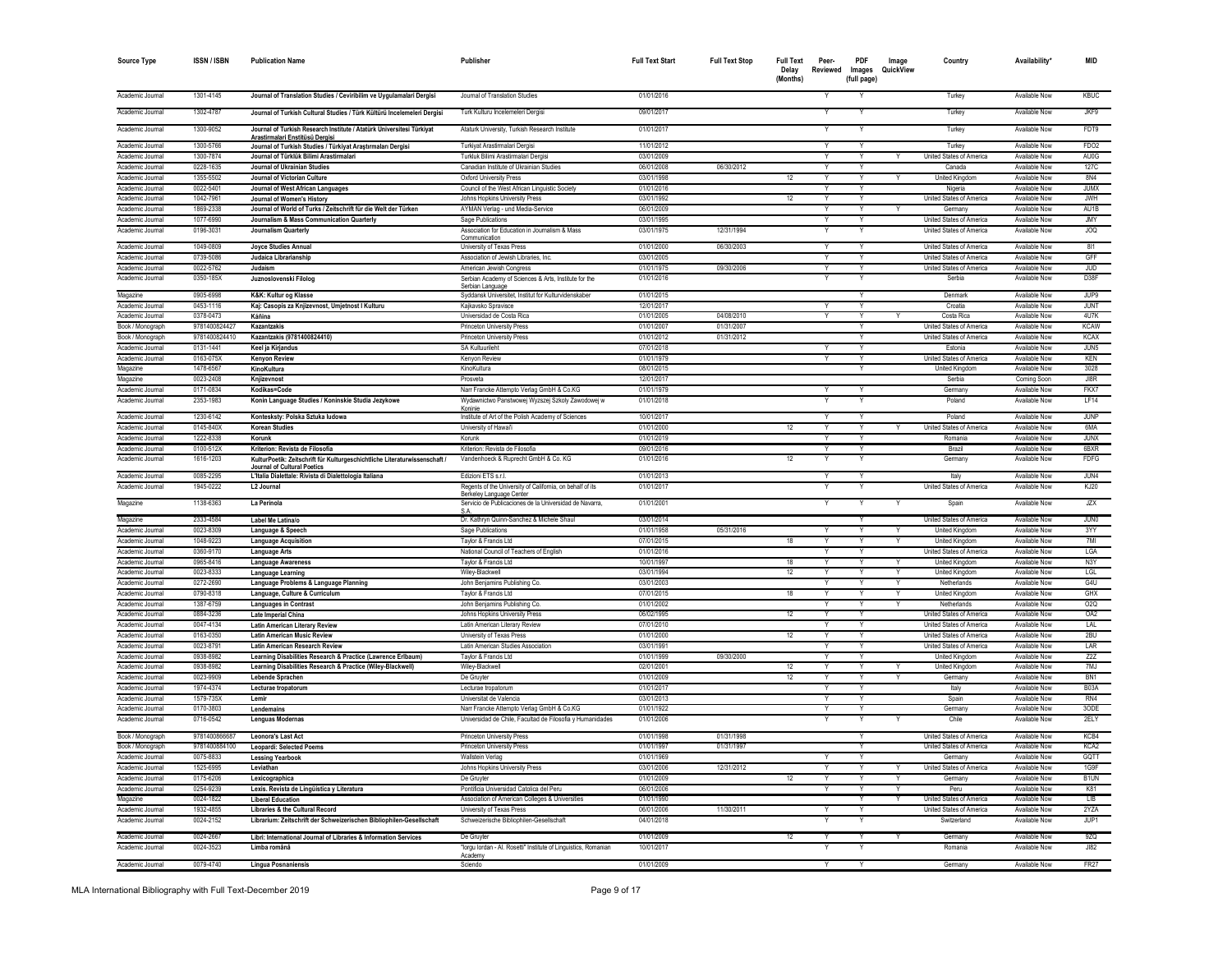| <b>Source Type</b>                   | <b>ISSN/ISBN</b>               | <b>Publication Name</b>                                                                                       | Publisher                                                                             | <b>Full Text Start</b>   | <b>Full Text Stop</b>    | <b>Full Text</b><br>Delay<br>(Months) | Peer-<br>Reviewed | PDF<br>Images<br>(full page) | Image<br>QuickView | Country                                              | Availability <sup>*</sup>      | MID                 |
|--------------------------------------|--------------------------------|---------------------------------------------------------------------------------------------------------------|---------------------------------------------------------------------------------------|--------------------------|--------------------------|---------------------------------------|-------------------|------------------------------|--------------------|------------------------------------------------------|--------------------------------|---------------------|
| Academic Journal                     | 1301-4145                      | Journal of Translation Studies / Ceviribilim ve Uygulamalari Dergisi                                          | Journal of Translation Studies                                                        | 01/01/2016               |                          |                                       |                   |                              |                    | Turkey                                               | Available Now                  | <b>KBUC</b>         |
| Academic Journal                     | 1302-4787                      | Journal of Turkish Cultural Studies / Türk Kültürü Incelemeleri Dergisi                                       | Turk Kulturu Incelemeleri Dergisi                                                     | 09/01/2017               |                          |                                       | Y                 | Υ                            |                    | Turkey                                               | Available Now                  | JKF9                |
| Academic Journal                     | 1300-9052                      | Journal of Turkish Research Institute / Atatürk Üniversitesi Türkiyat<br>Arastirmalari Enstitüsü Dergisi      | Ataturk University, Turkish Research Institute                                        | 01/01/2017               |                          |                                       |                   |                              |                    | Turkey                                               | Available Now                  | FDT9                |
| Academic Journal                     | 1300-5766                      | Journal of Turkish Studies / Türkiyat Araştırmaları Dergisi                                                   | Turkiyat Arastirmalari Dergisi                                                        | 11/01/2012               |                          |                                       |                   |                              |                    | Turkey                                               | Available Now                  | FDO <sub>2</sub>    |
| Academic Journal                     | 1300-7874                      | Journal of Türklük Bilimi Arastirmalari                                                                       | Turkluk Bilimi Arastirmalari Dergis                                                   | 03/01/2009               |                          |                                       |                   |                              |                    | United States of America                             | Available Now                  | AU0G                |
| Academic Journal                     | 0228-1635                      | Journal of Ukrainian Studies                                                                                  | Canadian Institute of Ukrainian Studies                                               | 06/01/2008               | 06/30/2012               |                                       |                   |                              |                    | Canada                                               | Available Now                  | 127C                |
| Academic Journal                     | 1355-5502                      | Journal of Victorian Culture                                                                                  | <b>Oxford University Press</b>                                                        | 03/01/1998               |                          | 12                                    | Y                 | Y                            |                    | United Kingdom                                       | Available Now                  | 8N4                 |
| Academic Journal                     | 0022-5401                      | Journal of West African Languages                                                                             | Council of the West African Linguistic Society                                        | 01/01/2016               |                          |                                       | Y                 | Y                            |                    | Nigeria                                              | Available Now                  | <b>JUMX</b>         |
| Academic Journal                     | 1042-7961                      | Journal of Women's History                                                                                    | Johns Hopkins University Press                                                        | 03/01/1992               |                          | 12                                    |                   | Y                            |                    | United States of America                             | Available Now                  | <b>JWH</b>          |
| Academic Journal                     | 1869-2338                      | Journal of World of Turks / Zeitschrift für die Welt der Türken                                               | AYMAN Verlag - und Media-Service                                                      | 06/01/2009               |                          |                                       |                   | Y                            |                    | Germany                                              | Available Now                  | AU1B                |
| Academic Journal                     | 1077-6990                      | Journalism & Mass Communication Quarterly                                                                     | Sage Publications                                                                     | 03/01/1995               |                          |                                       | Υ                 | Y                            |                    | United States of America                             | Available Now                  | <b>JMY</b>          |
| Academic Journal                     | 0196-3031                      | Journalism Quarterly                                                                                          | Association for Education in Journalism & Mass<br>Communication                       | 03/01/1975               | 12/31/1994               |                                       |                   | Y                            |                    | United States of America                             | Available Now                  | <b>JOQ</b>          |
| Academic Journal                     | 1049-0809                      | Joyce Studies Annual                                                                                          | University of Texas Press                                                             | 01/01/2000               | 06/30/2003               |                                       |                   | Y                            |                    | United States of America                             | Available Now                  | 811                 |
| Academic Journal                     | 0739-5086                      | Judaica Librarianship                                                                                         | Association of Jewish Libraries, Inc.                                                 | 03/01/2005               |                          |                                       | Υ                 | Y                            |                    | United States of America                             | Available Now                  | GFF                 |
| Academic Journal                     | 0022-5762                      | Judaism                                                                                                       | American Jewish Congress                                                              | 01/01/1975               | 09/30/2006               |                                       |                   | Y                            |                    | United States of America                             | Available Now                  | <b>JUD</b>          |
| Academic Journal                     | 0350-185X                      | Juznoslovenski Filolog                                                                                        | Serbian Academy of Sciences & Arts, Institute for the<br>Serbian Language             | 01/01/2016               |                          |                                       |                   |                              |                    | Serbia                                               | Available Now                  | D38F                |
| Magazine                             | 0905-6998                      | K&K: Kultur og Klasse                                                                                         | Syddansk Universitet, Institut for Kulturvidenskaber                                  | 01/01/2015               |                          |                                       |                   | Υ                            |                    | Denmark                                              | Available Now                  | JUP9                |
| Academic Journal                     | 0453-1116                      | Kaj: Casopis za Knjizevnost, Umjetnost I Kulturu                                                              | Kajkavsko Spravisce                                                                   | 12/01/2017               |                          |                                       |                   | Y                            |                    | Croatia                                              | Available Now                  | <b>JUNT</b>         |
| Academic Journal                     | 0378-0473                      | Káñina                                                                                                        | Universidad de Costa Rica                                                             | 01/01/2005               | 04/08/2010               |                                       |                   |                              |                    | Costa Rica                                           | Available Now                  | 4U7K                |
| Book / Monograph                     | 9781400824427                  | Kazantzakis                                                                                                   | <b>Princeton University Press</b>                                                     | 01/01/2007               | 01/31/2007               |                                       |                   | Y                            |                    | United States of America                             | Available Now                  | <b>KCAW</b>         |
| Book / Monograph                     | 9781400824410                  | Kazantzakis (9781400824410)                                                                                   | <b>Princeton University Press</b>                                                     | 01/01/2012               | 01/31/2012               |                                       |                   | Υ                            |                    | United States of America                             | Available Now                  | <b>KCAX</b>         |
| Academic Journal                     | 0131-1441                      | Keel ja Kirjandus                                                                                             | SA Kultuurileht                                                                       | 07/01/2018               |                          |                                       |                   | Y                            |                    | Estonia                                              | Available Now                  | JUN5                |
| Academic Journal                     | 0163-075X                      | Kenyon Review                                                                                                 | Kenyon Review                                                                         | 01/01/1979               |                          |                                       |                   |                              |                    | United States of America                             | Available Now                  | KEN                 |
| Magazine                             | 1478-6567                      | KinoKultura                                                                                                   | KinoKultura                                                                           | 08/01/2015               |                          |                                       |                   | Y                            |                    | United Kingdom                                       | Available Now                  | 3028                |
| Magazine                             | 0023-2408                      | Knjizevnost                                                                                                   | Prosveta                                                                              | 12/01/2017               |                          |                                       |                   |                              |                    | Serbia                                               | Coming Soon                    | JI8R                |
| Academic Journal                     | 0171-0834                      | Kodikas=Code                                                                                                  | Narr Francke Attempto Verlag GmbH & Co.KG                                             | 01/01/1979               |                          |                                       |                   | Υ                            |                    | Germany                                              | Available Now                  | FKX7                |
| Academic Journal                     | 2353-1983                      | Konin Language Studies / Koninskie Studia Jezykowe                                                            | Wydawnictwo Panstwowej Wyzszej Szkoly Zawodowej w<br>Koninie                          | 01/01/2018               |                          |                                       |                   |                              |                    | Poland                                               | Available Now                  | LF14                |
| Academic Journal                     | 1230-6142                      | Kontesksty: Polska Sztuka ludowa                                                                              | Institute of Art of the Polish Academy of Sciences                                    | 10/01/2017               |                          |                                       | Y                 | Y                            |                    | Poland                                               | Available Now                  | JUNP                |
| Academic Journal                     | 0145-840X                      | <b>Korean Studies</b>                                                                                         | University of Hawai'i                                                                 | 01/01/2000               |                          | 12                                    |                   |                              |                    | United States of America                             | Available Now                  | 6MA                 |
| Academic Journal                     | 1222-8338                      | Korunk                                                                                                        | Korunk                                                                                | 01/01/2019               |                          |                                       |                   | Υ                            |                    | Romania                                              | Available Now                  | <b>JUNX</b>         |
| Academic Journal<br>Academic Journal | 0100-512X<br>1616-1203         | Kriterion: Revista de Filosofía<br>KulturPoetik: Zeitschrift für Kulturgeschichtliche Literaturwissenschaft / | Kriterion: Revista de Filosofia<br>Vandenhoeck & Ruprecht GmbH & Co. KG               | 09/01/2016<br>01/01/2016 |                          | 12                                    | Y                 | Y                            |                    | Brazil<br>Germany                                    | Available Now<br>Available Now | 6BXR<br><b>FDFG</b> |
|                                      |                                | Journal of Cultural Poetics                                                                                   |                                                                                       |                          |                          |                                       |                   |                              |                    |                                                      |                                |                     |
| Academic Journal                     | 0085-2295                      | L'Italia Dialettale: Rivista di Dialettologia Italiana                                                        | Edizioni ETS s.r.l.                                                                   | 01/01/2013               |                          |                                       |                   | Y                            |                    | Italy                                                | Available Now                  | JUN4                |
| Academic Journal                     | 1945-0222                      | L2 Journal                                                                                                    | Regents of the University of California, on behalf of its<br>Berkeley Language Center | 01/01/2017               |                          |                                       |                   |                              |                    | United States of America                             | Available Now                  | KJ20                |
| Magazine                             | 1138-6363                      | La Perinola                                                                                                   | Servicio de Publicaciones de la Universidad de Navarra,                               | 01/01/2001               |                          |                                       |                   |                              |                    | Spain                                                | Available Now                  | <b>JZX</b>          |
| Magazine                             | 2333-4584                      | Label Me Latina/o                                                                                             | Dr. Kathryn Quinn-Sanchez & Michele Shaul                                             | 03/01/2014               |                          |                                       |                   | Υ                            |                    | United States of America                             | Available Now                  | JUN0                |
| Academic Journal                     | 0023-8309                      | Language & Speech                                                                                             | Sage Publications                                                                     | 01/01/1958               | 05/31/2016               |                                       |                   |                              |                    | United Kingdom                                       | Available Now                  | 3YY                 |
| Academic Journal                     | 1048-9223                      | <b>Language Acquisition</b>                                                                                   | Taylor & Francis Ltd                                                                  | 07/01/2015               |                          | 18                                    | Y                 | Y                            |                    | <b>United Kingdom</b>                                | Available Now                  | 7MI                 |
| Academic Journal<br>Academic Journal | 0360-9170<br>0965-8416         | <b>Language Arts</b>                                                                                          | National Council of Teachers of English<br>Taylor & Francis Ltd                       | 01/01/2016<br>10/01/1997 |                          | 18                                    | Y                 | Y<br>Y                       |                    | United States of America<br>United Kingdom           | Available Now<br>Available Now | LGA<br>N3Y          |
| Academic Journal                     | 0023-8333                      | <b>Language Awareness</b><br><b>Language Learning</b>                                                         | Wiley-Blackwell                                                                       | 03/01/1994               |                          | 12                                    |                   |                              |                    | United Kingdom                                       | Available Now                  | LGL                 |
| Academic Journal                     | 0272-2690                      | Language Problems & Language Planning                                                                         | John Benjamins Publishing Co.                                                         | 03/01/2003               |                          |                                       | Y                 | Y                            | Y                  | Netherlands                                          | Available Now                  | G4U                 |
| Academic Journal                     | 0790-8318                      | Language, Culture & Curriculum                                                                                | Taylor & Francis Ltd                                                                  | 07/01/2015               |                          | 18                                    |                   | Y                            |                    | United Kingdom                                       | Available Now                  | GHX                 |
| Academic Journal                     | 1387-6759                      | <b>Languages in Contrast</b>                                                                                  | John Benjamins Publishing Co.                                                         | 01/01/2002               |                          |                                       |                   | Y                            |                    | Netherlands                                          | Available Now                  | 020                 |
| Academic Journal                     | 0884-3236                      | Late Imperial China                                                                                           | Johns Hopkins University Press                                                        | 06/02/1995               |                          | 12                                    |                   |                              |                    | United States of America                             | Available Now                  | OA <sub>2</sub>     |
| Academic Journal                     | 0047-4134                      | <b>Latin American Literary Review</b>                                                                         | Latin American Literary Review                                                        | 07/01/2010               |                          |                                       |                   | Y                            |                    | United States of America                             | Available Now                  | LAL                 |
| Academic Journal                     | 0163-0350                      | <b>Latin American Music Review</b>                                                                            | University of Texas Press                                                             | 01/01/2000               |                          | 12                                    | Y                 | Y                            |                    | United States of America                             | Available Now                  | 2BU                 |
| Academic Journal                     | 0023-8791                      | <b>Latin American Research Review</b>                                                                         | Latin American Studies Association                                                    | 03/01/1991               |                          |                                       | Y                 | Y                            |                    | United States of America                             | Available Now                  | LAR                 |
| Academic Journal                     | 0938-8982                      | Learning Disabilities Research & Practice (Lawrence Erlbaum)                                                  | Taylor & Francis Ltd                                                                  | 01/01/1999               | 09/30/2000               |                                       |                   |                              |                    | United Kingdom                                       | Available Now                  | Z2Z                 |
| Academic Journal                     | 0938-8982                      | Learning Disabilities Research & Practice (Wiley-Blackwell)                                                   | Wiley-Blackwell                                                                       | 02/01/2001               |                          | 12                                    | Y                 | Y                            |                    | United Kingdom                                       | Available Now                  | 7MJ                 |
| Academic Journal                     | 0023-9909                      | Lebende Sprachen                                                                                              | De Gruyter                                                                            | 01/01/2009               |                          | 12                                    | Y                 | Y                            | Y                  | Germany                                              | Available Now                  | BN <sub>1</sub>     |
| Academic Journal                     | 1974-4374                      | Lecturae tropatorum                                                                                           | Lecturae tropatorum                                                                   | 01/01/2017               |                          |                                       |                   | Y                            |                    | Italy                                                | Available Now                  | <b>B03A</b>         |
| Academic Journal                     | 1579-735X                      | Lemir                                                                                                         | Universitat de Valencia                                                               | 03/01/2013               |                          |                                       |                   | Y                            |                    | Spain                                                | Available Now                  | RN4                 |
| Academic Journal                     | 0170-3803                      | Lendemains                                                                                                    | Narr Francke Attempto Verlag GmbH & Co.KG                                             | 01/01/1922               |                          |                                       |                   | Y                            |                    | Germany                                              | Available Now                  | 3ODE                |
| Academic Journal                     | 0716-0542                      | Lenguas Modernas                                                                                              | Universidad de Chile, Facultad de Filosofia y Humanidades                             | 01/01/2006               |                          |                                       |                   |                              |                    | Chile                                                | Available Now<br>Available Now | 2ELY                |
| Book / Monograph<br>Book / Monograph | 9781400866687<br>9781400884100 | Leonora's Last Act<br>Leopardi: Selected Poems                                                                | <b>Princeton University Press</b><br>Princeton University Press                       | 01/01/1998<br>01/01/1997 | 01/31/1998<br>01/31/1997 |                                       |                   | Y                            |                    | United States of America<br>United States of America | Available Now                  | KCB4<br>KCA2        |
| Academic Journal                     | 0075-8833                      | <b>Lessing Yearbook</b>                                                                                       | Wallstein Verlag                                                                      | 01/01/1969               |                          |                                       |                   |                              |                    | Germany                                              | Available Now                  | GQTT                |
| Academic Journal                     | 1525-6995                      | Leviathan                                                                                                     | Johns Hopkins University Press                                                        | 03/01/2006               | 12/31/2012               |                                       |                   |                              |                    | United States of America                             | Available Now                  | 1G9F                |
| Academic Journal                     | 0175-6206                      | Lexicographica                                                                                                | De Gruyter                                                                            | 01/01/2009               |                          | 12                                    |                   |                              |                    | Germanv                                              | Available Now                  | B1UN                |
| Academic Journal                     | 0254-9239                      | Lexis. Revista de Lingüística y Literatura                                                                    | Pontificia Universidad Catolica del Peru                                              | 06/01/2006               |                          |                                       |                   | Y                            |                    | Peru                                                 | Available Now                  | K81                 |
| Magazine                             | 0024-1822                      | <b>Liberal Education</b>                                                                                      | Association of American Colleges & Universities                                       | 01/01/1990               |                          |                                       |                   | Υ                            |                    | United States of America                             | Available Now                  | LIB                 |
| Academic Journal                     | 1932-4855                      | Libraries & the Cultural Record                                                                               | University of Texas Press                                                             | 06/01/2006               | 11/30/2011               |                                       |                   | Y                            |                    | United States of America                             | Available Now                  | 2YZA                |
| Academic Journal                     | 0024-2152                      | Librarium: Zeitschrift der Schweizerischen Bibliophilen-Gesellschaft                                          | Schweizerische Bibliophilen-Gesellschaft                                              | 04/01/2018               |                          |                                       |                   |                              |                    | Switzerland                                          | Available Now                  | JUP1                |
| Academic Journal                     | 0024-2667                      | Libri: International Journal of Libraries & Information Services                                              | De Gruyter                                                                            | 01/01/2009               |                          | 12                                    |                   | Y                            |                    | Germany                                              | Available Now                  | 9ZQ                 |
| Academic Journal                     | 0024-3523                      | Limba românâ                                                                                                  | "lorgu lordan - Al. Rosetti" Institute of Linguistics, Romanian                       | 10/01/2017               |                          |                                       |                   |                              |                    | Romania                                              | Available Now                  | <b>JI82</b>         |
| Academic Journal                     | 0079-4740                      | <b>Lingua Posnaniensis</b>                                                                                    | Academy<br>Sciendo                                                                    | 01/01/2009               |                          |                                       | Y                 | Υ                            |                    | Germany                                              | Available Now                  | FR <sub>27</sub>    |
|                                      |                                |                                                                                                               |                                                                                       |                          |                          |                                       |                   |                              |                    |                                                      |                                |                     |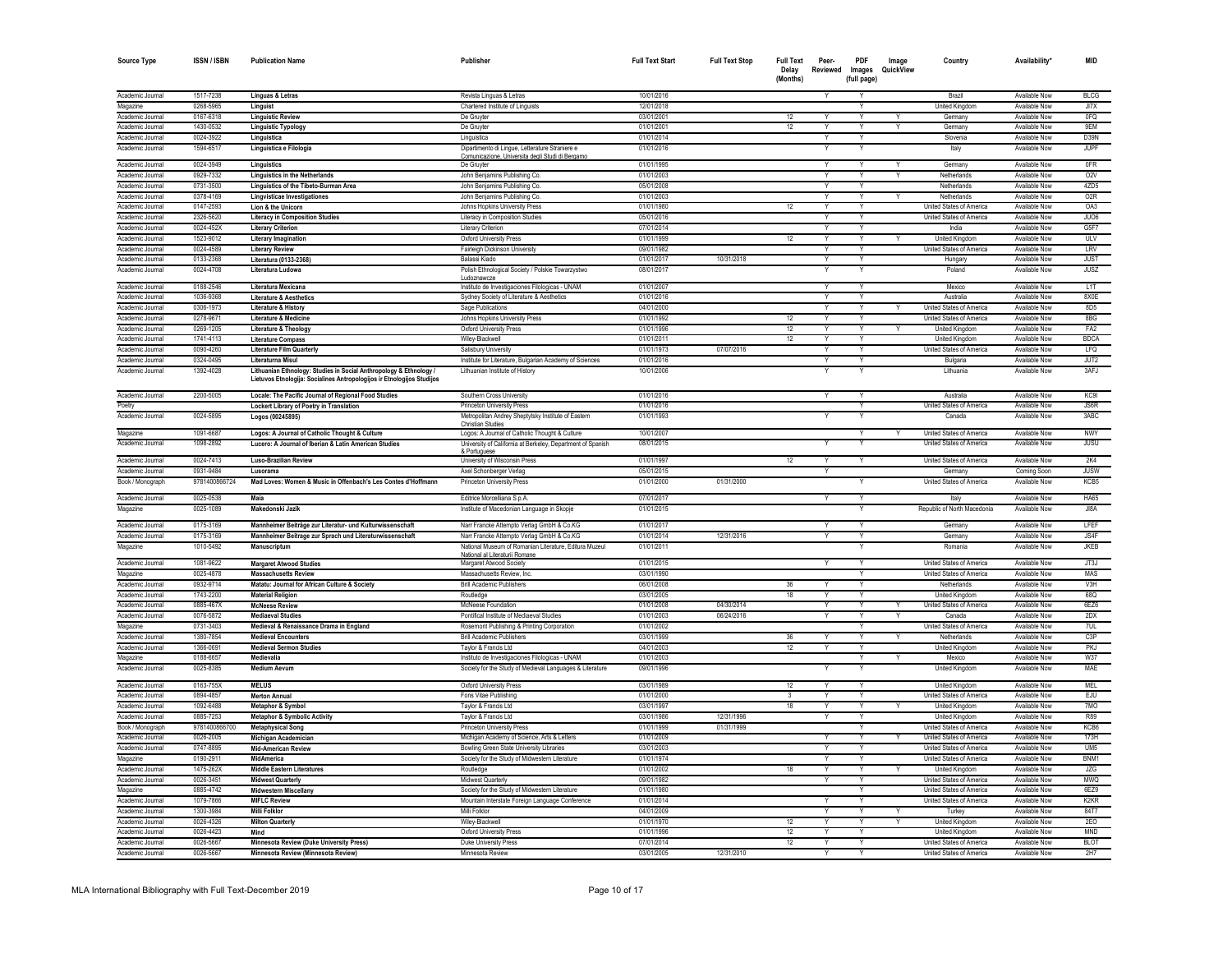| <b>Source Type</b>                   | <b>ISSN/ISBN</b>       | <b>Publication Name</b>                                                                                                                      | Publisher                                                                                                   | <b>Full Text Start</b>   | <b>Full Text Stop</b> | <b>Full Text</b><br>Delay<br>(Months) | Peer-<br>Reviewed       | PDF<br>Images<br>(full page) | Image<br>QuickView | Country                         | Availability'                         | <b>MID</b>                    |
|--------------------------------------|------------------------|----------------------------------------------------------------------------------------------------------------------------------------------|-------------------------------------------------------------------------------------------------------------|--------------------------|-----------------------|---------------------------------------|-------------------------|------------------------------|--------------------|---------------------------------|---------------------------------------|-------------------------------|
|                                      |                        |                                                                                                                                              |                                                                                                             |                          |                       |                                       |                         |                              |                    |                                 |                                       |                               |
| Academic Journa                      | 1517-7238              | Línguas & Letras                                                                                                                             | Revista Linguas & Letras                                                                                    | 10/01/2016               |                       |                                       |                         | v                            |                    | Brazil                          | Available Now                         | <b>BLCG</b>                   |
| Magazine<br>Academic Journal         | 0268-5965<br>0167-6318 | Linguist                                                                                                                                     | Chartered Institute of Linguists<br>De Gruvte                                                               | 12/01/2018<br>03/01/2001 |                       | 12                                    |                         |                              |                    | United Kingdor<br>Germany       | Available Nov<br>Available Now        | JI7X<br>0FQ                   |
| Academic Journal                     | 1430-0532              | <b>Linguistic Review</b><br><b>Linguistic Typology</b>                                                                                       | De Gruyte                                                                                                   | 01/01/2001               |                       | 12                                    |                         | v                            | $\vee$             | Germany                         | Available Now                         | 9EM                           |
| Academic Journal                     | 0024-3922              | Linguistica                                                                                                                                  | Linguistica                                                                                                 | 01/01/2014               |                       |                                       |                         | Y                            |                    | Slovenia                        | Available Now                         | D39N                          |
| Academic Journal                     | 1594-6517              | Linguistica e Filologia                                                                                                                      | Dipartimento di Lingue, Letterature Straniere e                                                             | 01/01/2016               |                       |                                       |                         | Y                            |                    | Italy                           | Available Now                         | JUPF                          |
|                                      |                        |                                                                                                                                              | Comunicazione, Universita degli Studi di Bergam                                                             |                          |                       |                                       |                         |                              |                    |                                 |                                       |                               |
| Academic Journal                     | 0024-3949              | Linguistics                                                                                                                                  | De Gruvte                                                                                                   | 01/01/1995               |                       |                                       |                         |                              |                    | Germany                         | Available Now                         | 0FR                           |
| Academic Journa                      | 0929-7332              | <b>Linguistics in the Netherlands</b>                                                                                                        | John Benjamins Publishing Co.                                                                               | 01/01/2003               |                       |                                       |                         |                              | $\vee$             | Netherlands                     | Available Now                         | 02V                           |
| Academic Journal                     | 0731-3500              | Linguistics of the Tibeto-Burman Area                                                                                                        | John Benjamins Publishing Co.                                                                               | 05/01/2008               |                       |                                       |                         | v                            |                    | Netherlands                     | Available Now                         | 4ZD5                          |
| Academic Journal                     | 0378-4169              | Lingvisticae Investigationes                                                                                                                 | John Benjamins Publishing Co.                                                                               | 01/01/2003               |                       |                                       |                         | v                            |                    | Netherlands                     | Available Now                         | 02R                           |
| Academic Journal                     | 0147-2593              | Lion & the Unicorn                                                                                                                           | Johns Hopkins University Press                                                                              | 01/01/1980               |                       | 12                                    |                         | Y                            |                    | United States of America        | Available Now                         | OA3                           |
| Academic Journal                     | 2326-5620              | <b>Literacy in Composition Studies</b>                                                                                                       | Literacy in Composition Studies                                                                             | 05/01/2016               |                       |                                       | Y                       | Y                            |                    | United States of America        | Available Now                         | JU06                          |
| Academic Journal                     | 0024-452X              | <b>Literary Criterion</b>                                                                                                                    | Literary Criterion                                                                                          | 07/01/2014               |                       |                                       | Y                       | Y                            |                    | India                           | Available Now                         | G5F7                          |
| Academic Journal<br>Academic Journal | 1523-9012<br>0024-4589 | Literary Imagination                                                                                                                         | <b>Oxford University Press</b>                                                                              | 01/01/1999<br>09/01/1982 |                       | 12                                    | Y<br>Y                  | Y<br>Y                       |                    | United Kingdom                  | Available Now<br>Available Now        | ULV<br>LRV                    |
| Academic Journal                     | 0133-2368              | <b>Literary Review</b><br>Literatura (0133-2368)                                                                                             | Fairleigh Dickinson University<br><b>Balassi Kiado</b>                                                      | 01/01/2017               | 10/31/2018            |                                       | Y                       | Y                            |                    | United States of America        | Available Now                         | <b>JUST</b>                   |
| Academic Journal                     | 0024-4708              | Literatura Ludowa                                                                                                                            | Polish Ethnological Society / Polskie Towarzystwo                                                           | 08/01/2017               |                       |                                       |                         |                              |                    | Hungary<br>Poland               | Available Now                         | <b>JUSZ</b>                   |
|                                      |                        |                                                                                                                                              | Ludoznawcze                                                                                                 |                          |                       |                                       |                         |                              |                    |                                 |                                       |                               |
| Academic Journal                     | 0188-2546              | Literatura Mexicana                                                                                                                          | Instituto de Investigaciones Filologicas - UNAM                                                             | 01/01/2007               |                       |                                       | Y                       | Y                            |                    | Mexico                          | Available Now                         | L1T                           |
| Academic Journal                     | 1036-9368              | <b>Literature &amp; Aesthetics</b>                                                                                                           | Sydney Society of Literature & Aesthetics                                                                   | 01/01/2016               |                       |                                       | Y                       | Y                            |                    | Australia                       | Available Now                         | 8X0E                          |
| Academic Journal                     | 0306-1973              | Literature & History                                                                                                                         | Sage Publications                                                                                           | 04/01/2000               |                       |                                       | Y                       | Y                            | Y                  | United States of America        | Available Now                         | 8D <sub>5</sub>               |
| Academic Journal                     | 0278-9671              | <b>Literature &amp; Medicine</b>                                                                                                             | Johns Hopkins University Press                                                                              | 01/01/1992               |                       | 12                                    | Y                       | Y                            |                    | <b>United States of America</b> | Available Now                         | 8BG                           |
| Academic Journal                     | 0269-1205              | Literature & Theology                                                                                                                        | Oxford University Press                                                                                     | 01/01/1996               |                       | 12                                    | Y                       | Y                            | Y                  | United Kingdom                  | Available Now                         | FA <sub>2</sub>               |
| Academic Journal                     | 1741-4113              | <b>Literature Compass</b>                                                                                                                    | Wiley-Blackwell                                                                                             | 01/01/2011               |                       | 12                                    | Y                       | Y                            |                    | <b>United Kingdom</b>           | Available Now                         | <b>BDCA</b>                   |
| Academic Journal                     | 0090-4260              | <b>Literature Film Quarterly</b>                                                                                                             | Salisbury University                                                                                        | 01/01/1973               | 07/07/2016            |                                       | Y                       | Y                            |                    | United States of America        | <b>Available Now</b>                  | LFQ                           |
| Academic Journal                     | 0324-0495              | Literaturna Misul                                                                                                                            | Institute for Literature, Bulgarian Academy of Sciences                                                     | 01/01/2016               |                       |                                       |                         |                              |                    | Bulgaria                        | Available Now                         | JUT2                          |
| Academic Journal                     | 1392-4028              | Lithuanian Ethnology: Studies in Social Anthropology & Ethnology /<br>Lietuvos Etnologija: Socialines Antropologijos ir Etnologijos Studijos | Lithuanian Institute of History                                                                             | 10/01/2006               |                       |                                       |                         |                              |                    | Lithuania                       | Available Now                         | 3AFJ                          |
| Academic Journal                     | 2200-5005              | Locale: The Pacific Journal of Regional Food Studies                                                                                         | Southern Cross University                                                                                   | 01/01/2016               |                       |                                       | Y                       |                              |                    | Australia                       | Available Now                         | KC9I                          |
| Poetry                               |                        | Lockert Library of Poetry in Translation                                                                                                     | <b>Princeton University Press</b>                                                                           | 01/01/2016               |                       |                                       |                         |                              |                    | United States of America        | <b>Available Now</b>                  | JS6R                          |
| Academic Journal                     | 0024-5895              | Logos (00245895)                                                                                                                             | Metropolitan Andrey Sheptytsky Institute of Eastern<br><b>Christian Studies</b>                             | 01/01/1993               |                       |                                       |                         |                              |                    | Canada                          | Available Now                         | 3ABC                          |
| Magazine                             | 1091-6687              | Logos: A Journal of Catholic Thought & Culture                                                                                               | Logos: A Journal of Catholic Thought & Culture                                                              | 10/01/2007               |                       |                                       |                         |                              |                    | United States of America        | Available Now                         | <b>NWY</b>                    |
| Academic Journal                     | 1098-2892              | Lucero: A Journal of Iberian & Latin American Studies                                                                                        | University of California at Berkeley, Department of Spanish<br>& Portuguese                                 | 08/01/2015               |                       |                                       |                         |                              |                    | United States of America        | <b>Available Now</b>                  | <b>JUSU</b>                   |
| Academic Journal                     | 0024-7413              | Luso-Brazilian Review                                                                                                                        | University of Wisconsin Press                                                                               | 01/01/1997               |                       | 12                                    |                         |                              |                    | <b>United States of America</b> | Available Now                         | 2K4                           |
| Academic Journal                     | 0931-9484              | Lusorama                                                                                                                                     | Axel Schonberger Verlag                                                                                     | 05/01/2015               |                       |                                       | Y                       |                              |                    | Germany                         | Coming Soon                           | <b>JUSW</b>                   |
| Book / Monograph                     | 9781400866724          | Mad Loves: Women & Music in Offenbach's Les Contes d'Hoffmann                                                                                | <b>Princeton University Press</b>                                                                           | 01/01/2000               | 01/31/2000            |                                       |                         |                              |                    | <b>United States of America</b> | Available Now                         | KCB5                          |
| Academic Journal                     | 0025-0538              | Maia                                                                                                                                         | Editrice Morcelliana S.p.A.                                                                                 | 07/01/2017               |                       |                                       | Υ                       | Υ                            |                    | Italy                           | Available Now                         | HA65                          |
| Magazine                             | 0025-1089              | Makedonski Jazik                                                                                                                             | Institute of Macedonian Language in Skopje                                                                  | 01/01/2015               |                       |                                       |                         |                              |                    | Republic of North Macedonia     | Available Now                         | JI8A                          |
| Academic Journal                     | 0175-3169              | Mannheimer Beiträge zur Literatur- und Kulturwissenschaft                                                                                    | Narr Francke Attempto Verlag GmbH & Co.KG                                                                   | 01/01/2017               |                       |                                       |                         |                              |                    | Germany                         | Available Now                         | <b>LFEF</b>                   |
| Academic Journa                      | 0175-3169              | Mannheimer Beitrage zur Sprach und Literaturwissenschaft                                                                                     | Narr Francke Attempto Verlag GmbH & Co.KG                                                                   | 01/01/2014               | 12/31/2016            |                                       |                         |                              |                    | Germany                         | Available Now                         | JS4F                          |
| Magazine                             | 1010-5492              | Manuscriptur                                                                                                                                 | National Museum of Romanian Literature, Editura Muzeul<br>National al Literaturii Romane                    | 01/01/2011               |                       |                                       |                         |                              |                    | Romania                         | Available Now                         | <b>JKEB</b>                   |
| Academic Journal                     | 1081-9622              | <b>Margaret Atwood Studies</b>                                                                                                               | Margaret Atwood Society                                                                                     | 01/01/2015               |                       |                                       | Y                       |                              |                    | United States of America        | <b>Available Now</b>                  | JT3J                          |
| Magazine                             | 0025-4878              | <b>Massachusetts Review</b>                                                                                                                  | Massachusetts Review, Inc.                                                                                  | 03/01/1990               |                       |                                       |                         |                              |                    | United States of America        | Available Now                         | MAS                           |
| Academic Journa                      | 0932-9714              | Matatu: Journal for African Culture & Society                                                                                                | <b>Brill Academic Publishers</b>                                                                            | 06/01/2008               |                       | 36                                    |                         |                              |                    | Netherlands                     | Available Now                         | V3H                           |
| Academic Journa                      | 1743-2200              | <b>Material Religion</b>                                                                                                                     | Routledge                                                                                                   | 03/01/2005               |                       | 18                                    |                         |                              |                    | <b>United Kinadon</b>           | Available Now                         | 68Q                           |
| Academic Journa                      | 0885-467X              | <b>McNeese Review</b>                                                                                                                        | McNeese Foundation                                                                                          | 01/01/2008               | 04/30/2014            |                                       |                         |                              |                    | United States of America        | Available Now                         | 6EZ6                          |
| Academic Journal                     | 0076-5872              | <b>Mediaeval Studies</b>                                                                                                                     | Pontifical Institute of Mediaeval Studies                                                                   | 01/01/2003               | 06/24/2016            |                                       |                         |                              |                    | Canada                          | Available Now                         | 2DX                           |
| Magazine                             | 0731-3403              | Medieval & Renaissance Drama in England                                                                                                      | Rosemont Publishing & Printing Corporation                                                                  | 01/01/2002               |                       |                                       |                         |                              |                    | United States of America        | Available Now                         | 7UL                           |
| Academic Journal                     | 1380-7854              | <b>Medieval Encounters</b>                                                                                                                   | <b>Brill Academic Publishers</b>                                                                            | 03/01/1999               |                       | 36                                    |                         |                              |                    | Netherlands                     | <b>Available Now</b><br>Available Nov | C3P                           |
| Academic Journal                     | 1366-069<br>0188-6657  | <b>Medieval Sermon Studies</b>                                                                                                               | Taylor & Francis Ltd                                                                                        | 04/01/2003               |                       | $\overline{12}$                       |                         |                              |                    | <b>United Kingdom</b>           |                                       | <b>PKJ</b>                    |
| Magazine<br>Academic Journal         | 0025-8385              | Medievalia<br><b>Medium Aevum</b>                                                                                                            | Instituto de Investigaciones Filologicas - UNAM<br>Society for the Study of Medieval Languages & Literature | 01/01/2003<br>09/01/1996 |                       |                                       |                         | Y                            |                    | Mexico<br>United Kingdom        | Available Now<br>Available Now        | <b>W37</b><br>MAE             |
| Academic Journal                     | 0163-755X              | <b>MELUS</b>                                                                                                                                 | Oxford University Press                                                                                     | 03/01/1989               |                       | 12                                    |                         | Y                            |                    | United Kingdom                  | Available Now                         | MEL                           |
| Academic Journa                      | 0894-4857              | <b>Merton Annual</b>                                                                                                                         | Fons Vitae Publishing                                                                                       | 01/01/2000               |                       | $\overline{\mathbf{3}}$               |                         | Y                            |                    | United States of America        | Available Now                         | EJU                           |
| Academic Journa                      | 1092-6488              | Metaphor & Symbol                                                                                                                            | Taylor & Francis Ltd                                                                                        | 03/01/1997               |                       | 18                                    |                         |                              |                    | United Kingdor                  | Available Nov                         | 7MO                           |
| Academic Journal                     | 0885-7253              | <b>Metaphor &amp; Symbolic Activity</b>                                                                                                      | Taylor & Francis Ltd                                                                                        | 03/01/1986               | 12/31/1996            |                                       | Y                       | $\mathsf{v}$                 |                    | United Kingdom                  | Available Now                         | R89                           |
| Book / Monograph                     | 9781400866700          | <b>Metaphysical Song</b>                                                                                                                     | <b>Princeton University Press</b>                                                                           | 01/01/1999               | 01/31/1999            |                                       |                         | Y                            |                    | <b>United States of America</b> | Available Now                         | KC <sub>R6</sub>              |
| Academic Journa                      | 0026-2005              | Michigan Academician                                                                                                                         | Michigan Academy of Science, Arts & Letters                                                                 | 01/01/2009               |                       |                                       | Y                       | $\overline{\mathsf{Y}}$      |                    | <b>United States of America</b> | <b>Available Now</b>                  | 173H                          |
| Academic Journal                     | 0747-8895              | <b>Mid-American Review</b>                                                                                                                   | Bowling Green State University Libraries                                                                    | 03/01/2003               |                       |                                       | γ                       |                              |                    | <b>United States of America</b> | <b>Available Now</b>                  | UM5                           |
| Magazine                             | 0190-2911              | MidAmerica                                                                                                                                   | Society for the Study of Midwestern Literature                                                              | 01/01/1974               |                       |                                       | Ÿ                       |                              |                    | United States of America        | Available Now                         | BNM1                          |
| Academic Journal                     | 1475-262X              | <b>Middle Eastern Literatures</b>                                                                                                            | Routledge                                                                                                   | 01/01/2002               |                       | 18                                    |                         |                              |                    | <b>United Kingdom</b>           | <b>Available Now</b>                  | <b>JZG</b>                    |
| Academic Journal                     | 0026-345               | <b>Midwest Quarterly</b>                                                                                                                     | Midwest Quarterly                                                                                           | 09/01/1982               |                       |                                       | $\overline{\mathsf{v}}$ | Y                            |                    | <b>United States of America</b> | <b>Available Now</b>                  | <b>MWO</b>                    |
| Magazine                             | 0885-4742              | <b>Midwestern Miscellany</b>                                                                                                                 | Society for the Study of Midwestern Literature                                                              | 01/01/1980               |                       |                                       |                         | Y                            |                    | United States of America        | Available Now                         | 6EZ9                          |
| Academic Journa                      | 1079-7866              | <b>MIFLC Review</b>                                                                                                                          | Mountain Interstate Foreign Language Conference                                                             | 01/01/2014               |                       |                                       |                         |                              |                    | United States of America        | Available Now                         | K <sub>2</sub> K <sub>R</sub> |
| Academic Journal                     | 1300-3984              | Milli Folklor                                                                                                                                | Milli Folklor                                                                                               | 04/01/2009               |                       |                                       |                         | Y                            |                    | Turkey                          | Available Now                         | 84T7                          |
| Academic Journal                     | 0026-4326              | <b>Milton Quarterly</b>                                                                                                                      | Wiley-Blackwell                                                                                             | 01/01/1970               |                       | 12                                    |                         | Y                            | $\vee$             | United Kingdom                  | <b>Available Now</b>                  | 2EO                           |
| Academic Journal                     | 0026-4423              | Mind                                                                                                                                         | <b>Oxford University Press</b>                                                                              | 01/01/1996               |                       | 12                                    | Y                       | Y                            |                    | <b>United Kingdom</b>           | Available Now                         | <b>MND</b>                    |
| Academic Journal                     | 0026-5667              | Minnesota Review (Duke University Press)                                                                                                     | Duke University Press                                                                                       | 07/01/2014               |                       | 12                                    | Y                       | Y                            |                    | United States of America        | Available Now                         | <b>BLOT</b>                   |
| Academic Journal                     | 0026-5667              | Minnesota Review (Minnesota Review)                                                                                                          | Minnesota Review                                                                                            | 03/01/2005               | 12/31/2010            |                                       |                         |                              |                    | <b>United States of America</b> | Available Now                         | 2H7                           |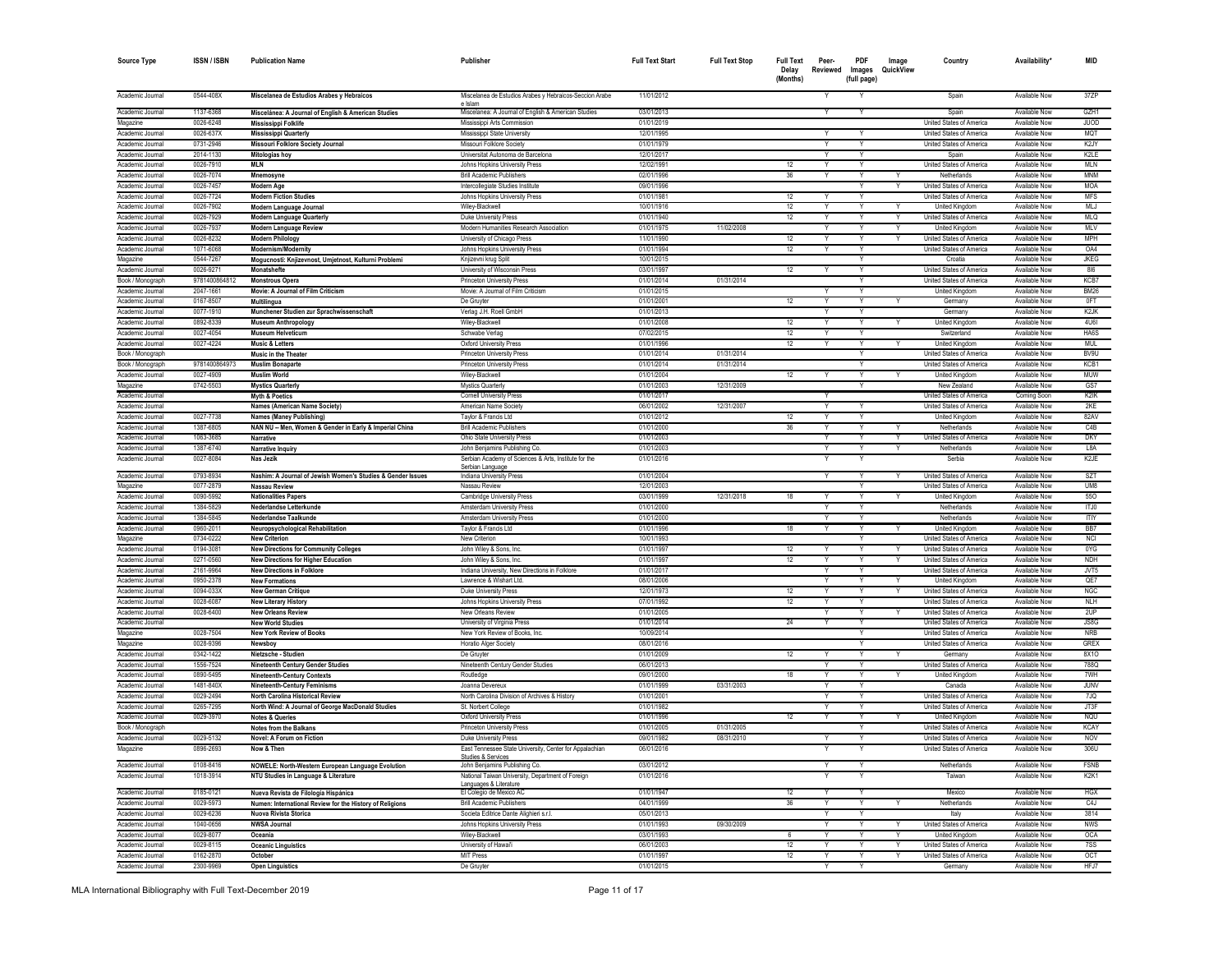| <b>Source Type</b> | <b>ISSN/ISBN</b> | <b>Publication Name</b>                                     | Publisher                                                          | <b>Full Text Start</b> | <b>Full Text Stop</b> | <b>Full Text</b><br>Delay<br>(Months) | Peer-<br>Reviewed       | PDF<br>Images<br>(full page) | Image<br>QuickView | Country                  | Availability'        | MID                           |
|--------------------|------------------|-------------------------------------------------------------|--------------------------------------------------------------------|------------------------|-----------------------|---------------------------------------|-------------------------|------------------------------|--------------------|--------------------------|----------------------|-------------------------------|
| Academic Journal   | 0544-408X        | Miscelanea de Estudios Arabes y Hebraicos                   | Miscelanea de Estudios Arabes y Hebraicos-Seccion Arabe<br>e Islam | 11/01/2012             |                       |                                       | Υ                       |                              |                    | Spain                    | Available Now        | 37ZP                          |
| Academic Journal   | 1137-6368        | Miscelánea: A Journal of English & American Studies         | Miscelanea: A Journal of English & American Studies                | 03/01/2013             |                       |                                       |                         |                              |                    | Spain                    | Available Now        | GZH1                          |
| Magazine           | 0026-6248        | Mississippi Folklife                                        | Mississippi Arts Commission                                        | 01/01/2019             |                       |                                       |                         |                              |                    | United States of America | Available Now        | JUOD                          |
| Academic Journal   | 0026-637X        | <b>Mississippi Quarterly</b>                                | Mississippi State University                                       | 12/01/1995             |                       |                                       | Y                       |                              |                    | United States of America | Available Now        | MQT                           |
| Academic Journal   | 0731-2946        | Missouri Folklore Society Journal                           | Missouri Folklore Society                                          | 01/01/1979             |                       |                                       |                         | Υ                            |                    | United States of America | Available Now        | K2JY                          |
| Academic Journal   | 2014-1130        | Mitologias hoy                                              | Universitat Autonoma de Barcelona                                  | 12/01/2017             |                       |                                       | Y                       |                              |                    | Spain                    | Available Now        | K2LE                          |
| Academic Journal   | 0026-7910        | MLN                                                         | Johns Hopkins University Press                                     | 12/02/1991             |                       | 12                                    | Y                       | Y                            |                    | United States of America | Available Now        | MLN                           |
| Academic Journal   | 0026-7074        | Mnemosyne                                                   | <b>Brill Academic Publishers</b>                                   | 02/01/1996             |                       | 36                                    | Y                       | Y                            |                    | Netherlands              | Available Now        | <b>MNM</b>                    |
| Academic Journal   | 0026-7457        | Modern Age                                                  | Intercollegiate Studies Institute                                  | 09/01/1996             |                       |                                       |                         |                              |                    | United States of America | Available Now        | <b>MOA</b>                    |
| Academic Journal   | 0026-7724        | <b>Modern Fiction Studies</b>                               | Johns Hopkins University Press                                     | 01/01/1981             |                       | 12                                    |                         |                              |                    | United States of America | Available Now        | <b>MFS</b>                    |
| Academic Journal   | 0026-7902        | Modern Language Journal                                     | Wiley-Blackwell                                                    | 10/01/1916             |                       | 12                                    | Y                       | Y                            |                    | United Kingdom           | Available Now        | MLJ                           |
| Academic Journal   | 0026-7929        | Modern Language Quarterly                                   | Duke University Press                                              | 01/01/1940             |                       | 12                                    | Y                       | Y                            |                    | United States of America | Available Now        | <b>MLQ</b>                    |
| Academic Journal   | 0026-7937        | Modern Language Review                                      | Modern Humanities Research Association                             | 01/01/1975             | 11/02/2008            |                                       |                         |                              |                    | United Kingdom           | Available Now        | <b>MLV</b>                    |
| Academic Journal   | 0026-8232        | <b>Modern Philology</b>                                     | University of Chicago Press                                        | 11/01/1990             |                       | 12                                    |                         | Υ                            |                    | United States of America | Available Now        | <b>MPH</b>                    |
| Academic Journal   | 1071-6068        | Modernism/Modernity                                         | Johns Hopkins University Press                                     | 01/01/1994             |                       | 12                                    | Y                       | Y                            |                    | United States of America | Available Now        | OA4                           |
| Magazine           | 0544-7267        | Mogucnosti: Knjizevnost, Umjetnost, Kulturni Problemi       | Knjizevni krug Split                                               | 10/01/2015             |                       |                                       |                         | Y                            |                    | Croatia                  | Available Now        | <b>JKEG</b>                   |
| Academic Journal   | 0026-9271        | Monatshefte                                                 | University of Wisconsin Press                                      | 03/01/1997             |                       | 12                                    | Υ                       | Y                            |                    | United States of America | Available Now        | 816                           |
| Book / Monograph   | 9781400864812    | <b>Monstrous Opera</b>                                      | Princeton University Press                                         | 01/01/2014             | 01/31/2014            |                                       |                         |                              |                    | United States of America | Available Now        | KCB7                          |
| Academic Journal   | 2047-1661        | Movie: A Journal of Film Criticism                          | Movie: A Journal of Film Criticism                                 | 01/01/2015             |                       |                                       | Y                       | Υ                            |                    | United Kingdom           | Available Now        | <b>BM26</b>                   |
| Academic Journal   | 0167-8507        | <b>Multilingua</b>                                          | De Gruyter                                                         | 01/01/2001             |                       | 12                                    | Y                       | Y                            |                    | Germany                  | Available Now        | 0FT                           |
| Academic Journal   | 0077-1910        | Munchener Studien zur Sprachwissenschaft                    | Verlag J.H. Roell GmbH                                             | 01/01/2013             |                       |                                       |                         | Υ                            |                    | Germany                  | Available Now        | K <sub>2</sub> JK             |
| Academic Journal   | 0892-8339        | <b>Museum Anthropology</b>                                  | Wiley-Blackwell                                                    | 01/01/2008             |                       | 12                                    |                         |                              |                    | <b>United Kingdom</b>    | Available Now        | <b>4U6I</b>                   |
| Academic Journal   | 0027-4054        | <b>Museum Helveticum</b>                                    | Schwabe Verlag                                                     | 07/02/2015             |                       | 12                                    | Y                       | Y                            |                    | Switzerland              | Available Now        | HA6S                          |
| Academic Journal   | 0027-4224        | <b>Music &amp; Letters</b>                                  | Oxford University Press                                            | 01/01/1996             |                       | 12                                    | Y                       | Y                            |                    | United Kingdom           | Available Now        | <b>MUL</b>                    |
| Book / Monograph   |                  | Music in the Theater                                        | <b>Princeton University Press</b>                                  | 01/01/2014             | 01/31/2014            |                                       |                         | Y                            |                    | United States of America | Available Now        | BV9U                          |
| Book / Monograph   | 9781400864973    | <b>Muslim Bonaparte</b>                                     | <b>Princeton University Press</b>                                  | 01/01/2014             | 01/31/2014            |                                       |                         |                              |                    | United States of America | Available Now        | KCB1                          |
| Academic Journal   | 0027-4909        | <b>Muslim World</b>                                         | Wiley-Blackwell                                                    | 01/01/2004             |                       | 12                                    | Y                       | Y                            |                    | United Kingdom           | Available Now        | MUW                           |
| Magazine           | 0742-5503        | <b>Mystics Quarterly</b>                                    | Mystics Quarterly                                                  | 01/01/2003             | 12/31/2009            |                                       |                         | Y                            |                    | New Zealand              | Available Now        | GS7                           |
| Academic Journal   |                  | <b>Myth &amp; Poetics</b>                                   | <b>Cornell University Press</b>                                    | 01/01/2017             |                       |                                       |                         |                              |                    | United States of America | Coming Soon          | K2IK                          |
| Academic Journal   |                  | Names (American Name Society)                               | American Name Society                                              | 06/01/2002             | 12/31/2007            |                                       |                         |                              |                    | United States of America | Available Now        | 2KE                           |
| Academic Journal   | 0027-7738        | Names (Maney Publishing)                                    | Taylor & Francis Ltd                                               | 01/01/2012             |                       | 12                                    | Y                       |                              |                    | United Kingdom           | Available Now        | 82AV                          |
| Academic Journal   | 1387-6805        | NAN NU - Men, Women & Gender in Early & Imperial China      | <b>Brill Academic Publishers</b>                                   | 01/01/2000             |                       | 36                                    | Y                       | Y                            |                    | Netherlands              | Available Now        | CAB                           |
| Academic Journal   | 1063-3685        | Narrative                                                   | Ohio State University Press                                        | 01/01/2003             |                       |                                       |                         |                              |                    | United States of America | Available Now        | <b>DKY</b>                    |
| Academic Journal   | 1387-6740        | Narrative Inquiry                                           | John Benjamins Publishing Co.                                      | 01/01/2003             |                       |                                       |                         |                              |                    | Netherlands              | Available Now        | L <sub>8</sub> A              |
| Academic Journal   | 0027-8084        | Nas Jezik                                                   | Serbian Academy of Sciences & Arts, Institute for the              | 01/01/2016             |                       |                                       |                         |                              |                    | Serbia                   | Available Now        | K <sub>2</sub> JE             |
| Academic Journal   | 0793-8934        | Nashim: A Journal of Jewish Women's Studies & Gender Issues | Serbian Language<br>Indiana University Press                       | 01/01/2004             |                       |                                       |                         |                              |                    | United States of America | Available Now        | SZT                           |
| Magazine           | 0077-2879        | Nassau Review                                               | Nassau Review                                                      | 12/01/2003             |                       |                                       |                         |                              |                    | United States of America | Available Now        | UM8                           |
| Academic Journal   | 0090-5992        | <b>Nationalities Papers</b>                                 | <b>Cambridge University Press</b>                                  | 03/01/1999             | 12/31/2018            | 18                                    | Y                       | Y                            |                    | United Kingdom           | Available Now        | 550                           |
| Academic Journal   | 1384-5829        | Nederlandse Letterkunde                                     | Amsterdam University Press                                         | 01/01/2000             |                       |                                       | $\overline{\mathsf{v}}$ | Ÿ                            |                    | Netherlands              | Available Now        | ITJ0                          |
| Academic Journal   | 1384-5845        | Nederlandse Taalkunde                                       | Amsterdam University Press                                         | 01/01/2000             |                       |                                       |                         |                              |                    | Netherlands              | Available Now        | <b>ITIY</b>                   |
| Academic Journal   | 0960-2011        | Neuropsychological Rehabilitation                           | Taylor & Francis Ltd                                               | 01/01/1996             |                       | 18                                    | Y                       | Υ                            | Y                  | United Kingdom           | Available Now        | BB7                           |
| Magazine           | 0734-0222        | <b>New Criterion</b>                                        | New Criterion                                                      | 10/01/1993             |                       |                                       |                         |                              |                    | United States of America | Available Now        | <b>NCI</b>                    |
| Academic Journal   | 0194-3081        | <b>New Directions for Community Colleges</b>                | John Wiley & Sons, Inc.                                            | 01/01/1997             |                       | 12                                    | Y                       | Y                            |                    | United States of America | Available Now        | 0YG                           |
| Academic Journal   | 0271-0560        | <b>New Directions for Higher Education</b>                  | John Wiley & Sons, Inc.                                            | 01/01/1997             |                       | 12                                    |                         |                              |                    | United States of America | Available Now        | <b>NDH</b>                    |
| Academic Journal   | 2161-9964        | <b>New Directions in Folklore</b>                           | Indiana University, New Directions in Folklore                     | 01/01/2017             |                       |                                       | Y                       | Y                            |                    | United States of America | Available Now        | JVT5                          |
| Academic Journal   | 0950-2378        | <b>New Formations</b>                                       | Lawrence & Wishart Ltd.                                            | 08/01/2006             |                       |                                       |                         |                              |                    | United Kingdom           | Available Now        | QE7                           |
| Academic Journal   | 0094-033X        | New German Critique                                         | Duke University Press                                              | 12/01/1973             |                       | 12                                    |                         |                              |                    | United States of America | <b>Available Now</b> | <b>NGC</b>                    |
| Academic Journal   | 0028-6087        | <b>New Literary History</b>                                 | Johns Hopkins University Press                                     | 07/01/1992             |                       | 12                                    |                         |                              |                    | United States of America | Available Now        | <b>NLH</b>                    |
| Academic Journal   | 0028-6400        | <b>New Orleans Review</b>                                   | New Orleans Review                                                 | 01/01/2005             |                       |                                       | Y                       | Y                            | Y                  | United States of America | Available Now        | 2UP                           |
| Academic Journal   |                  | <b>New World Studies</b>                                    | University of Virginia Press                                       | 01/01/2014             |                       | 24                                    |                         | Y                            |                    | United States of America | Available Now        | JS8G                          |
| Magazine           | 0028-7504        | New York Review of Books                                    | New York Review of Books, Inc.                                     | 10/09/2014             |                       |                                       |                         |                              |                    | United States of America | Available Now        | <b>NRB</b>                    |
| Magazine           | 0028-9396        | Newsboy                                                     | Horatio Alger Society                                              | 08/01/2016             |                       |                                       |                         |                              |                    | United States of America | Available Now        | GREX                          |
| Academic Journal   | 0342-1422        | Nietzsche - Studien                                         | De Gruyter                                                         | 01/01/2009             |                       | 12                                    | Y                       |                              |                    | Germany                  | Available Now        | 8X10                          |
| Academic Journal   | 1556-7524        | Nineteenth Century Gender Studies                           | Nineteenth Century Gender Studies                                  | 06/01/2013             |                       |                                       | Υ                       | Y                            |                    | United States of America | Available Now        | 788Q                          |
| Academic Journal   | 0890-5495        | Nineteenth-Century Contexts                                 | Routledge                                                          | 09/01/2000             |                       | 18                                    | Y                       | Y                            |                    | United Kingdom           | Available Now        | 7WH                           |
| Academic Journal   | 1481-840X        | Nineteenth-Century Feminisms                                | Joanna Devereux                                                    | 01/01/1999             | 03/31/2003            |                                       |                         |                              |                    | Canada                   | Available Now        | <b>JUNV</b>                   |
| Academic Journal   | 0029-2494        | North Carolina Historical Review                            | North Carolina Division of Archives & History                      | 01/01/2001             |                       |                                       | Y                       | Y                            |                    | United States of America | Available Now        | 7JQ                           |
| Academic Journal   | 0265-7295        | North Wind: A Journal of George MacDonald Studies           | St. Norbert College                                                | 01/01/1982             |                       |                                       |                         | Y                            |                    | United States of America | Available Now        | JT3F                          |
| Academic Journal   | 0029-3970        | <b>Notes &amp; Queries</b>                                  | Oxford University Press                                            | 01/01/1996             |                       | 12                                    | Y                       | Y                            |                    | United Kingdom           | Available Now        | NQU                           |
| Book / Monograph   |                  | <b>Notes from the Balkans</b>                               | <b>Princeton University Press</b>                                  | 01/01/2005             | 01/31/2005            |                                       |                         |                              |                    | United States of America | Available Now        | <b>KCAY</b>                   |
| Academic Journal   | 0029-5132        | Novel: A Forum on Fiction                                   | Duke University Press                                              | 09/01/1982             | 08/31/2010            |                                       |                         |                              |                    | United States of America | Available Now        | NOV                           |
| Magazine           | 0896-2693        | Now & Then                                                  | East Tennessee State University, Center for Appalachian            | 06/01/2016             |                       |                                       |                         | Υ                            |                    | United States of America | Available Now        | 306U                          |
|                    |                  |                                                             | tudies & Services                                                  |                        |                       |                                       |                         |                              |                    |                          |                      |                               |
| Academic Journal   | 0108-8416        | NOWELE: North-Western European Language Evolution           | John Benjamins Publishing Co.                                      | 03/01/2012             |                       |                                       |                         |                              |                    | Netherlands              | Available Now        | FSNB                          |
| Academic Journal   | 1018-3914        | NTU Studies in Language & Literature                        | National Taiwan University, Department of Foreign                  | 01/01/2016             |                       |                                       |                         |                              |                    | Taiwan                   | Available Now        | K <sub>2</sub> K <sub>1</sub> |
|                    |                  | Nueva Revista de Filología Hispánica                        | Languages & Literature                                             |                        |                       |                                       | Y                       |                              |                    |                          |                      |                               |
| Academic Journal   | 0185-0121        |                                                             | El Colegio de Mexico AC                                            | 01/01/1947             |                       | 12                                    |                         | Y                            |                    | Mexico                   | Available Now        | HGX                           |
| Academic Journal   | 0029-5973        | Numen: International Review for the History of Religions    | <b>Brill Academic Publishers</b>                                   | 04/01/1999             |                       | 36                                    |                         |                              |                    | Netherlands              | Available Now        | C <sub>4</sub> J              |
| Academic Journal   | 0029-6236        | Nuova Rivista Storica                                       | Societa Editrice Dante Alighieri s.r.l.                            | 05/01/2013             |                       |                                       | Y                       | Y                            |                    | Italy                    | Available Now        | 3814                          |
| Academic Journal   | 1040-0656        | <b>NWSA Journal</b>                                         | Johns Hopkins University Press                                     | 01/01/1993             | 09/30/2009            |                                       | Y                       | Y                            |                    | United States of America | Available Now        | <b>NWS</b>                    |
| Academic Journal   | 0029-8077        | Oceania                                                     | Wiley-Blackwell                                                    | 03/01/1993             |                       | 6                                     | Y                       | Y                            | Y                  | United Kingdom           | Available Now        | <b>OCA</b>                    |
| Academic Journal   | 0029-8115        | <b>Oceanic Linguistics</b>                                  | University of Hawai'i                                              | 06/01/2003             |                       | 12                                    |                         |                              |                    | United States of America | Available Now        | 7SS                           |
| Academic Journal   | 0162-2870        | October                                                     | <b>MIT Press</b>                                                   | 01/01/1997             |                       | 12                                    | Y                       | Y                            | Y                  | United States of America | Available Now        | OCT                           |
| Academic Journal   | 2300-9969        | <b>Open Linguistics</b>                                     | De Gruyter                                                         | 01/01/2015             |                       |                                       |                         | Y                            |                    | Germany                  | Available Now        | HFJ7                          |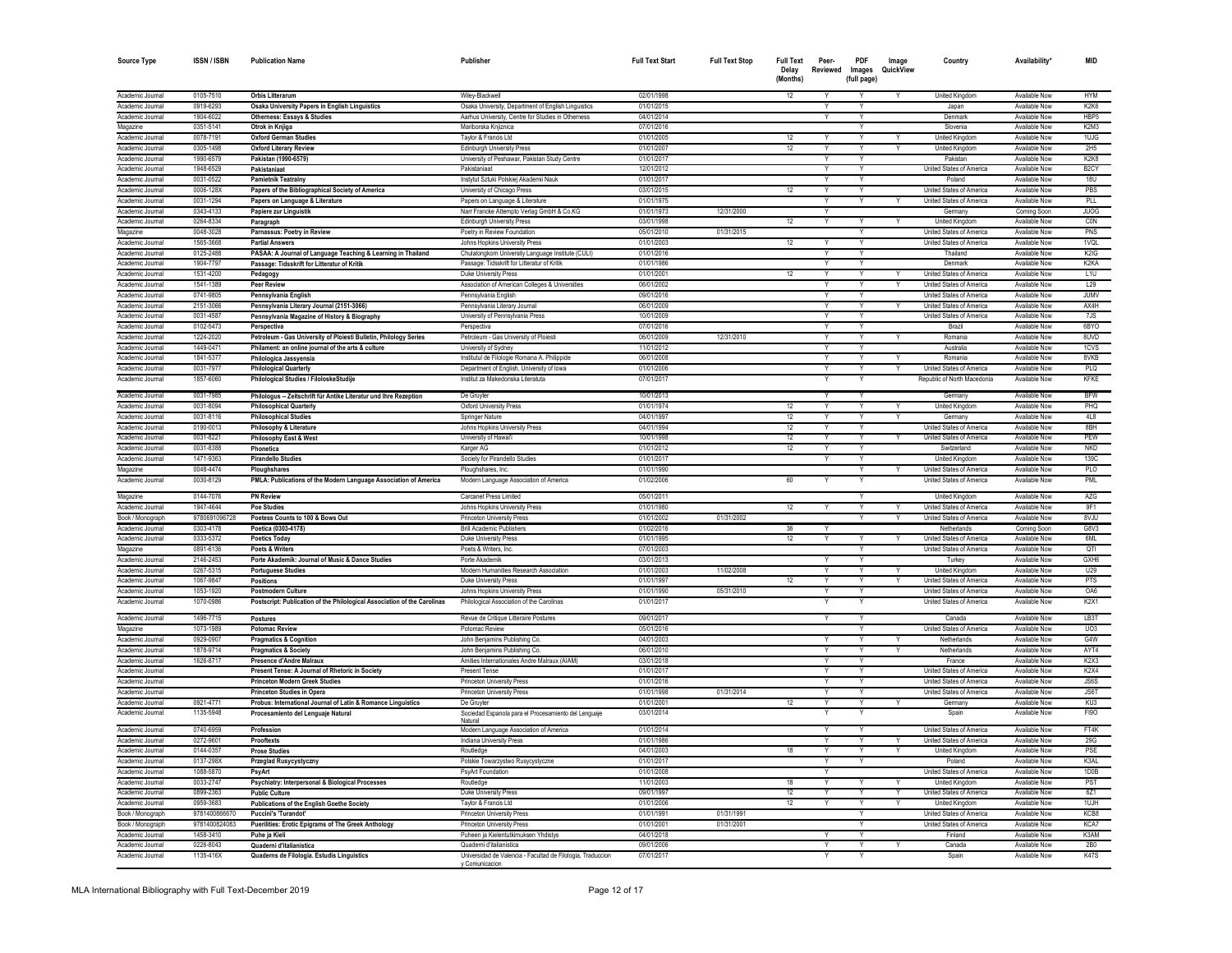| <b>Source Type</b>                   | <b>ISSN/ISBN</b>           | <b>Publication Name</b>                                                                                      | Publisher                                                                                                 | <b>Full Text Start</b>   | <b>Full Text Stop</b> | <b>Full Text</b><br>Delay<br>(Months) | Peer-<br>Reviewed | <b>PDF</b><br>Images<br>(full page) | Image<br>QuickView | Country                                                     | Availability'                  | MID                           |
|--------------------------------------|----------------------------|--------------------------------------------------------------------------------------------------------------|-----------------------------------------------------------------------------------------------------------|--------------------------|-----------------------|---------------------------------------|-------------------|-------------------------------------|--------------------|-------------------------------------------------------------|--------------------------------|-------------------------------|
| Academic Journa                      | 0105-7510                  | Orbis Litterarum                                                                                             | Wiley-Blackwell                                                                                           | 02/01/1998               |                       | 12                                    |                   |                                     |                    | United Kingdom                                              | Available Now                  | <b>HYM</b>                    |
| Academic Journa                      | 0919-6293                  | Osaka University Papers in English Linguistics                                                               | Osaka University, Department of English Linguistics                                                       | 01/01/2015               |                       |                                       |                   |                                     |                    | Japan                                                       | Available Now                  | K <sub>2</sub> K <sub>6</sub> |
| Academic Journal                     | 1904-6022                  | Otherness: Essays & Studies                                                                                  | Aarhus University, Centre for Studies in Otherness                                                        | 04/01/2014               |                       |                                       |                   |                                     |                    | Denmark                                                     | Available Now                  | HBP <sub>5</sub>              |
| Magazine                             | 0351-5141                  | Otrok in Knjiga                                                                                              | Mariborska Kniiznica                                                                                      | 07/01/2016               |                       |                                       |                   | $\checkmark$                        |                    | Slovenia                                                    | Available Now                  | K2M3                          |
| Academic Journal                     | 0078-7191                  | <b>Oxford German Studies</b>                                                                                 | Taylor & Francis Ltd                                                                                      | 01/01/2005               |                       | 12                                    |                   |                                     |                    | <b>United Kingdon</b>                                       | Available Now                  | 1UJG                          |
| Academic Journal                     | 0305-1498                  | Oxford Literary Review                                                                                       | <b>Edinburgh University Press</b>                                                                         | 01/01/2007               |                       | 12                                    |                   |                                     |                    | <b>United Kingdom</b>                                       | Available Now                  | 2H5                           |
| Academic Journal                     | 1990-6579                  | Pakistan (1990-6579)                                                                                         | University of Peshawar, Pakistan Study Centre                                                             | 01/01/2017               |                       |                                       | Y                 |                                     |                    | Pakistar                                                    | Available Now                  | K <sub>2</sub> K <sub>8</sub> |
| Academic Journal                     | 1948-6529                  | Pakistaniaa                                                                                                  | Pakistaniaa                                                                                               | 12/01/2012               |                       |                                       | Y                 |                                     |                    | United States of America<br>Poland                          | Available Now<br>Available Nov | B <sub>2</sub> CY             |
| Academic Journal<br>Academic Journa  | 0031-0522<br>0006-128X     | <b>Pamietnik Teatralny</b>                                                                                   | Instytut Sztuki Polskiej Akademii Nauk                                                                    | 01/01/2017<br>03/01/2015 |                       | 12                                    |                   |                                     |                    | United States of America                                    | Available Nov                  | <b>18U</b><br>PBS             |
| Academic Journa                      | 0031-1294                  | Papers of the Bibliographical Society of America                                                             | University of Chicago Press<br>Papers on Language & Literature                                            | 01/01/1975               |                       |                                       | v                 |                                     |                    | United States of America                                    | Available Nov                  | PLL                           |
| Academic Journal                     | 0343-4133                  | Papers on Language & Literature<br>Papiere zur Linguistik                                                    | Narr Francke Attempto Verlag GmbH & Co.KG                                                                 | 01/01/1973               | 12/31/2000            |                                       |                   |                                     |                    | Germany                                                     | Coming Soor                    | <b>JUOG</b>                   |
| Academic Journal                     | 0264-8334                  | Paragraph                                                                                                    | Edinburgh University Press                                                                                | 03/01/1998               |                       | 12                                    | Y                 | Y                                   |                    | United Kingdom                                              | Available Now                  | CON                           |
| Magazine                             | 0048-3028                  | Parnassus: Poetry in Review                                                                                  | Poetry in Review Foundation                                                                               | 05/01/2010               | 01/31/2015            |                                       |                   | Y                                   |                    | United States of America                                    | Available Now                  | PNS                           |
| Academic Journal                     | 1565-3668                  | <b>Partial Answers</b>                                                                                       | Johns Hopkins University Press                                                                            | 01/01/2003               |                       | 12                                    | Y                 | Y                                   |                    | United States of America                                    | Available Now                  | 1VQL                          |
| Academic Journal                     | 0125-2488                  | PASAA: A Journal of Language Teaching & Learning in Thailand                                                 | Chulalongkorn University Language Institute (CULI)                                                        | 01/01/2016               |                       |                                       | Y                 | Y                                   |                    | Thailand                                                    | Available Now                  | K <sub>2</sub> I <sub>G</sub> |
| Academic Journal                     | 1904-7797                  | Passage: Tidsskrift for Litteratur of Kritik                                                                 | Passage: Tidsskrift for Litteratur of Kritik                                                              | 01/01/1986               |                       |                                       | Y                 |                                     |                    | Denmark                                                     | Available Now                  | K <sub>2</sub> KA             |
| Academic Journal                     | 1531-4200                  | Pedagogy                                                                                                     | Duke University Press                                                                                     | 01/01/2001               |                       | 12                                    | Y                 |                                     |                    | United States of America                                    | Available Now                  | L1U                           |
| Academic Journa                      | 1541-1389                  | <b>Peer Review</b>                                                                                           | Association of American Colleges & Universities                                                           | 06/01/2002               |                       |                                       |                   |                                     |                    | United States of America                                    | Available Now                  | L29                           |
| Academic Journa                      | 0741-9805                  | Pennsylvania English                                                                                         | Pennsylvania Englis                                                                                       | 09/01/2016               |                       |                                       |                   |                                     |                    | United States of America                                    | Available Now                  | <b>JUMV</b>                   |
| Academic Journa                      | 2151-3066                  | Pennsylvania Literary Journal (2151-3066)                                                                    | Pennsylvania Literary Journa                                                                              | 06/01/2009               |                       |                                       |                   |                                     |                    | United States of America                                    | <b>Available Now</b>           | AX4H                          |
| Academic Journal                     | 0031-4587                  | Pennsylvania Magazine of History & Biography                                                                 | University of Pennsylvania Press                                                                          | 10/01/2009               |                       |                                       |                   |                                     |                    | United States of America                                    | Available Now                  | 7JS                           |
| Academic Journal                     | 0102-5473                  | Perspectiva                                                                                                  | Persnectiva                                                                                               | 07/01/2016               |                       |                                       |                   |                                     |                    | <b>Brazil</b>                                               | Available Now                  | 6BYO                          |
| Academic Journa                      | 1224-2020                  | Petroleum - Gas University of Ploiesti Bulletin, Philology Series                                            | Petroleum - Gas University of Ploiesti                                                                    | 06/01/2009               | 12/31/2010            |                                       |                   |                                     |                    | Romania                                                     | Available Now                  | 8UVD                          |
| Academic Journal                     | 1449-0471                  | Philament: an online journal of the arts & culture                                                           | University of Sydney                                                                                      | 11/01/2012               |                       |                                       | Υ                 |                                     |                    | Australia                                                   | Available Now                  | 1CVS                          |
| Academic Journal                     | 1841-5377                  | Philologica Jassvensia                                                                                       | Institutul de Filologie Romana A. Philippide                                                              | 06/01/2008               |                       |                                       | Ÿ                 |                                     |                    | Romania                                                     | Available Now                  | 8VKB                          |
| Academic Journal                     | 0031-7977                  | <b>Philological Quarterly</b>                                                                                | Department of English, University of Iowa                                                                 | 01/01/2006               |                       |                                       |                   |                                     |                    | United States of America                                    | Available Now<br>Available Now | PLQ<br>KFKE                   |
| Academic Journal<br>Academic Journal | 1857-6060<br>0031-7985     | Philological Studies / FiloloskeStudije<br>Philologus -- Zeitschrift für Antike Literatur und Ihre Rezeption | Institut za Makedonska Literatuta<br>De Gruvter                                                           | 07/01/2017<br>10/01/2013 |                       |                                       | Y                 |                                     |                    | Republic of North Macedonia<br>Germany                      | Available Now                  | <b>BFW</b>                    |
| Academic Journa                      | 0031-8094                  | <b>Philosophical Quarterly</b>                                                                               | <b>Oxford University Press</b>                                                                            | 01/01/1974               |                       | 12                                    |                   |                                     |                    | <b>United Kingdom</b>                                       | <b>Available Now</b>           | PHQ                           |
| Academic Journa                      | 0031-8116                  | <b>Philosophical Studies</b>                                                                                 | Springer Nature                                                                                           | 04/01/1997               |                       | 12                                    |                   |                                     |                    | Germany                                                     | <b>Available Now</b>           | 4L8                           |
| Academic Journa                      | 0190-0013                  | Philosophy & Literature                                                                                      | Johns Hopkins University Press                                                                            | 04/01/1994               |                       | 12                                    |                   |                                     |                    | United States of America                                    | Available Now                  | 8BH                           |
| Academic Journal                     | 0031-8221                  | Philosophy East & West                                                                                       | University of Hawai'i                                                                                     | 10/01/1998               |                       | 12                                    |                   | v                                   |                    | United States of America                                    | Available Now                  | PEW                           |
| Academic Journal                     | 0031-8388                  | Phonetica                                                                                                    | Karger AG                                                                                                 | 01/01/2012               |                       | 12                                    |                   | Y                                   |                    | Switzerland                                                 | Available Now                  | <b>NKD</b>                    |
| Academic Journal                     | 1471-9363                  | <b>Pirandello Studies</b>                                                                                    | Society for Pirandello Studies                                                                            | 01/01/2017               |                       |                                       | Y                 | Y                                   |                    | United Kingdom                                              | Available Now                  | 139C                          |
| Magazine                             | 0048-4474                  | Ploughshares                                                                                                 | Ploughshares, Inc.                                                                                        | 01/01/1990               |                       |                                       |                   | Y                                   |                    | United States of America                                    | Available Now                  | PLO                           |
| Academic Journal                     | 0030-8129                  | PMLA: Publications of the Modern Language Association of America                                             | Modern Language Association of America                                                                    | 01/02/2006               |                       | 60                                    |                   |                                     |                    | United States of America                                    | Available Now                  | PMI                           |
| Magazine                             | 0144-7076                  | <b>PN Review</b>                                                                                             | Carcanet Press Limited                                                                                    | 05/01/2011               |                       |                                       |                   | Y                                   |                    | <b>United Kingdom</b>                                       | Available Now                  | AZG                           |
| Academic Journal                     | 1947-4644<br>9780691096728 | <b>Poe Studies</b>                                                                                           | Johns Hopkins University Press<br>Princeton University Press                                              | 01/01/1980<br>01/01/2002 | 01/31/2002            | 12                                    | Y                 | Y                                   | Y                  | <b>United States of America</b><br>United States of America | Available Now<br>Available Now | 9F1<br>8VJU                   |
| Book / Monograph<br>Academic Journal | 0303-4178                  | Poetess Counts to 100 & Bows Out<br>Poetica (0303-4178)                                                      | <b>Brill Academic Publishers</b>                                                                          | 01/02/2016               |                       | 36                                    |                   |                                     |                    | Netherlands                                                 |                                | G8V3                          |
| Academic Journal                     | 0333-5372                  | <b>Poetics Today</b>                                                                                         | Duke University Press                                                                                     | 01/01/1995               |                       | 12                                    | Y                 |                                     |                    | United States of America                                    | Coming Soon<br>Available Now   | 6ML                           |
| Magazine                             | 0891-6136                  | Poets & Writers                                                                                              | Poets & Writers, Inc.                                                                                     | 07/01/2003               |                       |                                       |                   |                                     |                    | United States of America                                    | <b>Available Now</b>           | QTI                           |
| Academic Journa                      | 2146-2453                  | Porte Akademik: Journal of Music & Dance Studies                                                             | Porte Akademil                                                                                            | 03/01/2013               |                       |                                       |                   |                                     |                    | Turkey                                                      | Available Nov                  | GXH <sub>6</sub>              |
| Academic Journa                      | 0267-5315                  | <b>Portuguese Studies</b>                                                                                    | Modern Humanities Research Association                                                                    | 01/01/2003               | 11/02/2008            |                                       |                   |                                     |                    | United Kingdom                                              | Available Now                  | U29                           |
| Academic Journal                     | 1067-9847                  | Positions                                                                                                    | <b>Duke University Press</b>                                                                              | 01/01/1997               |                       | 12                                    |                   |                                     |                    | United States of America                                    | Available Now                  | <b>PTS</b>                    |
| Academic Journal                     | 1053-1920                  | <b>Postmodern Culture</b>                                                                                    | Johns Hopkins University Press                                                                            | 01/01/1990               | 05/31/2010            |                                       |                   |                                     |                    | <b>United States of America</b>                             | Available Now                  | OA6                           |
| Academic Journal                     | 1070-0986                  | Postscript: Publication of the Philological Association of the Carolinas                                     | Philological Association of the Carolinas                                                                 | 01/01/2017               |                       |                                       |                   |                                     |                    | United States of America                                    | Available Now                  | K <sub>2</sub> X <sub>1</sub> |
| Academic Journal                     | 1496-7715                  | <b>Postures</b>                                                                                              | Revue de Critique Litteraire Postures                                                                     | 09/01/2017               |                       |                                       | Y                 | Y                                   |                    | Canada                                                      | Available Now                  | LB3T                          |
| Magazine                             | 1073-1989                  | <b>Potomac Review</b>                                                                                        | Potomac Review                                                                                            | 05/01/2016               |                       |                                       |                   |                                     |                    | <b>United States of America</b>                             | Available Now                  | UO3                           |
| Academic Journal                     | 0929-0907                  | <b>Pragmatics &amp; Cognition</b>                                                                            | John Benjamins Publishing Co.                                                                             | 04/01/2003               |                       |                                       |                   |                                     |                    | Netherlands                                                 | Available Now                  | G4W                           |
| Academic Journal                     | 1878-9714                  | <b>Pragmatics &amp; Society</b>                                                                              | John Benjamins Publishing Co.                                                                             | 06/01/2010               |                       |                                       | Υ                 |                                     |                    | Netherlands                                                 | Available Now                  | AYT4                          |
| Academic Journal                     | 1626-8717                  | Presence d'Andre Malraux                                                                                     | Amities Internationales Andre Malraux (AIAM)                                                              | 03/01/2018               |                       |                                       | Y                 |                                     |                    | France                                                      | Available Now                  | K <sub>2</sub> X <sub>3</sub> |
| Academic Journal                     |                            | Present Tense: A Journal of Rhetoric in Society                                                              | <b>Present Tense</b>                                                                                      | 01/01/2017               |                       |                                       |                   |                                     |                    | <b>United States of America</b>                             | Available Nov                  | K2X4                          |
| Academic Journa                      |                            | <b>Princeton Modern Greek Studies</b>                                                                        | Princeton University Press                                                                                | 01/01/2016               |                       |                                       |                   | Y                                   |                    | United States of America                                    | Available Nov                  | JS6S                          |
| Academic Journa                      | 0921-4771                  | <b>Princeton Studies in Opera</b>                                                                            | Princeton University Press<br>De Gruyter                                                                  | 01/01/1998<br>01/01/2001 | 01/31/2014            | 12                                    |                   | v                                   |                    | United States of America<br>Germany                         | Available Nov<br>Available Now | JS6T<br>KU3                   |
| Academic Journal<br>Academic Journal | 1135-5948                  | Probus: International Journal of Latin & Romance Linguistics                                                 |                                                                                                           |                          |                       |                                       |                   | Y                                   |                    |                                                             | Available Now                  | F190                          |
| Academic Journal                     | 0740-6959                  | Procesamiento del Lenguaje Natural<br>Profession                                                             | Sociedad Espanola para el Procesamiento del Lenguaje<br>Natural<br>Modern Language Association of America | 03/01/2014<br>01/01/2014 |                       |                                       |                   |                                     |                    | Spain<br>United States of America                           | Available Now                  | FT4K                          |
| Academic Journal                     | 0272-9601                  | Prooftexts                                                                                                   | Indiana University Press                                                                                  | 01/01/1986               |                       |                                       |                   |                                     |                    | United States of America                                    | <b>Available Now</b>           | 29G                           |
| Academic Journal                     | 0144-0357                  | <b>Prose Studies</b>                                                                                         | Routledge                                                                                                 | 04/01/2003               |                       | 18                                    | v                 | Y                                   | Y                  | United Kingdom                                              | Available Now                  | <b>PSE</b>                    |
| Academic Journal                     | 0137-298X                  | Przeglad Rusycystyczny                                                                                       | Polskie Towarzystwo Rusycystyczne                                                                         | 01/01/2017               |                       |                                       | Y                 | Y                                   |                    | Poland                                                      | Available Now                  | K3AI                          |
| Academic Journal                     | 1088-5870                  | PsyArt                                                                                                       | PsvArt Foundation                                                                                         | 01/01/2008               |                       |                                       |                   |                                     |                    | United States of America                                    | <b>Available Now</b>           | 1D0B                          |
| Academic Journal                     | 0033-2747                  | Psychiatry: Interpersonal & Biological Processes                                                             | Routledge                                                                                                 | 11/01/2003               |                       | 18                                    | Y                 | Y                                   |                    | United Kingdom                                              | Available Now                  | PST                           |
| Academic Journal                     | 0899-2363                  | <b>Public Culture</b>                                                                                        | Duke University Press                                                                                     | 09/01/1997               |                       | 12                                    | Y                 |                                     |                    | United States of America                                    | Available Now                  | 6Z1                           |
| Academic Journal                     |                            | <b>Publications of the English Goethe Society</b>                                                            | Taylor & Francis Ltd                                                                                      | 01/01/2006               |                       | 12                                    |                   | Y                                   |                    | <b>United Kingdom</b>                                       | Available Now                  | 1UJH                          |
|                                      | 0959-3683                  |                                                                                                              |                                                                                                           |                          |                       |                                       |                   |                                     |                    |                                                             |                                |                               |
| Book / Monograph                     | 9781400866670              | <b>Puccini's 'Turandot</b>                                                                                   | Princeton University Press                                                                                | 01/01/1991               | 01/31/1991            |                                       |                   |                                     |                    | United States of America                                    | Available Now                  | KCB8                          |
| Book / Monograph                     | 9781400824083              | Puerilities: Erotic Epigrams of The Greek Anthology                                                          | Princeton University Press                                                                                | 01/01/2001               | 01/31/2001            |                                       |                   |                                     |                    | United States of America                                    | Available Now                  | KCA7                          |
| Academic Journa                      | 1458-3410                  | Puhe ja Kieli                                                                                                | Puheen ja Kielentutkimuksen Yhdistys                                                                      | 04/01/2018               |                       |                                       |                   |                                     |                    | Finland                                                     | Available Now                  | K3AM                          |
| Academic Journal<br>Academic Journal | 0226-8043<br>1135-416X     | Quaderni d'italianistica<br>Quaderns de Filologia. Estudis Linguistics                                       | Quaderni d'italianistica<br>Universidad de Valencia - Facultad de Filologia, Traduccion                   | 09/01/2006<br>07/01/2017 |                       |                                       |                   |                                     |                    | Canada<br>Spain                                             | Available Now<br>Available Now | 2B0<br><b>K47S</b>            |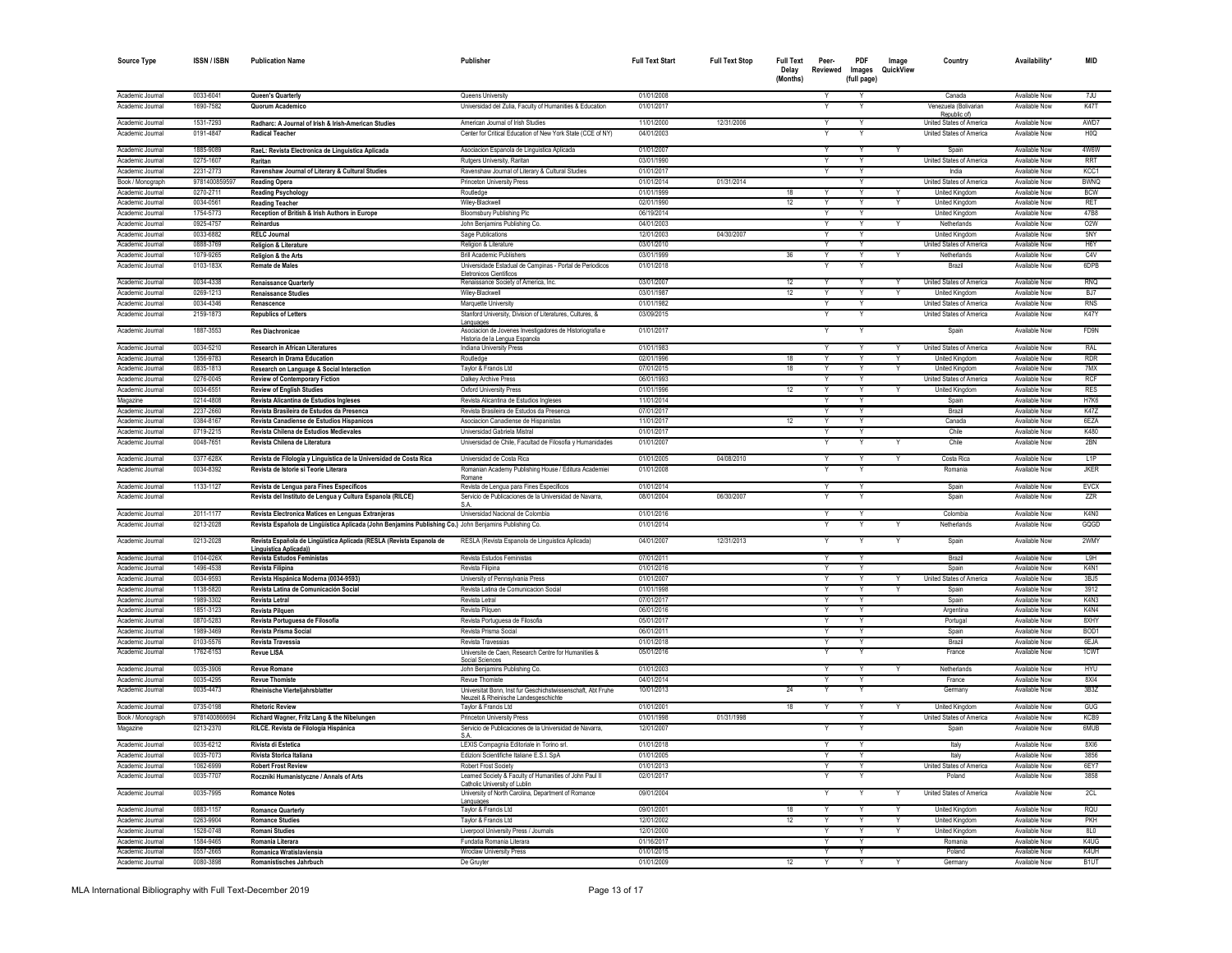| <b>Source Type</b>                   | <b>ISSN / ISBN</b>     | <b>Publication Name</b>                                                                                | Publisher                                                                                             | <b>Full Text Start</b>   | <b>Full Text Stop</b> | <b>Full Text</b><br>Delay | Peer-<br>Reviewed | PDF<br>Images | Image<br>QuickView | Country                                        | Availability'                         | <b>MID</b>               |
|--------------------------------------|------------------------|--------------------------------------------------------------------------------------------------------|-------------------------------------------------------------------------------------------------------|--------------------------|-----------------------|---------------------------|-------------------|---------------|--------------------|------------------------------------------------|---------------------------------------|--------------------------|
|                                      |                        |                                                                                                        |                                                                                                       |                          |                       | (Months)                  |                   | (full page)   |                    |                                                |                                       |                          |
| Academic Journal                     | 0033-6041              | Queen's Quarterly                                                                                      | Queens University                                                                                     | 01/01/2008               |                       |                           |                   |               |                    | Canada                                         | Available Now                         | 7JU                      |
| Academic Journal                     | 1690-7582              | Quorum Academico                                                                                       | Universidad del Zulia, Faculty of Humanities & Education                                              | 01/01/2017               |                       |                           |                   | Y             |                    | Venezuela (Bolivarian<br>Republic of)          | Available Now                         | <b>K47T</b>              |
| Academic Journal                     | 1531-7293              | Radharc: A Journal of Irish & Irish-American Studies                                                   | American Journal of Irish Studies                                                                     | 11/01/2000               | 12/31/2006            |                           | $\checkmark$      |               |                    | United States of America                       | Available Now                         | AWD7                     |
| Academic Journal                     | 0191-4847              | <b>Radical Teacher</b>                                                                                 | Center for Critical Education of New York State (CCE of NY)                                           | 04/01/2003               |                       |                           |                   |               |                    | United States of America                       | Available Now                         | H <sub>0</sub> O         |
| Academic Journal                     | 1885-9089              | RaeL: Revista Electronica de Linguistica Aplicada                                                      | Asociacion Espanola de Linguistica Aplicada                                                           | 01/01/2007               |                       |                           |                   |               |                    | Spain                                          | Available Now                         | 4W6W                     |
| Academic Journal                     | 0275-1607              | Raritan                                                                                                | Rutgers University, Raritan                                                                           | 03/01/1990               |                       |                           | $\vee$            | $\checkmark$  |                    | United States of America                       | Available Now                         | <b>RRT</b>               |
| Academic Journal                     | 2231-2773              | Ravenshaw Journal of Literary & Cultural Studies                                                       | Ravenshaw Journal of Literary & Cultural Studies                                                      | 01/01/2017               |                       |                           | Y                 | Y             |                    | India                                          | Available Now                         | KCC1                     |
| Book / Monograph                     | 9781400859597          | <b>Reading Opera</b>                                                                                   | Princeton University Press                                                                            | 01/01/2014               | 01/31/2014            |                           |                   | Y             |                    | United States of America                       | Available Now                         | <b>BWNQ</b>              |
| Academic Journal                     | 0270-2711              | <b>Reading Psychology</b>                                                                              | Routledge                                                                                             | 01/01/1999               |                       | 18                        | Y                 | Y             | Y                  | United Kingdom                                 | Available Now                         | <b>BCW</b>               |
| Academic Journal<br>Academic Journal | 0034-0561<br>1754-5773 | <b>Reading Teacher</b><br>Reception of British & Irish Authors in Europe                               | Wiley-Blackwell<br><b>Bloomsbury Publishing Plc</b>                                                   | 02/01/1990<br>06/19/2014 |                       | 12                        | Y                 | Y             | Y                  | <b>United Kingdom</b><br><b>United Kingdom</b> | Available Now<br><b>Available Now</b> | RET<br>47B8              |
| Academic Journa                      | 0925-4757              | Reinardus                                                                                              | John Benjamins Publishing Co.                                                                         | 04/01/2003               |                       |                           |                   |               |                    | Netherlands                                    | Available Now                         | O <sub>2</sub> W         |
| Academic Journal                     | 0033-6882              | <b>RELC Journal</b>                                                                                    | Sage Publications                                                                                     | 12/01/2003               | 04/30/2007            |                           |                   |               |                    | <b>United Kinadon</b>                          | Available Now                         | 5NY                      |
| Academic Journal                     | 0888-3769              | <b>Religion &amp; Literature</b>                                                                       | Religion & Literature                                                                                 | 03/01/2010               |                       |                           |                   |               |                    | United States of America                       | Available Nov                         | H <sub>6</sub> Y         |
| Academic Journal                     | 1079-9265              | Religion & the Arts                                                                                    | <b>Brill Academic Publishers</b>                                                                      | 03/01/1999               |                       | 36                        |                   |               |                    | Netherlands                                    | <b>Available Now</b>                  | CAV                      |
| Academic Journal                     | 0103-183X              | <b>Remate de Males</b>                                                                                 | Universidade Estadual de Campinas - Portal de Periodicos<br>Eletronicos Científicos                   | 01/01/2018               |                       |                           |                   |               |                    | Brazil                                         | Available Now                         | 6DPB                     |
| Academic Journal                     | 0034-4338              | <b>Renaissance Quarterly</b>                                                                           | Renaissance Society of America, Inc.                                                                  | 03/01/2007               |                       | 12                        | Y                 | Y             |                    | United States of America                       | Available Now                         | RNQ                      |
| Academic Journal                     | 0269-1213              | <b>Renaissance Studies</b>                                                                             | Wilev-Blackwell                                                                                       | 03/01/1987               |                       | 12                        |                   |               |                    | <b>United Kingdor</b>                          | Available Now                         | BJ7                      |
| Academic Journal                     | 0034-4346              | Renascence                                                                                             | Marquette University                                                                                  | 01/01/1982               |                       |                           | Y                 | Y             |                    | <b>United States of America</b>                | Available Now                         | <b>RNS</b>               |
| Academic Journal                     | 2159-1873              | <b>Republics of Letters</b>                                                                            | Stanford University, Division of Literatures, Cultures, &<br>Languages                                | 03/09/2015               |                       |                           |                   |               |                    | United States of America                       | Available Now                         | K47Y                     |
| Academic Journal                     | 1887-3553              | <b>Res Diachronicae</b>                                                                                | Asociacion de Jovenes Investigadores de Historiografia e<br>Historia de la Lengua Espanola            | 01/01/2017               |                       |                           | Υ                 |               |                    | Spain                                          | Available Now                         | FD9N                     |
| Academic Journal                     | 0034-5210              | <b>Research in African Literatures</b>                                                                 | Indiana University Press                                                                              | 01/01/1983               |                       |                           | $\checkmark$      | v             |                    | United States of America                       | Available Now                         | RAI                      |
| Academic Journal                     | 1356-9783              | <b>Research in Drama Education</b>                                                                     | Routledge                                                                                             | 02/01/1996               |                       | 18                        | Y                 | Y             | Y                  | United Kingdom                                 | Available Now                         | <b>RDR</b>               |
| Academic Journal                     | 0835-1813              | Research on Language & Social Interaction                                                              | Taylor & Francis Ltd                                                                                  | 07/01/2015               |                       | 18                        |                   |               |                    | United Kingdon                                 | Available Now                         | 7MX                      |
| Academic Journal                     | 0276-0045<br>0034-6551 | <b>Review of Contemporary Fiction</b>                                                                  | Dalkey Archive Press<br>Oxford University Press                                                       | 06/01/1993<br>01/01/1996 |                       | 12                        |                   | Y             |                    | United States of America                       | Available Now<br>Available Nov        | RCF<br><b>RES</b>        |
| Academic Journal<br>Magazine         | 0214-4808              | <b>Review of English Studies</b><br>Revista Alicantina de Estudios Ingleses                            | Revista Alicantina de Estudios Ingleses                                                               | 11/01/2014               |                       |                           | $\checkmark$      | Y             |                    | <b>United Kingdor</b><br>Spair                 | <b>Available Now</b>                  | H7K6                     |
| Academic Journal                     | 2237-2660              | Revista Brasileira de Estudos da Presenca                                                              | Revista Brasileira de Estudos da Presenca                                                             | 07/01/2017               |                       |                           |                   | Y             |                    | Brazil                                         | Available Now                         | <b>K47Z</b>              |
| Academic Journal                     | 0384-8167              | Revista Canadiense de Estudios Hispanicos                                                              | Asociacion Canadiense de Hispanistas                                                                  | 11/01/2017               |                       | 12                        | Y                 | Y             |                    | Canada                                         | Available Now                         | 6F7A                     |
| Academic Journal                     | 0719-2215              | Revista Chilena de Estudios Medievales                                                                 | Universidad Gabriela Mistral                                                                          | 01/01/2017               |                       |                           |                   | Y             |                    | Chile                                          | Available Now                         | K480                     |
| Academic Journal                     | 0048-7651              | Revista Chilena de Literatura                                                                          | Universidad de Chile, Facultad de Filosofia y Humanidades                                             | 01/01/2007               |                       |                           |                   |               |                    | Chile                                          | Available Now                         | 2BN                      |
| Academic Journal                     | 0377-628X              | Revista de Filología y Linguística de la Universidad de Costa Rica                                     | Universidad de Costa Rica                                                                             | 01/01/2005               | 04/08/2010            |                           | v                 | Y             |                    | Costa Rica                                     | Available Now                         | 11P                      |
| Academic Journal                     | 0034-8392              | Revista de Istorie si Teorie Literara                                                                  | Romanian Academy Publishing House / Editura Academie<br>Romane                                        | 01/01/2008               |                       |                           | Y                 | Y             |                    | Romania                                        | Available Now                         | .IKFR                    |
| Academic Journal                     | 1133-1127              | Revista de Lengua para Fines Específicos                                                               | Revista de Lengua para Fines Especificos                                                              | 01/01/2014               |                       |                           | Y                 | Y             |                    | Spain                                          | Available Now                         | <b>FVCX</b>              |
| Academic Journal                     |                        | Revista del Instituto de Lengua y Cultura Espanola (RILCE)                                             | Servicio de Publicaciones de la Universidad de Navarra,                                               | 08/01/2004               | 06/30/2007            |                           |                   |               |                    | Spain                                          | Available Now                         | <b>ZZR</b>               |
| Academic Journal                     | 2011-1177              | Revista Electronica Matices en Lenguas Extranjeras                                                     | S A<br>Universidad Nacional de Colombia                                                               | 01/01/2016               |                       |                           | Y                 | Y             |                    | Colombia                                       | Available Now                         | K4N <sub>0</sub>         |
| Academic Journal                     | 0213-2028              | Revista Española de Lingüística Aplicada (John Benjamins Publishing Co.) John Benjamins Publishing Co. |                                                                                                       | 01/01/2014               |                       |                           |                   |               |                    | Netherlands                                    | Available Now                         | GQGD                     |
|                                      |                        |                                                                                                        |                                                                                                       |                          |                       |                           |                   |               |                    |                                                |                                       |                          |
| Academic Journal                     | 0213-2028              | Revista Española de Lingüística Aplicada (RESLA (Revista Espanola de<br>Linguistica Aplicada)          | RESLA (Revista Espanola de Linguistica Aplicada)                                                      | 04/01/2007               | 12/31/2013            |                           |                   |               |                    | Spain                                          | Available Now                         | 2WMY                     |
| Academic Journal                     | 0104-026X              | Revista Estudos Feministas                                                                             | Revista Estudos Feministas                                                                            | 07/01/2011               |                       |                           |                   |               |                    | Brazil                                         | Available Now                         | L9H                      |
| Academic Journal<br>Academic Journal | 1496-4538<br>0034-9593 | Revista Filipina                                                                                       | Revista Filipina<br>University of Pennsylvania Press                                                  | 01/01/2016<br>01/01/2007 |                       |                           | $\vee$<br>$\vee$  | Y<br>Y        |                    | Spain<br>United States of America              | Available Now<br>Available Now        | K4N1<br>3BJ <sub>5</sub> |
| Academic Journal                     | 1138-5820              | Revista Hispánica Moderna (0034-9593)<br>Revista Latina de Comunicación Social                         | Revista Latina de Comunicacion Social                                                                 | 01/01/1998               |                       |                           | Y                 | Y             |                    | Spain                                          | Available Now                         | 3912                     |
| Academic Journal                     | 1989-3302              | <b>Revista Letral</b>                                                                                  | Revista Letral                                                                                        | 07/01/2017               |                       |                           |                   |               |                    | Spain                                          | Available Now                         | K4N3                     |
| Academic Journal                     | 1851-3123              | <b>Revista Pilguen</b>                                                                                 | Revista Pilguen                                                                                       | 06/01/2016               |                       |                           |                   | Υ             |                    | Argentina                                      | Available Now                         | K4N4                     |
| Academic Journal                     | 0870-5283              | Revista Portuguesa de Filosofia                                                                        | Revista Portuguesa de Filosofia                                                                       | 05/01/2017               |                       |                           |                   |               |                    | Portugal                                       | Available Now                         | 8XHY                     |
| Academic Journa                      | 1989-3469              | Revista Prisma Social                                                                                  | Revista Prisma Social                                                                                 | 06/01/2011               |                       |                           |                   |               |                    | Spair                                          | Available Now                         | BOD1                     |
| Academic Journal<br>Academic Journal | 0103-5576              | Revista Travessia<br><b>Revue LISA</b>                                                                 | Revista Travessia                                                                                     | 01/01/2018               |                       |                           |                   |               |                    | Brazil<br>France                               | Available Now<br>Available Now        | 6EJA                     |
|                                      | 1762-6153              |                                                                                                        | Universite de Caen, Research Centre for Humanities &<br>Social Sciences                               | 05/01/2016               |                       |                           |                   |               |                    |                                                |                                       | 1CWT                     |
| Academic Journal                     | 0035-3906              | <b>Revue Romane</b>                                                                                    | John Benjamins Publishing Co.                                                                         | 01/01/2003               |                       |                           |                   |               |                    | Netherlands                                    | Available Now                         | <b>HYU</b>               |
| Academic Journal                     | 0035-4295              | <b>Revue Thomiste</b>                                                                                  | <b>Revue Thomiste</b>                                                                                 | 04/01/2014               |                       |                           |                   | Y             |                    | France                                         | Available Now                         | 8X14                     |
| Academic Journal                     | 0035-4473              | Rheinische Vierteljahrsblatter                                                                         | Universitat Bonn, Inst fur Geschichstwissenschaft. Abt Eruhe<br>Neuzeit & Rheinische Landesgeschichte | 10/01/2013               |                       | 24                        |                   |               |                    | Germany                                        | Available Now                         | 3B3Z                     |
| Academic Journal                     | 0735-0198              | <b>Rhetoric Review</b>                                                                                 | Taylor & Francis Ltd                                                                                  | 01/01/2001               |                       | 18                        | $\checkmark$      |               |                    | <b>United Kingdom</b>                          | Available Now                         | GUG                      |
| Book / Monograph                     | 9781400866694          | Richard Wagner, Fritz Lang & the Nibelungen                                                            | <b>Princeton University Press</b>                                                                     | 01/01/1998               | 01/31/1998            |                           |                   |               |                    | United States of America                       | Available Now                         | KC <sub>R9</sub>         |
| Magazine                             | 0213-2370              | RILCE. Revista de Filología Hispánica                                                                  | Servicio de Publicaciones de la Universidad de Navarra<br>9 ∆                                         | 12/01/2007               |                       |                           |                   |               |                    | Spain                                          | Available Now                         | 6MUB                     |
| Academic Journal                     | 0035-6212              | Rivista di Estetica                                                                                    | LEXIS Compagnia Editoriale in Torino srl.                                                             | 01/01/2018               |                       |                           | $\checkmark$      | $\checkmark$  |                    | Italy                                          | Available Now                         | 8X16                     |
| Academic Journal                     | 0035-7073              | Rivista Storica Italiana                                                                               | Edizioni Scientifiche Italiane E.S.I. SpA                                                             | 01/01/2005               |                       |                           |                   |               |                    | Italy                                          | Available Now                         | 3856                     |
| Academic Journal<br>Academic Journal | 1062-6999<br>0035-7707 | <b>Robert Frost Review</b><br>Roczniki Humanistyczne / Annals of Arts                                  | <b>Robert Frost Society</b>                                                                           | 01/01/2013<br>02/01/2017 |                       |                           | Υ<br>Y            | Y             |                    | United States of America<br>Poland             | Available Now<br>Available Now        | 6FY7<br>3858             |
|                                      |                        |                                                                                                        | Learned Society & Faculty of Humanities of John Paul II<br>Catholic University of Lublir              |                          |                       |                           |                   |               |                    |                                                |                                       |                          |
| Academic Journal                     | 0035-7995              | <b>Romance Notes</b>                                                                                   | University of North Carolina, Department of Romance<br>Languages                                      | 09/01/2004               |                       |                           |                   |               |                    | United States of America                       | Available Now                         | 2CL                      |
| Academic Journal                     | 0883-1157              | <b>Romance Quarterly</b>                                                                               | Taylor & Francis Ltd                                                                                  | 09/01/2001               |                       | 18                        |                   |               |                    | <b>United Kingdom</b>                          | Available Now                         | <b>ROU</b>               |
| Academic Journal                     | 0263-9904              | <b>Romance Studies</b>                                                                                 | Taylor & Francis I td                                                                                 | 12/01/2002               |                       | 12                        |                   |               |                    | United Kingdom                                 | Available Now                         | PKH                      |
| Academic Journal<br>Academic Journal | 1528-0748<br>1584-9465 | <b>Romani Studies</b><br>Romania Literara                                                              | Livernool University Press / Journals<br>Fundatia Romania Literara                                    | 12/01/2000<br>01/16/2017 |                       |                           | Y<br>Y            | Y<br>Y        |                    | <b>United Kingdom</b><br>Romania               | Available Now<br>Available Now        | 8LO<br>K4UG              |
| Academic Journal                     | 0557-2665              | Romanica Wratislaviensia                                                                               | <b>Wroclaw University Press</b>                                                                       | 01/01/2015               |                       |                           |                   |               |                    | Poland                                         | Available Now                         | K4UH                     |
| Academic Journal                     | 0080-3898              | Romanistisches Jahrbuch                                                                                | De Gruvte                                                                                             | 01/01/2009               |                       | 12                        | Y                 | Y             |                    | Germany                                        | Available Now                         | B <sub>1</sub> UT        |
|                                      |                        |                                                                                                        |                                                                                                       |                          |                       |                           |                   |               |                    |                                                |                                       |                          |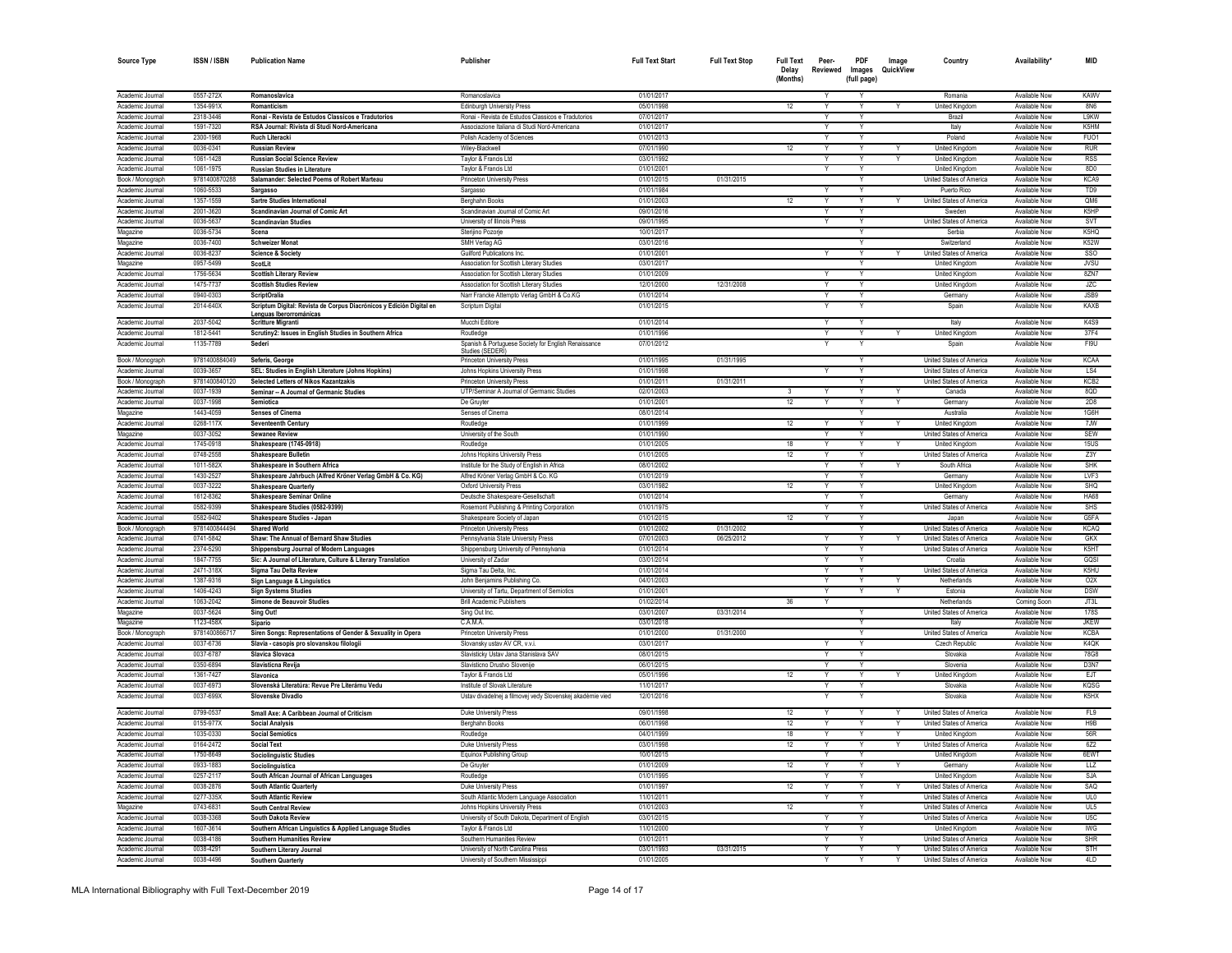| <b>Source Type</b>                   | <b>ISSN / ISBN</b>         | <b>Publication Name</b>                                                                         | Publisher                                                                                              | <b>Full Text Start</b>   | <b>Full Text Stop</b> | <b>Full Text</b><br>Delay<br>(Months) | Peer-<br>Reviewed       | <b>PDF</b><br>Images<br>(full page) | Image<br>QuickView | Country                                              | Availability'                         | MID                     |
|--------------------------------------|----------------------------|-------------------------------------------------------------------------------------------------|--------------------------------------------------------------------------------------------------------|--------------------------|-----------------------|---------------------------------------|-------------------------|-------------------------------------|--------------------|------------------------------------------------------|---------------------------------------|-------------------------|
| Academic Journal                     | 0557-272X                  | Romanoslavica                                                                                   | Romanoslavica                                                                                          | 01/01/2017               |                       |                                       | Y                       |                                     |                    | Romania                                              | Available Now                         | KAWV                    |
| Academic Journal                     | 1354-991X                  | Romanticism                                                                                     | <b>Edinburgh University Press</b>                                                                      | 05/01/1998               |                       | 12                                    |                         |                                     |                    | United Kingdom                                       | Available Now                         | <b>8N6</b>              |
| Academic Journal                     | 2318-3446                  | Ronai - Revista de Estudos Classicos e Tradutorios                                              | Ronai - Revista de Estudos Classicos e Tradutorios                                                     | 07/01/2017               |                       |                                       |                         |                                     |                    | Brazil                                               | Available Now                         | <b>L9KW</b>             |
| Academic Journal                     | 1591-7320                  | RSA Journal: Rivista di Studi Nord-Americana                                                    | Associazione Italiana di Studi Nord-Americana                                                          | 01/01/2017               |                       |                                       |                         |                                     |                    | Italy                                                | Available Now                         | K5HM                    |
| Academic Journal                     | 2300-1968                  | <b>Ruch Literack</b>                                                                            | Polish Academy of Sciences                                                                             | 01/01/2013               |                       |                                       |                         |                                     |                    | Poland                                               | Available Now                         | FUO1                    |
| Academic Journal                     | 0036-0341                  | <b>Russian Review</b>                                                                           | Wiley-Blackwell                                                                                        | 07/01/1990               |                       | 12                                    |                         |                                     |                    | United Kingdon                                       | Available Now                         | <b>RUR</b>              |
| Academic Journal                     | 1061-1428                  | <b>Russian Social Science Review</b>                                                            | Taylor & Francis Ltd                                                                                   | 03/01/1992               |                       |                                       |                         |                                     |                    | <b>United Kingdom</b>                                | <b>Available Now</b>                  | <b>RSS</b>              |
| Academic Journal                     | 1061-1975                  | <b>Russian Studies in Literature</b>                                                            | Taylor & Francis I to                                                                                  | 01/01/2001               |                       |                                       |                         |                                     |                    | <b>United Kingdom</b>                                | Available Now                         | 8D <sub>0</sub>         |
| Book / Monograph                     | 9781400870288              | Salamander: Selected Poems of Robert Marteau                                                    | Princeton University Press                                                                             | 01/01/2015               | 01/31/2015            |                                       |                         |                                     |                    | United States of America                             | Available Now                         | KCA9                    |
| Academic Journal                     | 1060-5533                  | Sargasso<br><b>Sartre Studies International</b>                                                 | Sargasso                                                                                               | 01/01/1984               |                       | 12                                    |                         |                                     |                    | Puerto Rico                                          | Available Now<br>Available Nov        | TD <sub>9</sub>         |
| Academic Journal<br>Academic Journal | 1357-1559<br>2001-3620     | Scandinavian Journal of Comic Art                                                               | Berghahn Books<br>Scandinavian Journal of Comic Art                                                    | 01/01/2003<br>09/01/2016 |                       |                                       |                         |                                     |                    | United States of America<br>Sweder                   | Available Nov                         | QM6<br>K5HP             |
| Academic Journal                     | 0036-5637                  | <b>Scandinavian Studies</b>                                                                     | University of Illinois Press                                                                           | 09/01/1995               |                       |                                       |                         | Y                                   |                    | United States of America                             | Available Nov                         | SVT                     |
| Magazine                             | 0036-5734                  | Scena                                                                                           | Sterijino Pozorje                                                                                      | 10/01/2017               |                       |                                       |                         | v                                   |                    | Serbia                                               | Available Now                         | K5HQ                    |
| Magazine                             | 0036-7400                  | <b>Schweizer Monat</b>                                                                          | SMH Verlag AG                                                                                          | 03/01/2016               |                       |                                       |                         | Y                                   |                    | Switzerland                                          | Available Now                         | <b>K52W</b>             |
| Academic Journal                     | 0036-8237                  | <b>Science &amp; Society</b>                                                                    | Guilford Publications Inc.                                                                             | 01/01/2001               |                       |                                       | Y                       | Y                                   |                    | United States of America                             | Available Now                         | SSO                     |
| Magazine                             | 0957-5499                  | ScotLit                                                                                         | Association for Scottish Literary Studies                                                              | 03/01/2017               |                       |                                       |                         | Y                                   |                    | United Kingdom                                       | Available Now                         | <b>JVSU</b>             |
| Academic Journal                     | 1756-5634                  | <b>Scottish Literary Review</b>                                                                 | Association for Scottish Literary Studies                                                              | 01/01/2009               |                       |                                       | Y                       | Y                                   |                    | United Kingdom                                       | Available Now                         | 8ZN7                    |
| Academic Journal                     | 1475-7737                  | <b>Scottish Studies Review</b>                                                                  | Association for Scottish Literary Studies                                                              | 12/01/2000               | 12/31/2008            |                                       | Y                       | Υ                                   |                    | United Kingdom                                       | Available Now                         | <b>JZC</b>              |
| Academic Journal                     | 0940-0303                  | <b>ScriptOralia</b>                                                                             | Narr Francke Attempto Verlag GmbH & Co.KG                                                              | 01/01/2014               |                       |                                       | Y                       | Y                                   |                    | Germany                                              | Available Now                         | JSB9                    |
| Academic Journal                     | 2014-640X                  | Scriptum Digital: Revista de Corpus Diacrónicos y Edición Digital en<br>Lenguas Iberorrománicas | Scriptum Digital                                                                                       | 01/01/2015               |                       |                                       |                         |                                     |                    | Spain                                                | Available Now                         | KAXB                    |
| Academic Journal                     | 2037-5042                  | <b>Scritture Migranti</b>                                                                       | Mucchi Editore                                                                                         | 01/01/2014               |                       |                                       | Y                       | Y                                   |                    | Italy                                                | Available Now                         | K4S9                    |
| Academic Journal                     | 1812-5441                  | Scrutiny2: Issues in English Studies in Southern Africa                                         | Routledge                                                                                              | 01/01/1996               |                       |                                       | Y                       | Y                                   |                    | United Kingdom                                       | Available Now                         | 37F4                    |
| Academic Journal<br>Book / Monograph | 1135-7789<br>9781400884049 | Sederi<br>Seferis, George                                                                       | Spanish & Portuguese Society for English Renaissance<br>Studies (SEDERI)<br>Princeton University Press | 07/01/2012<br>01/01/1995 | 01/31/1995            |                                       |                         | Y                                   |                    | Spain<br>United States of America                    | <b>Available Now</b><br>Available Now | FI9U<br><b>KCAA</b>     |
| Academic Journal                     | 0039-3657                  | SEL: Studies in English Literature (Johns Hopkins)                                              | Johns Hopkins University Press                                                                         | 01/01/1998               |                       |                                       | Y                       | Y                                   |                    | United States of America                             | Available Now                         | LS4                     |
| Book / Monograph                     | 9781400840120              | Selected Letters of Nikos Kazantzakis                                                           | <b>Princeton University Press</b>                                                                      | 01/01/2011               | 01/31/2011            |                                       |                         | Y                                   |                    | United States of America                             | Available Now                         | KCB <sub>2</sub>        |
| Academic Journal                     | 0037-1939                  | Seminar -- A Journal of Germanic Studies                                                        | UTP/Seminar A Journal of Germanic Studies                                                              | 02/01/2003               |                       | $\mathbf{3}$                          | Y                       | Y                                   | Y                  | Canada                                               | Available Now                         | 8QD                     |
| Academic Journal                     | 0037-1998                  | Semiotica                                                                                       | De Gruvter                                                                                             | 01/01/2001               |                       | 12                                    | Y                       | Υ                                   | Y                  | Germany                                              | Available Now                         | 2D8                     |
| Magazine                             | 1443-4059                  | <b>Senses of Cinema</b>                                                                         | Senses of Cinema                                                                                       | 08/01/2014               |                       |                                       |                         |                                     |                    | Australia                                            | Available Now                         | 1G6H                    |
| Academic Journal                     | 0268-117X                  | <b>Seventeenth Century</b>                                                                      | Routledge                                                                                              | 01/01/1999               |                       | 12                                    |                         |                                     |                    | <b>United Kingdom</b>                                | Available Now                         | 7JW                     |
| Magazine                             | 0037-3052                  | <b>Sewanee Review</b>                                                                           | University of the South                                                                                | 01/01/1990               |                       |                                       |                         |                                     |                    | United States of America                             | Available Now                         | <b>SEW</b>              |
| Academic Journal                     | 1745-0918                  | Shakespeare (1745-0918)                                                                         | Routledge                                                                                              | 01/01/2005               |                       | 18                                    |                         |                                     |                    | <b>United Kinadom</b>                                | Available Now                         | 15US                    |
| Academic Journal                     | 0748-2558                  | <b>Shakespeare Bulletin</b>                                                                     | Johns Hopkins University Press                                                                         | 01/01/2005               |                       | 12                                    |                         |                                     |                    | United States of America                             | Available Now                         | Z3Y                     |
| Academic Journal                     | 1011-582X                  | Shakespeare in Southern Africa                                                                  | Institute for the Study of English in Africa                                                           | 08/01/2002               |                       |                                       |                         |                                     |                    | South Africa                                         | Available Now                         | <b>SHK</b>              |
| Academic Journal                     | 1430-2527                  | Shakespeare Jahrbuch (Alfred Kröner Verlag GmbH & Co. KG)                                       | Alfred Kröner Verlag GmbH & Co. KG                                                                     | 01/01/2019               |                       |                                       |                         |                                     |                    | Germany                                              | Available Now                         | IVF3                    |
| Academic Journal                     | 0037-3222                  | <b>Shakespeare Quarterly</b>                                                                    | <b>Oxford University Press</b>                                                                         | 03/01/1982               |                       | 12                                    | Y                       | Y                                   |                    | United Kingdom                                       | Available Now                         | SHO                     |
| Academic Journal                     | 1612-8362                  | <b>Shakespeare Seminar Online</b>                                                               | Deutsche Shakespeare-Gesellschaft                                                                      | 01/01/2014               |                       |                                       | Υ                       |                                     |                    | Germany                                              | Available Now                         | <b>HA68</b>             |
| Academic Journal<br>Academic Journal | 0582-9399<br>0582-9402     | Shakespeare Studies (0582-9399)                                                                 | Rosemont Publishing & Printing Corporation                                                             | 01/01/1975<br>01/01/2015 |                       | 12                                    | γ                       |                                     |                    | United States of America<br>Japan                    | Available Now<br>Available Now        | <b>SHS</b><br>G5FA      |
| Book / Monograph                     | 9781400844494              | Shakespeare Studies - Japan<br><b>Shared World</b>                                              | Shakespeare Society of Japan                                                                           | 01/01/2002               | 01/31/2002            |                                       |                         |                                     |                    | <b>United States of America</b>                      | Available Nov                         | <b>KCAO</b>             |
| Academic Journal                     | 0741-5842                  | Shaw: The Annual of Bernard Shaw Studies                                                        | Princeton University Press<br>Pennsylvania State University Press                                      | 07/01/2003               | 06/25/2012            |                                       | $\overline{\mathsf{v}}$ | $\overline{\mathsf{v}}$             |                    | United States of America                             | Available Now                         | <b>GKX</b>              |
| Academic Journal                     | 2374-5290                  | Shippensburg Journal of Modern Languages                                                        | Shippensburg University of Pennsylvania                                                                | 01/01/2014               |                       |                                       |                         | v                                   |                    | United States of America                             | Available Now                         | K5HT                    |
| Academic Journal                     | 1847-7755                  | Sic: A Journal of Literature, Culture & Literary Translation                                    | University of Zadar                                                                                    | 03/01/2014               |                       |                                       | v                       | Y                                   |                    | Croatia                                              | Available Now                         | GQSI                    |
| Academic Journal                     | 2471-318X                  | Sigma Tau Delta Review                                                                          | Sigma Tau Delta, Inc.                                                                                  | 01/01/2014               |                       |                                       | Y                       | Y                                   |                    | United States of America                             | Available Now                         | K5HU                    |
| Academic Journal                     | 1387-9316                  | Sign Language & Linguistics                                                                     | John Benjamins Publishing Co.                                                                          | 04/01/2003               |                       |                                       | Y                       | Y                                   |                    | Netherlands                                          | Available Now                         | 02X                     |
| Academic Journal                     | 1406-4243                  | <b>Sign Systems Studies</b>                                                                     | University of Tartu, Department of Semiotics                                                           | 01/01/2001               |                       |                                       | Y                       | Y                                   |                    | Estonia                                              | Available Now                         | <b>DSW</b>              |
| Academic Journal                     | 1063-2042                  | Simone de Beauvoir Studies                                                                      | <b>Brill Academic Publishers</b>                                                                       | 01/02/2014               |                       | 36                                    | Y                       |                                     |                    | Netherlands                                          | Coming Soon                           | JT3L                    |
| Magazine                             | 0037-5624                  | Sing Out!                                                                                       | Sing Out Inc.                                                                                          | 03/01/2007               | 03/31/2014            |                                       |                         |                                     |                    | United States of America                             | Available Now                         | <b>178S</b>             |
| Magazine                             | 1123-458X                  | Sipario                                                                                         | C.A.M.A.                                                                                               | 03/01/2018               |                       |                                       |                         |                                     |                    | Italy                                                | Available Now                         | <b>JKEW</b>             |
| Book / Monograph                     | 97814008667                | Siren Songs: Representations of Gender & Sexuality in Opera                                     | Princeton University Press                                                                             | 01/01/2000               | 01/31/2000            |                                       |                         |                                     |                    | United States of America                             | Available Now                         | <b>KCBA</b>             |
| Academic Journal                     | 0037-6736                  | Slavia - casopis pro slovanskou filologii                                                       | Slovansky ustav AV CR, v.v.                                                                            | 03/01/2017               |                       |                                       |                         |                                     |                    | <b>Czech Republic</b>                                | Available Now                         | K4QK                    |
| Academic Journal                     | 0037-6787                  | Slavica Slovaca                                                                                 | Slavisticky Ustav Jana Stanislava SAV                                                                  | 08/01/2015               |                       |                                       |                         |                                     |                    | Slovakia                                             | Available Now                         | 78G8                    |
| Academic Journal                     | 0350-6894                  | <b>Slavisticna Revija</b>                                                                       | Slavisticno Drustvo Slovenii                                                                           | 06/01/2015               |                       |                                       |                         |                                     |                    | Slovenia                                             | Available Now                         | D3N7                    |
| Academic Journal                     | 1361-7427                  | Slavonica                                                                                       | Taylor & Francis Ltd                                                                                   | 05/01/1996               |                       | 12                                    | Y                       | Y                                   |                    | <b>United Kinadom</b>                                | Available Now                         | F.IT                    |
| Academic Journal<br>Academic Journal | 0037-6973<br>0037-699X     | Slovenská Literatúra: Revue Pre Literárnu Vedu<br>Slovenske Divadlo                             | Institute of Slovak Literature<br>Ústav divadelnej a filmovej vedy Slovenskej akadémie vied            | 11/01/2017<br>12/01/2016 |                       |                                       |                         |                                     |                    | Slovakia<br>Slovakia                                 | Available Now<br>Available Now        | KQSG<br>K5HX            |
| Academic Journal                     | 0799-0537                  |                                                                                                 |                                                                                                        | 09/01/1998               |                       | 12                                    | Y                       | Y                                   |                    |                                                      | Available Now                         |                         |
| Academic Journal                     | 0155-977X                  | Small Axe: A Caribbean Journal of Criticism                                                     | Duke University Press<br>Berghahn Books                                                                | 06/01/1998               |                       | 12                                    |                         |                                     |                    | United States of America<br>United States of America | Available Now                         | FL9<br>H <sub>9</sub> B |
| Academic Journal                     | 1035-0330                  | <b>Social Analysis</b><br><b>Social Semiotics</b>                                               | Routledge                                                                                              | 04/01/1999               |                       | 18                                    | v                       |                                     |                    | United Kingdon                                       | Available Now                         | 56R                     |
| Academic Journal                     | 0164-2472                  |                                                                                                 | Duke University Press                                                                                  | 03/01/1998               |                       | 12                                    | Y                       |                                     |                    | <b>United States of America</b>                      | Available Now                         | 672                     |
| Academic Journal                     | 1750-8649                  | <b>Social Text</b><br><b>Sociolinguistic Studies</b>                                            | Fauinox Publishing Group                                                                               | 10/01/2015               |                       |                                       |                         |                                     |                    | <b>United Kingdom</b>                                | Available Now                         | 6FWT                    |
| Academic Journal                     | 0933-1883                  | Sociolinguistica                                                                                | De Gruvter                                                                                             | 01/01/2009               |                       | 12                                    | Y                       | Y                                   | Y                  | Germany                                              | Available Now                         | LLZ                     |
| Academic Journal                     | 0257-2117                  | South African Journal of African Languages                                                      | Routledge                                                                                              | 01/01/1995               |                       |                                       |                         |                                     |                    | <b>United Kingdom</b>                                | Available Now                         | SJA                     |
| Academic Journal                     | 0038-2876                  | South Atlantic Quarterly                                                                        | <b>Duke University Press</b>                                                                           | 01/01/1997               |                       | 12                                    |                         |                                     |                    | United States of America                             | Available Nov                         | SAQ                     |
| Academic Journal                     | 0277-335>                  | <b>South Atlantic Reviev</b>                                                                    | South Atlantic Modern Language Association                                                             | 11/01/2011               |                       |                                       |                         |                                     |                    | United States of America                             | Available Nov                         | UL0                     |
| Magazine                             | 0743-6831                  | South Central Review                                                                            | Johns Hopkins University Press                                                                         | 01/01/2003               |                       | 12                                    |                         | v                                   |                    | United States of America                             | Available Now                         | UL5                     |
| Academic Journal                     | 0038-3368                  | South Dakota Review                                                                             | University of South Dakota, Department of English                                                      | 03/01/2015               |                       |                                       |                         | v                                   |                    | United States of America                             | Available Now                         | U <sub>5</sub> C        |
| Academic Journal                     | 1607-3614                  | Southern African Linguistics & Applied Language Studies                                         | Taylor & Francis Ltd                                                                                   | 11/01/2000               |                       |                                       | Y                       | Y                                   |                    | United Kingdom                                       | Available Now                         | IWG                     |
| Academic Journal                     | 0038-4186                  | <b>Southern Humanities Review</b>                                                               | Southern Humanities Review                                                                             | 01/01/2011               |                       |                                       | Y                       | Y                                   |                    | United States of America                             | Available Now                         | <b>SHR</b>              |
| Academic Journal                     | 0038-4291                  | Southern Literary Journal                                                                       | University of North Carolina Press                                                                     | 03/01/1993               | 03/31/2015            |                                       | Y                       | Y                                   |                    | United States of America                             | Available Now                         | <b>STH</b>              |
| Academic Journal                     | 0038-4496                  | <b>Southern Quarterly</b>                                                                       | University of Southern Mississippi                                                                     | 01/01/2005               |                       |                                       |                         |                                     |                    | United States of America                             | Available Now                         | 4 D                     |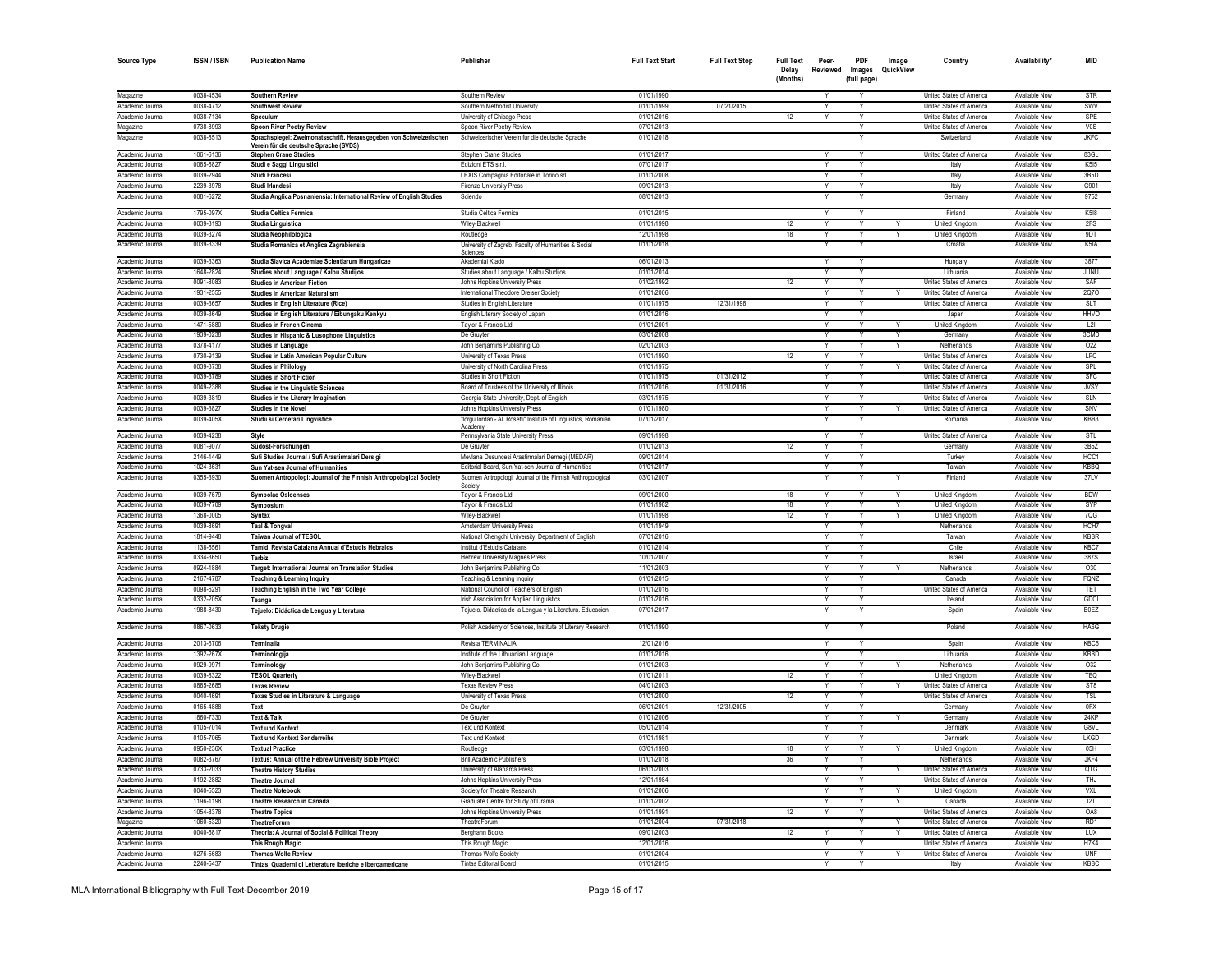| Source Type                          | <b>ISSN/ISBN</b>       | <b>Publication Name</b>                                                                | Publisher                                                                                                                | <b>Full Text Start</b>   | <b>Full Text Stop</b> | <b>Full Text</b><br>Delay<br>(Months) | Peer-<br>Reviewed       | PDF<br>Images<br>(full page) | Image<br>QuickView | Country                                              | Availability'                  | <b>MID</b>                |
|--------------------------------------|------------------------|----------------------------------------------------------------------------------------|--------------------------------------------------------------------------------------------------------------------------|--------------------------|-----------------------|---------------------------------------|-------------------------|------------------------------|--------------------|------------------------------------------------------|--------------------------------|---------------------------|
| Magazine                             | 0038-4534              | <b>Southern Review</b>                                                                 | Southern Review                                                                                                          | 01/01/1990               |                       |                                       |                         |                              |                    | United States of America                             | Available Now                  | STR                       |
| Academic Journal                     | 0038-4712              | <b>Southwest Review</b>                                                                | Southern Methodist University                                                                                            | 01/01/1999               | 07/21/2015            |                                       |                         | Y                            |                    | United States of America                             | Available Now                  | SWV                       |
| Academic Journal                     | 0038-7134              | Speculum                                                                               | University of Chicago Press                                                                                              | 01/01/2016               |                       | 12                                    | Y                       | Y                            |                    | United States of America                             | Available Now                  | SPE                       |
| Magazine                             | 0738-8993              | <b>Spoon River Poetry Review</b>                                                       | Spoon River Poetry Review                                                                                                | 07/01/2013               |                       |                                       |                         | Y                            |                    | United States of America                             | Available Now                  | VOS                       |
| Magazine                             | 0038-8513              | Sprachspiegel: Zweimonatsschrift. Herausgegeben von Schweizerischen                    | Schweizerischer Verein fur die deutsche Sprache                                                                          | 01/01/2018               |                       |                                       |                         |                              |                    | Switzerland                                          | Available Now                  | <b>JKFC</b>               |
| Academic Journal                     | 1061-6136              | Verein für die deutsche Sprache (SVDS)<br><b>Stephen Crane Studies</b>                 | Stephen Crane Studies                                                                                                    | 01/01/2017               |                       |                                       |                         | Y                            |                    | United States of America                             | Available Now                  | 83GL                      |
| Academic Journal                     | 0085-6827              | Studi e Saggi Linguistici                                                              | Fdizioni FTS s.r.l.                                                                                                      | 07/01/2017               |                       |                                       | Y                       | Y                            |                    | Italy                                                | Available Now                  | K515                      |
| Academic Journal                     | 0039-2944              | Studi Francesi                                                                         | LEXIS Compagnia Editoriale in Torino srl.                                                                                | 01/01/2008               |                       |                                       | Y                       | Υ                            |                    | Italy                                                | Available Now                  | 3B <sub>5</sub> D         |
| Academic Journal                     | 2239-3978              | Studi Irlandesi                                                                        | Firenze University Press                                                                                                 | 09/01/2013               |                       |                                       |                         | Υ                            |                    | Italy                                                | Available Now                  | G901                      |
| Academic Journal                     | 0081-6272              | Studia Anglica Posnaniensia: International Review of English Studies                   | Sciendo                                                                                                                  | 08/01/2013               |                       |                                       |                         |                              |                    | Germany                                              | Available Now                  | 9752                      |
| Academic Journal                     | 1795-097X              | Studia Celtica Fennica                                                                 | Studia Celtica Fennica                                                                                                   | 01/01/2015               |                       |                                       | Y                       |                              |                    | Finland                                              | Available Now                  | <b>K518</b>               |
| Academic Journal                     | 0039-3193              | Studia Linguistica                                                                     | Wiley-Blackwell                                                                                                          | 01/01/1998               |                       | 12                                    |                         |                              |                    | <b>United Kingdom</b>                                | <b>Available Now</b>           | 2FS                       |
| Academic Journal<br>Academic Journal | 0039-3274<br>0039-3339 | Studia Neophilologica                                                                  | Routledge                                                                                                                | 12/01/1998<br>01/01/2018 |                       | 18                                    |                         |                              |                    | <b>United Kingdom</b><br>Croatia                     | Available Now<br>Available Now | 9DT<br>K5IA               |
|                                      |                        | Studia Romanica et Anglica Zagrabiensia                                                | University of Zagreb, Faculty of Humanities & Social<br>Sciences                                                         |                          |                       |                                       |                         |                              |                    |                                                      |                                |                           |
| Academic Journal                     | 0039-3363              | Studia Slavica Academiae Scientiarum Hungaricae                                        | Akademiai Kiado                                                                                                          | 06/01/2013               |                       |                                       |                         |                              |                    | Hungary                                              | Available Now                  | 3877                      |
| Academic Journal                     | 1648-2824              | Studies about Language / Kalbu Studijos                                                | Studies about Language / Kalbu Studijos                                                                                  | 01/01/2014               |                       |                                       |                         |                              |                    | Lithuania                                            | Available Now                  | <b>JUNU</b>               |
| Academic Journa                      | 0091-8083              | <b>Studies in American Fiction</b>                                                     | Johns Hopkins University Press                                                                                           | 01/02/1992               |                       | 12                                    |                         |                              |                    | United States of America                             | Available Now                  | SAF                       |
| Academic Journa                      | 1931-2555              | <b>Studies in American Naturalism</b>                                                  | International Theodore Dreiser Society                                                                                   | 01/01/2006               |                       |                                       |                         |                              |                    | United States of America                             | Available Now                  | 2070                      |
| Academic Journal                     | 0039-3657<br>0039-3649 | <b>Studies in English Literature (Rice)</b>                                            | Studies in English Literature                                                                                            | 01/01/1975               | 12/31/1998            |                                       |                         |                              |                    | United States of America                             | Available Now<br>Available Now | <b>SLT</b>                |
| Academic Journal<br>Academic Journal | 1471-5880              | Studies in English Literature / Eibungaku Kenkyu                                       | English Literary Society of Japan                                                                                        | 01/01/2016<br>01/01/2001 |                       |                                       |                         |                              |                    | Japan                                                | Available Now                  | <b>HHVO</b><br> 2         |
| Academic Journal                     | 1939-0238              | <b>Studies in French Cinema</b><br>Studies in Hispanic & Lusophone Linguistics         | Taylor & Francis Ltd<br>De Gruvter                                                                                       | 03/01/2008               |                       |                                       |                         |                              |                    | <b>United Kingdom</b><br>Germany                     | Available Now                  | 3CMD                      |
| Academic Journal                     | 0378-4177              | Studies in Language                                                                    | John Benjamins Publishing Co.                                                                                            | 02/01/2003               |                       |                                       |                         |                              |                    | Netherlands                                          | Available Nov                  | O2Z                       |
| Academic Journal                     | 0730-9139              | Studies in Latin American Popular Culture                                              | University of Texas Press                                                                                                | 01/01/1990               |                       | 12                                    | $\mathsf{v}$            | v                            |                    | United States of America                             | Available Now                  | <b>LPC</b>                |
| Academic Journal                     | 0039-3738              | <b>Studies in Philology</b>                                                            | University of North Carolina Press                                                                                       | 01/01/1975               |                       |                                       |                         | Y                            |                    | United States of America                             | Available Now                  | SPL                       |
| Academic Journal                     | 0039-3789              | <b>Studies in Short Fiction</b>                                                        | Studies in Short Fiction                                                                                                 | 01/01/1975               | 01/31/2012            |                                       | Y                       | Y                            |                    | United States of America                             | Available Now                  | SFC                       |
| Academic Journal                     | 0049-2388              | <b>Studies in the Linguistic Sciences</b>                                              | Board of Trustees of the University of Illinois                                                                          | 01/01/2016               | 01/31/2016            |                                       | Y                       | Y                            |                    | United States of America                             | Available Now                  | <b>JVSY</b>               |
| Academic Journal                     | 0039-3819              | Studies in the Literary Imagination                                                    | Georgia State University, Dept. of English                                                                               | 03/01/1975               |                       |                                       | Y                       | Y                            |                    | <b>United States of America</b>                      | Available Now                  | SLN                       |
| Academic Journal                     | 0039-3827              | <b>Studies in the Novel</b>                                                            | Johns Hopkins University Press                                                                                           | 01/01/1980               |                       |                                       | Y                       | Υ                            |                    | United States of America                             | Available Now                  | SNV                       |
| Academic Journal                     | 0039-405X              | Studii si Cercetari Lingvistice                                                        | "lorgu lordan - Al. Rosetti" Institute of Linguistics, Romanian<br>Academy                                               | 07/01/2017               |                       |                                       |                         |                              |                    | Romania                                              | Available Now                  | KBB3                      |
| Academic Journal                     | 0039-4238              | Style                                                                                  | Pennsylvania State University Press                                                                                      | 09/01/1998               |                       |                                       | Y                       | Y                            |                    | United States of America                             | Available Now                  | STI                       |
| Academic Journal                     | 0081-9077              | Südost-Forschungen                                                                     | De Gruvter                                                                                                               | 01/01/2013<br>09/01/2014 |                       | 12                                    | Υ                       |                              |                    | Germany                                              | Available Now<br>Available Now | 3B5Z                      |
| Academic Journal<br>Academic Journal | 2146-1449<br>1024-3631 | Sufi Studies Journal / Sufi Arastirmalari Dersigi<br>Sun Yat-sen Journal of Humanities | Mevlana Dusuncesi Arastirmalari Dernegi (MEDAR)<br>Editorial Board, Sun Yat-sen Journal of Humanities                    | 01/01/2017               |                       |                                       | Υ                       | Υ                            |                    | Turkey<br>Taiwan                                     | Available Now                  | HCC1<br><b>KBBQ</b>       |
| Academic Journal                     | 0355-3930              | Suomen Antropologi: Journal of the Finnish Anthropological Society                     | Suomen Antropologi: Journal of the Finnish Anthropological                                                               | 03/01/2007               |                       |                                       |                         |                              |                    | Finland                                              | Available Now                  | 37LV                      |
| Academic Journal                     | 0039-7679              | <b>Symbolae Osloenses</b>                                                              | Society<br>Taylor & Francis Ltd                                                                                          | 09/01/2000               |                       | 18                                    | Y                       |                              |                    | United Kingdom                                       | Available Now                  | <b>BDW</b>                |
| Academic Journal                     | 0039-7709              | Symposium                                                                              | Taylor & Francis Ltd                                                                                                     | 01/01/1982               |                       | 18                                    |                         |                              |                    | United Kingdom                                       | Available Now                  | SYP                       |
| Academic Journal                     | 1368-0005              | Syntax                                                                                 | Wiley-Blackwell                                                                                                          | 01/01/1998               |                       | 12                                    |                         |                              |                    | <b>United Kingdom</b>                                | Available Now                  | 7QG                       |
| Academic Journal                     | 0039-8691              | <b>Taal &amp; Tongval</b>                                                              | Amsterdam University Press                                                                                               | 01/01/1949               |                       |                                       |                         |                              |                    | Netherlands                                          | Available Now                  | HCH7                      |
| Academic Journal                     | 1814-9448              | <b>Taiwan Journal of TESOL</b>                                                         | National Chengchi University, Department of English                                                                      | 07/01/2016               |                       |                                       |                         | Y                            |                    | Taiwan                                               | Available Now                  | <b>KBBR</b>               |
| Academic Journal                     | 1138-556               | Tamid. Revista Catalana Annual d'Estudis Hebraics                                      | Institut d'Estudis Catalans                                                                                              | 01/01/2014               |                       |                                       |                         |                              |                    | Chile                                                | Available Now                  | KBC7                      |
| Academic Journal                     | 0334-3650              | Tarbiz                                                                                 | Hebrew University Magnes Press                                                                                           | 10/01/2007               |                       |                                       | Y                       | Y                            |                    | Israel                                               | Available Now                  | 387S                      |
| Academic Journal                     | 0924-1884              | Target: International Journal on Translation Studies                                   | John Benjamins Publishing Co.                                                                                            | 11/01/2003               |                       |                                       |                         |                              |                    | Netherlands                                          | Available Now                  | <b>O30</b>                |
| Academic Journal                     | 2167-4787              | <b>Teaching &amp; Learning Inquiry</b>                                                 | Teaching & Learning Inquiry                                                                                              | 01/01/2015               |                       |                                       |                         |                              |                    | Canada                                               | Available Now                  | <b>FQNZ</b>               |
| Academic Journal                     | 0098-6291              | Teaching English in the Two Year College                                               | National Council of Teachers of English                                                                                  | 01/01/2016               |                       |                                       | Y                       | Y                            |                    | United States of America                             | Available Now                  | TET                       |
| Academic Journal                     | 0332-205X              | Teanga                                                                                 | Irish Association for Applied Linquistics                                                                                | 01/01/2016               |                       |                                       | $\checkmark$            | Y                            |                    | Ireland                                              | Available Now                  | <b>GDCI</b>               |
| Academic Journal<br>Academic Journal | 1988-8430<br>0867-0633 | Tejuelo: Didáctica de Lengua y Literatura<br><b>Teksty Drugie</b>                      | Tejuelo. Didactica de la Lengua y la Literatura. Educacion<br>Polish Academy of Sciences, Institute of Literary Research | 07/01/2017<br>01/01/1990 |                       |                                       |                         |                              |                    | Spair<br>Poland                                      | Available Now<br>Available Now | <b>BOEZ</b><br>HA6G       |
| Academic Journal                     | 2013-6706              | Terminalia                                                                             | Revista TERMINALIA                                                                                                       | 12/01/2016               |                       |                                       | Y                       |                              |                    | Spain                                                | Available Now                  | KBC6                      |
| Academic Journal                     | 1392-267X              | Terminologij                                                                           | Institute of the Lithuanian Language                                                                                     | 01/01/2016               |                       |                                       | $\overline{\mathsf{v}}$ |                              |                    | I ithuania                                           | <b>Available Now</b>           | <b>KBBD</b>               |
| Academic Journal                     | 0929-9971              | Terminology                                                                            | John Benjamins Publishing Co.                                                                                            | 01/01/2003               |                       |                                       | Y                       | Y                            |                    | Netherlands                                          | Available Now                  | 032                       |
| Academic Journal                     | 0039-8322              | <b>TESOL Quarterly</b>                                                                 | Wilev-Blackwell                                                                                                          | 01/01/2011               |                       | 12                                    |                         | Y                            |                    | <b>United Kingdom</b>                                | Available Now                  | TEQ                       |
| Academic Journal                     | 0885-2685              | <b>Texas Review</b>                                                                    | <b>Texas Review Press</b>                                                                                                | 04/01/2003               |                       |                                       | v.                      | Y                            |                    | United States of America                             | Available Now                  | ST8                       |
| Academic Journal                     | 0040-4691              | Texas Studies in Literature & Language                                                 | University of Texas Press                                                                                                | 01/01/2000               |                       | 12 <sup>2</sup>                       |                         | Y                            |                    | United States of America                             | Available Now                  | <b>TSL</b>                |
| Academic Journal                     | 0165-4888              | Text                                                                                   | De Gruyter                                                                                                               | 06/01/2001               | 12/31/2005            |                                       | Y                       | Y                            |                    | Germany                                              | Available Now                  | 0FX                       |
| Academic Journal                     | 1860-7330              | <b>Text &amp; Talk</b>                                                                 | De Gruyter                                                                                                               | 01/01/2006               |                       |                                       | Υ                       | Υ                            | Y                  | Germany                                              | Available Now                  | 24KP                      |
| Academic Journal                     | 0105-7014              | <b>Text und Kontext</b>                                                                | <b>Text und Kontext</b>                                                                                                  | 05/01/2014               |                       |                                       |                         |                              |                    | Denmark                                              | Available Now                  | G8VL                      |
| Academic Journal                     | 0105-7065              | <b>Text und Kontext Sonderreihe</b>                                                    | <b>Text und Kontext</b>                                                                                                  | 01/01/1981               |                       |                                       |                         |                              |                    | Denmark                                              | Available Now                  | LKGD                      |
| Academic Journal                     | 0950-236X              | <b>Textual Practice</b>                                                                | Routledge                                                                                                                | 03/01/1998               |                       | 18                                    |                         |                              |                    | <b>United Kingdon</b>                                | Available Nov                  | 05H                       |
| Academic Journa                      | 0082-3767              | Textus: Annual of the Hebrew University Bible Project                                  | <b>Brill Academic Publishers</b>                                                                                         | 01/01/2018               |                       | 36                                    |                         |                              |                    | Netherlands                                          | Available Now                  | JKF4                      |
| Academic Journal                     | 0733-2033              | <b>Theatre History Studies</b>                                                         | University of Alabama Press                                                                                              | 06/01/2003               |                       |                                       |                         |                              |                    | United States of America                             | Available Now                  | <b>QTG</b>                |
| Academic Journal                     | 0192-2882              | <b>Theatre Journal</b>                                                                 | Johns Hopkins University Press                                                                                           | 12/01/1984               |                       |                                       |                         |                              |                    | United States of America                             | <b>Available Now</b>           | THJ                       |
| Academic Journal                     | 0040-5523              | <b>Theatre Notebool</b>                                                                | Society for Theatre Researc                                                                                              | 01/01/2006               |                       |                                       |                         |                              |                    | United Kingdon                                       | Available Now                  | VXL                       |
| Academic Journal                     | 1196-1198              | Theatre Research in Canada                                                             | Graduate Centre for Study of Drama                                                                                       | 01/01/2002               |                       |                                       | Y                       |                              |                    | Canada                                               | <b>Available Now</b>           | 12T                       |
| Academic Journal                     | 1054-8378              | <b>Theatre Topic:</b>                                                                  | Johns Hopkins University Press                                                                                           | 01/01/1991               |                       | 12                                    |                         |                              |                    | United States of America                             | Available Nov                  | OA8                       |
| Magazine                             | 1060-5320              | <b>TheatreForum</b>                                                                    | TheatreForun                                                                                                             | 01/01/2004               | 07/31/2018            |                                       | $\overline{\mathsf{v}}$ | Y                            |                    | United States of America                             | Available Nov<br>Available Now | RD <sub>1</sub>           |
| Academic Journal<br>Academic Journal | 0040-5817              | Theoria: A Journal of Social & Political Theory<br><b>This Rough Magic</b>             | Berghahn Books                                                                                                           | 09/01/2003<br>12/01/2016 |                       | 12                                    |                         | Y                            |                    | United States of America<br>United States of America | Available Now                  | <b>LUX</b><br><b>H7K4</b> |
| Academic Journal                     | 0276-5683              | <b>Thomas Wolfe Review</b>                                                             | This Rough Magic<br>Thomas Wolfe Society                                                                                 | 01/01/2004               |                       |                                       | Y                       | Y                            | Y                  | United States of America                             | Available Now                  | <b>IINF</b>               |
| Academic Journal                     | 2240-5437              | Tintas. Quaderni di Letterature Iberiche e Iberoamericane                              | <b>Tintas Editorial Board</b>                                                                                            | 01/01/2015               |                       |                                       |                         |                              |                    | Italy                                                | Available Now                  | <b>KBBC</b>               |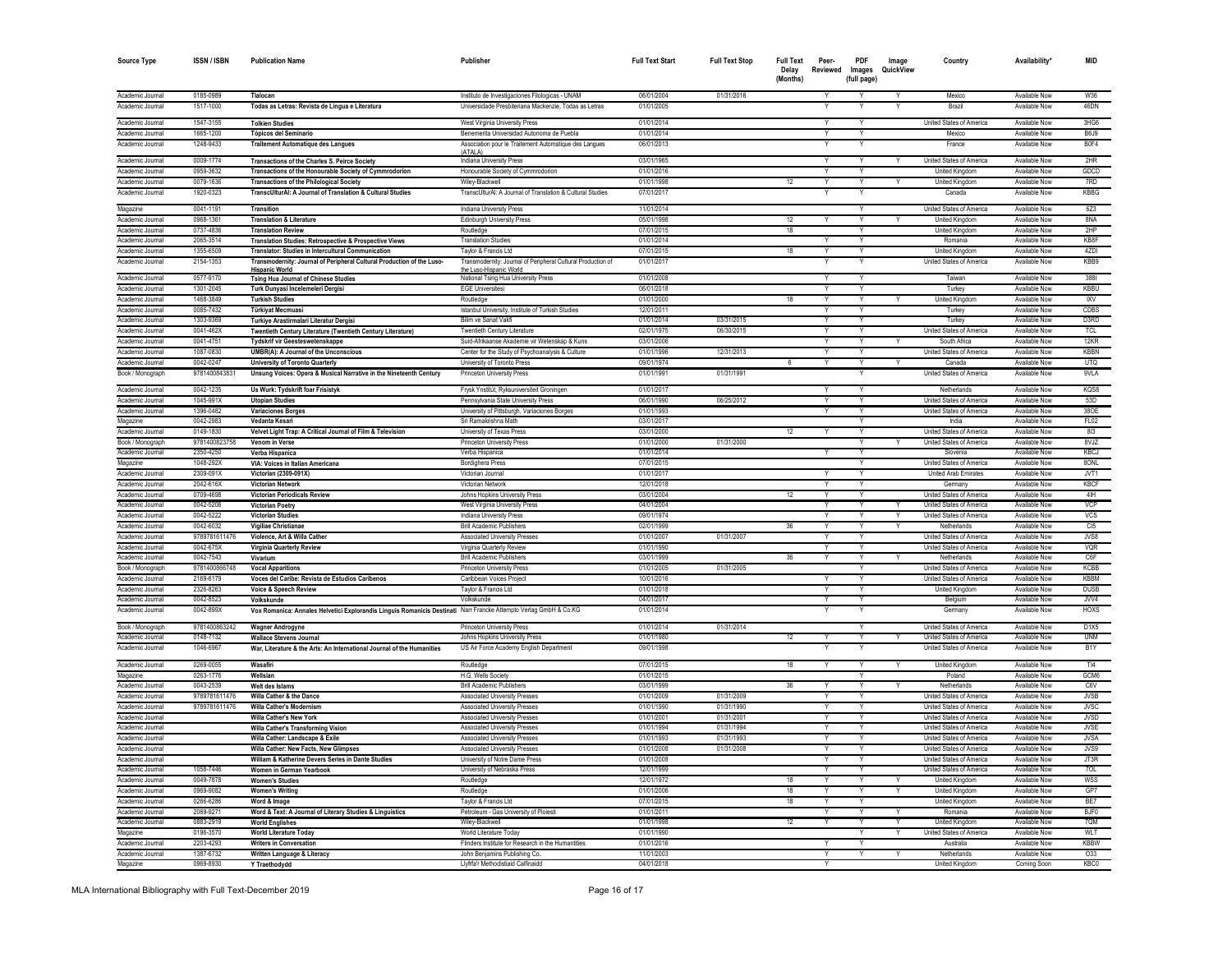| <b>Source Type</b> | ISSN / ISBN   | <b>Publication Name</b>                                                                                           | Publisher                                                          | <b>Full Text Start</b> | <b>Full Text Stop</b> | <b>Full Text</b><br>Delay<br>(Months) | Peer-<br>Reviewed | PDF<br>Images<br>(full page) | Image<br>QuickView | Country                         | Availability <sup>*</sup> | <b>MID</b>        |
|--------------------|---------------|-------------------------------------------------------------------------------------------------------------------|--------------------------------------------------------------------|------------------------|-----------------------|---------------------------------------|-------------------|------------------------------|--------------------|---------------------------------|---------------------------|-------------------|
| Academic Journal   | 0185-0989     | Tlalocan                                                                                                          | Instituto de Investigaciones Filologicas - UNAM                    | 06/01/2004             | 01/31/2016            |                                       | Y                 | Y                            | Y                  | Mexico                          | Available Now             | W36               |
| Academic Journal   | 1517-1000     | Todas as Letras: Revista de Língua e Literatura                                                                   | Universidade Presbiteriana Mackenzie. Todas as Letras              | 01/01/2005             |                       |                                       |                   |                              |                    | <b>Brazil</b>                   | Available Now             | 46DN              |
| Academic Journal   | 1547-3155     | <b>Tolkien Studies</b>                                                                                            | West Virginia University Press                                     | 01/01/2014             |                       |                                       |                   | Y                            |                    | United States of America        | Available Now             | 3HG6              |
| Academic Journal   | 1665-1200     | Tópicos del Seminario                                                                                             | Benemerita Universidad Autonoma de Puebla                          | 01/01/2014             |                       |                                       |                   | Y                            |                    | Mexico                          | Available Now             | R6.19             |
| Academic Journal   | 1248-9433     | <b>Traitement Automatique des Langues</b>                                                                         | Association pour le Traitement Automatique des Langues<br>(ATAI A) | 06/01/2013             |                       |                                       |                   |                              |                    | France                          | Available Now             | B <sub>0F4</sub>  |
| Academic Journal   | 0009-1774     | <b>Transactions of the Charles S. Peirce Society</b>                                                              | Indiana University Press                                           | 03/01/1965             |                       |                                       | Y                 | Y                            | Y                  | <b>United States of America</b> | Available Now             | 2HR               |
| Academic Journal   | 0959-3632     | Transactions of the Honourable Society of Cymmrodorion                                                            | Honourable Society of Cymmrodorion                                 | 01/01/2016             |                       |                                       |                   | $\mathsf{v}$                 |                    | United Kingdom                  | Available Now             | GDCD              |
| Academic Journal   | 0079-1636     | <b>Transactions of the Philological Society</b>                                                                   | Wiley-Blackwell                                                    | 01/01/1998             |                       | 12                                    | Y                 | Y                            | Y                  | <b>United Kingdom</b>           | Available Now             | 7RD               |
| Academic Journal   | 1920-0323     | TranscUlturAI: A Journal of Translation & Cultural Studies                                                        | TranscUlturAI: A Journal of Translation & Cultural Studies         | 07/01/2017             |                       |                                       |                   |                              |                    | Canada                          | Available Now             | <b>KBBG</b>       |
| Magazine           | 0041-1191     | <b>Transition</b>                                                                                                 | <b>Indiana University Press</b>                                    | 11/01/2014             |                       |                                       |                   | Y                            |                    | United States of America        | Available Now             | 6Z3               |
| Academic Journal   | 0968-1361     | <b>Translation &amp; Literature</b>                                                                               | <b>Edinburgh University Press</b>                                  | 05/01/1998             |                       | 12                                    |                   | Y                            |                    | <b>United Kingdom</b>           | Available Now             | 8NA               |
| Academic Journal   | 0737-4836     | <b>Translation Review</b>                                                                                         | Routledge                                                          | 07/01/2015             |                       | 18                                    |                   | Y                            |                    | United Kingdom                  | Available Now             | 2HP               |
| Academic Journal   | 2065-3514     | Translation Studies: Retrospective & Prospective Views                                                            | <b>Translation Studies</b>                                         | 01/01/2014             |                       |                                       |                   | Y                            |                    | Romania                         | Available Now             | KB8F              |
| Academic Journal   | 1355-6509     | Translator: Studies in Intercultural Communication                                                                | Taylor & Francis Ltd                                               | 07/01/2015             |                       | 18                                    |                   | Y                            |                    | <b>United Kingdom</b>           | <b>Available Now</b>      | 4ZDI              |
| Academic Journal   | 2154-1353     | Transmodernity: Journal of Peripheral Cultural Production of the Luso-                                            | Transmodernity: Journal of Peripheral Cultural Production of       | 01/01/2017             |                       |                                       |                   |                              |                    | United States of America        | Available Now             | KBBS              |
|                    |               | <b>Hispanic World</b>                                                                                             | the Luso-Hispanic World                                            |                        |                       |                                       |                   |                              |                    |                                 |                           |                   |
| Academic Journal   | 0577-9170     | Tsing Hua Journal of Chinese Studies                                                                              | National Tsing Hua University Press                                | 01/01/2008             |                       |                                       |                   |                              |                    | Taiwar                          | Available Now             | 3881              |
| Academic Journal   | 1301-2045     | Turk Dunyasi Incelemeleri Dergisi                                                                                 | <b>EGE Universites</b>                                             | 06/01/2018             |                       |                                       |                   |                              |                    | Turkey                          | Available Now             | KBBL              |
| Academic Journal   | 1468-3849     | <b>Turkish Studies</b>                                                                                            | Routledge                                                          | 01/01/2000             |                       | 18                                    |                   | Y                            |                    | United Kingdom                  | Available Now             | <b>IXV</b>        |
| Academic Journal   | 0085-7432     | Türkiyat Mecmuasi                                                                                                 | Istanbul University, Institute of Turkish Studies                  | 12/01/2011             |                       |                                       |                   | <b>V</b>                     |                    | <b>Turkey</b>                   | Available Now             | CDRS              |
| Academic Journal   | 1303-9369     | Turkiye Arastirmalari Literatur Dergisi                                                                           | <b>Bilim ve Sanat Vakt</b>                                         | 01/01/2014             | 03/31/2015            |                                       |                   | Y                            |                    | Turkey                          | Available Now             | D3RD              |
| Academic Journal   | 0041-462X     | Twentieth Century Literature (Twentieth Century Literature)                                                       | Twentieth Century Literature                                       | 02/01/1975             | 06/30/2015            |                                       |                   | $\overline{Y}$               |                    | United States of America        | Available Now             | <b>TCL</b>        |
| Academic Journal   | 0041-4751     | <b>Tydskrif vir Geesteswetenskappe</b>                                                                            | Suid-Afrikaanse Akademie vir Wetenskap & Kuns                      | 03/01/2006             |                       |                                       | Y                 | Y                            |                    | South Africa                    | Available Now             | 12KR              |
| Academic Journal   | 1087-0830     | <b>UMBR(A): A Journal of the Unconscious</b>                                                                      | Center for the Study of Psychoanalysis & Culture                   | 01/01/1996             | 12/31/2013            |                                       |                   | Ÿ                            |                    | United States of America        | Available Now             | <b>KBBN</b>       |
| Academic Journal   | 0042-0247     | <b>University of Toronto Quarterly</b>                                                                            | University of Toronto Press                                        | 09/01/1974             |                       |                                       | Y                 | Y                            |                    | Canada                          | Available Now             | <b>UTQ</b>        |
| Book / Monograph   | 978140084383  | Unsung Voices: Opera & Musical Narrative in the Nineteenth Century                                                | <b>Princeton University Press</b>                                  | 01/01/1991             | 01/31/1991            |                                       |                   | $\overline{Y}$               |                    | United States of America        | Available Now             | 9VLA              |
| Academic Journal   | 0042-1235     | Us Wurk: Tydskrift foar Frisistyk                                                                                 | Frysk Ynstitút, Ryksuniversiteit Groninger                         | 01/01/2017             |                       |                                       |                   |                              |                    | Netherlands                     | Available Now             | KQS8              |
| Academic Journal   | 1045-991X     | <b>Utopian Studies</b>                                                                                            | Pennsylvania State University Press                                | 06/01/1990             | 06/25/2012            |                                       | Y                 | Y                            |                    | United States of America        | Available Now             | 53D               |
| Academic Journal   | 1396-0482     | <b>Variaciones Borges</b>                                                                                         | University of Pittsburgh, Variaciones Borges                       | 01/01/1993             |                       |                                       | $\checkmark$      | Y                            |                    | United States of America        | Available Now             | 380E              |
| Magazine           | 0042-2983     | Vedanta Kesari                                                                                                    | Sri Ramakrishna Math                                               | 03/01/2017             |                       |                                       |                   | Y                            |                    | India                           | Available Now             | FL02              |
| Academic Journal   | 0149-1830     | Velvet Light Trap: A Critical Journal of Film & Television                                                        | University of Texas Press                                          | 03/01/2000             |                       | 12                                    | Y                 | Y                            |                    | United States of America        | Available Now             | 813               |
| Book / Monograph   | 9781400823758 | <b>Venom in Verse</b>                                                                                             | Princeton University Press                                         | 01/01/2000             | 01/31/2000            |                                       |                   | Y                            | Y                  | United States of America        | Available Now             | 8V.IZ             |
| Academic Journal   | 2350-4250     | Verba Hispanica                                                                                                   | Verba Hispanica                                                    | 01/01/2014             |                       |                                       |                   | Y                            |                    | Slovenia                        | Available Now             | <b>KBCJ</b>       |
| Magazine           | 1048-292X     | VIA: Voices in Italian Americana                                                                                  | <b>Bordighera Press</b>                                            | 07/01/2015             |                       |                                       |                   | Υ                            |                    | United States of America        | Available Now             | 8ONL              |
| Academic Journal   | 2309-091X     | Victorian (2309-091X)                                                                                             | Victorian Journal                                                  | 01/01/2017             |                       |                                       |                   |                              |                    | United Arab Emirates            | Available Now             | JVT1              |
| Academic Journa    | 2042-616X     | Victorian Networl                                                                                                 | Victorian Networ                                                   | 12/01/2018             |                       |                                       |                   |                              |                    | Germany                         | Available Now             | <b>KBCF</b>       |
| Academic Journal   | 0709-4698     | Victorian Periodicals Review                                                                                      | Johns Hopkins University Press                                     | 03/01/2004             |                       | 12                                    |                   | Υ                            |                    | United States of America        | Available Now             | 4H                |
| Academic Journal   | 0042-5206     | Victorian Poetry                                                                                                  | West Virginia University Press                                     | 04/01/2004             |                       |                                       |                   | Y                            |                    | United States of America        | Available Now             | VCP               |
| Academic Journal   | 0042-5222     | <b>Victorian Studies</b>                                                                                          | Indiana University Press                                           | 09/01/1974             |                       |                                       |                   | $\vee$                       |                    | <b>United States of America</b> | Available Now             | <b>VCS</b>        |
| Academic Journal   | 0042-6032     | <b>Vigiliae Christianae</b>                                                                                       | <b>Brill Academic Publishers</b>                                   | 02/01/1999             |                       | 36                                    | Y                 | Y                            | Y                  | Netherlands                     | Available Now             | C <sub>15</sub>   |
| Academic Journal   | 9789781611476 | Violence, Art & Willa Cather                                                                                      | Associated University Presses                                      | 01/01/2007             | 01/31/2007            |                                       |                   | Ÿ                            |                    | United States of America        | Available Now             | JVS8              |
| Academic Journal   | 0042-675X     | Virginia Quarterly Review                                                                                         | Virginia Quarterly Review                                          | 01/01/1990             |                       |                                       |                   | Y                            |                    | United States of America        | Available Now             | VQR               |
| Academic Journal   | 0042-7543     | Vivariur                                                                                                          | <b>Brill Academic Publishers</b>                                   | 03/01/1999             |                       | 36                                    |                   | Y                            |                    | Netherlands                     | <b>Available Now</b>      | C6F               |
| Book / Monograph   | 9781400866748 | <b>Vocal Apparitions</b>                                                                                          | <b>Princeton University Press</b>                                  | 01/01/2005             | 01/31/2005            |                                       |                   | Y                            |                    | United States of America        | Available Now             | KCBB              |
| Academic Journal   | 2169-6179     | Voces del Caribe: Revista de Estudios Caribenos                                                                   | Caribbean Voices Project                                           | 10/01/2016             |                       |                                       |                   | $\checkmark$                 |                    | United States of America        | Available Now             | <b>KBBM</b>       |
| Academic Journal   | 2326-8263     | Voice & Speech Review                                                                                             | Taylor & Francis Ltd                                               | 01/01/2018             |                       |                                       | Y                 | Y                            |                    | United Kingdom                  | Available Now             | <b>DUSB</b>       |
| Academic Journal   | 0042-8523     | Volkskunde                                                                                                        | Volkskunde                                                         | 04/01/2017             |                       |                                       |                   | Y                            |                    | Belgium                         | Available Now             | JVV4              |
| Academic Journal   | 0042-899X     | Vox Romanica: Annales Helvetici Explorandis Linguis Romanicis Destinati Narr Francke Attempto Verlag GmbH & Co.KG |                                                                    | 01/01/2014             |                       |                                       |                   |                              |                    | Germany                         | Available Now             | <b>HOXS</b>       |
| Book / Monograph   | 9781400863242 | <b>Wagner Androgyne</b>                                                                                           | <b>Princeton University Press</b>                                  | 01/01/2014             | 01/31/2014            |                                       |                   | Y                            |                    | United States of America        | Available Now             | D1X5              |
| Academic Journal   | 0148-7132     | <b>Wallace Stevens Journal</b>                                                                                    | Johns Hopkins University Press                                     | 01/01/1980             |                       | 12                                    | Y                 | Y                            | Y                  | United States of America        | Available Now             | <b>UNM</b>        |
| Academic Journal   | 1046-6967     | War, Literature & the Arts: An International Journal of the Humanities                                            | US Air Force Academy English Department                            | 09/01/1998             |                       |                                       |                   |                              |                    | United States of America        | Available Now             | B <sub>1</sub> Y  |
| Academic Journal   | 0269-0055     | Wasafiri                                                                                                          | Routledge                                                          | 07/01/2015             |                       | 18                                    | Y                 | $\mathsf{v}$                 | Y                  | United Kinadom                  | Available Now             | TI4               |
| Magazine           | 0263-1776     | Wellsian                                                                                                          | H.G. Wells Society                                                 | 01/01/2015             |                       |                                       |                   | Υ                            |                    | Poland                          | Available Now             | GCM6              |
| Academic Journal   | 0043-2539     | Welt des Islams                                                                                                   | <b>Brill Academic Publishers</b>                                   | 03/01/1999             |                       | 36                                    |                   | Υ                            |                    | Netherlands                     | Available Now             | C6V               |
| Academic Journal   | 9789781611476 | Willa Cather & the Dance                                                                                          | <b>Associated University Presses</b>                               | 01/01/2009             | 01/31/2009            |                                       |                   | Y                            |                    | United States of America        | Available Now             | <b>JVSB</b>       |
| Academic Journal   | 9789781611476 | <b>Willa Cather's Modernism</b>                                                                                   | <b>Associated University Presses</b>                               | 01/01/1990             | 01/31/1990            |                                       |                   |                              |                    | United States of America        | Available Now             | <b>JVSC</b>       |
| Academic Journal   |               | Willa Cather's New York                                                                                           | <b>Associated University Presses</b>                               | 01/01/2001             | 01/31/2001            |                                       |                   |                              |                    | United States of America        | <b>Available Now</b>      | <b>JVSD</b>       |
| Academic Journal   |               | Willa Cather's Transforming Vision                                                                                | Associated University Presses                                      | 01/01/1994             | 01/31/1994            |                                       |                   | Y                            |                    | United States of America        | Available Now             | .NSF              |
| Academic Journal   |               | Willa Cather: Landscape & Exile                                                                                   | <b>Associated University Presses</b>                               | 01/01/1993             | 01/31/1993            |                                       |                   | $\overline{\mathsf{v}}$      |                    | United States of America        | Available Now             | <b>JVSA</b>       |
| Academic Journal   |               | Willa Cather: New Facts, New Glimpses                                                                             | <b>Associated University Presses</b>                               | 01/01/2008             | 01/31/2008            |                                       |                   |                              |                    | <b>United States of America</b> | Available Now             | .IVS <sub>S</sub> |
| Academic Journal   |               | William & Katherine Devers Series in Dante Studies                                                                | University of Notre Dame Press                                     | 01/01/2008             |                       |                                       |                   | Y                            |                    | United States of America        | Available Now             | JT3R              |
| Academic Journal   | 1058-7446     | Women in German Yearbook                                                                                          | University of Nebraska Press                                       | 12/01/1999             |                       |                                       |                   |                              |                    | United States of America        | Available Now             | 70L               |
| Academic Journal   | 0049-7878     | <b>Women's Studies</b>                                                                                            | Routledge                                                          | 12/01/1972             |                       | 18                                    |                   |                              |                    | <b>United Kingdom</b>           | Available Now             | <b>WSS</b>        |
| Academic Journal   | 0969-9082     | <b>Women's Writing</b>                                                                                            | Routledge                                                          | 01/01/2006             |                       | 18                                    | $\overline{Y}$    | $\overline{Y}$               | Y                  | <b>United Kinadon</b>           | Available Now             | GP7               |
| Academic Journal   | 0266-6286     | Word & Image                                                                                                      | Taylor & Francis Ltd                                               | 07/01/2015             |                       | 18                                    |                   | Y                            |                    | United Kingdom                  | Available Now             | BE7               |
| Academic Journal   | 2069-9271     | Word & Text: A Journal of Literary Studies & Linguistics                                                          | Petroleum - Gas University of Ploiesti                             | 01/01/2011             |                       |                                       | $\checkmark$      | Y                            | Y                  | Romania                         | Available Now             | BJF0              |
| Academic Journal   | 0883-2919     | <b>World Englishes</b>                                                                                            | Wilev-Blackwell                                                    | 01/01/1998             |                       | 12                                    | Y                 | Y                            | Y                  | United Kinadom                  | Available Now             | 70M               |
| Magazine           | 0196-3570     | <b>World Literature Today</b>                                                                                     | World Literature Today                                             | 01/01/1990             |                       |                                       |                   | Y                            | Y                  | United States of America        | Available Now             | WI T              |
| Academic Journal   | 2203-4293     | <b>Writers in Conversation</b>                                                                                    | Flinders Institute for Research in the Humantities                 | 01/01/2016             |                       |                                       |                   | Y                            |                    | Australia                       | Available Now             | <b>KBBW</b>       |
| Academic Journal   | 1387-6732     | Written Language & Literacy                                                                                       | John Benjamins Publishing Co.                                      | 11/01/2003             |                       |                                       |                   | $\overline{Y}$               | Y                  | Netherlands                     | Available Now             | 0.33              |
| Magazine           | 0969-8930     | <b>Y Traethodvdd</b>                                                                                              | Llyfrfa'r Methodistiaid Calfinaidd                                 | 04/01/2018             |                       |                                       |                   |                              |                    | <b>United Kinadom</b>           | Coming Soon               | KBC0              |